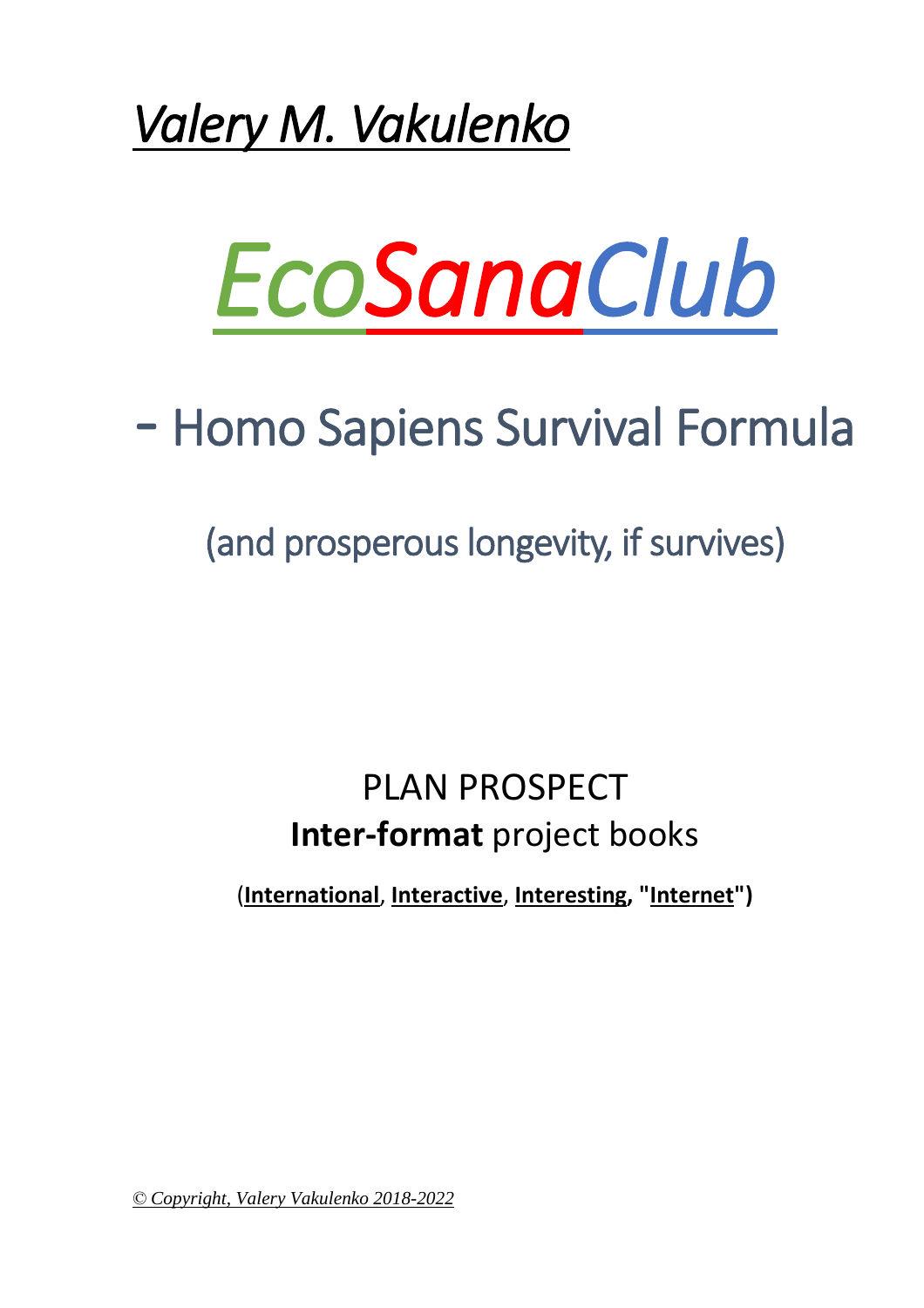



# - Homo Sapiens Survival Formula

(and prosperous longevity, if survives)

#### PLAN PROSPECT **Inter-format** project books

(**International**, **Interactive**, **Interesting, "Internet")**

*© Copyright, Valery Vakulenko 2018-2022*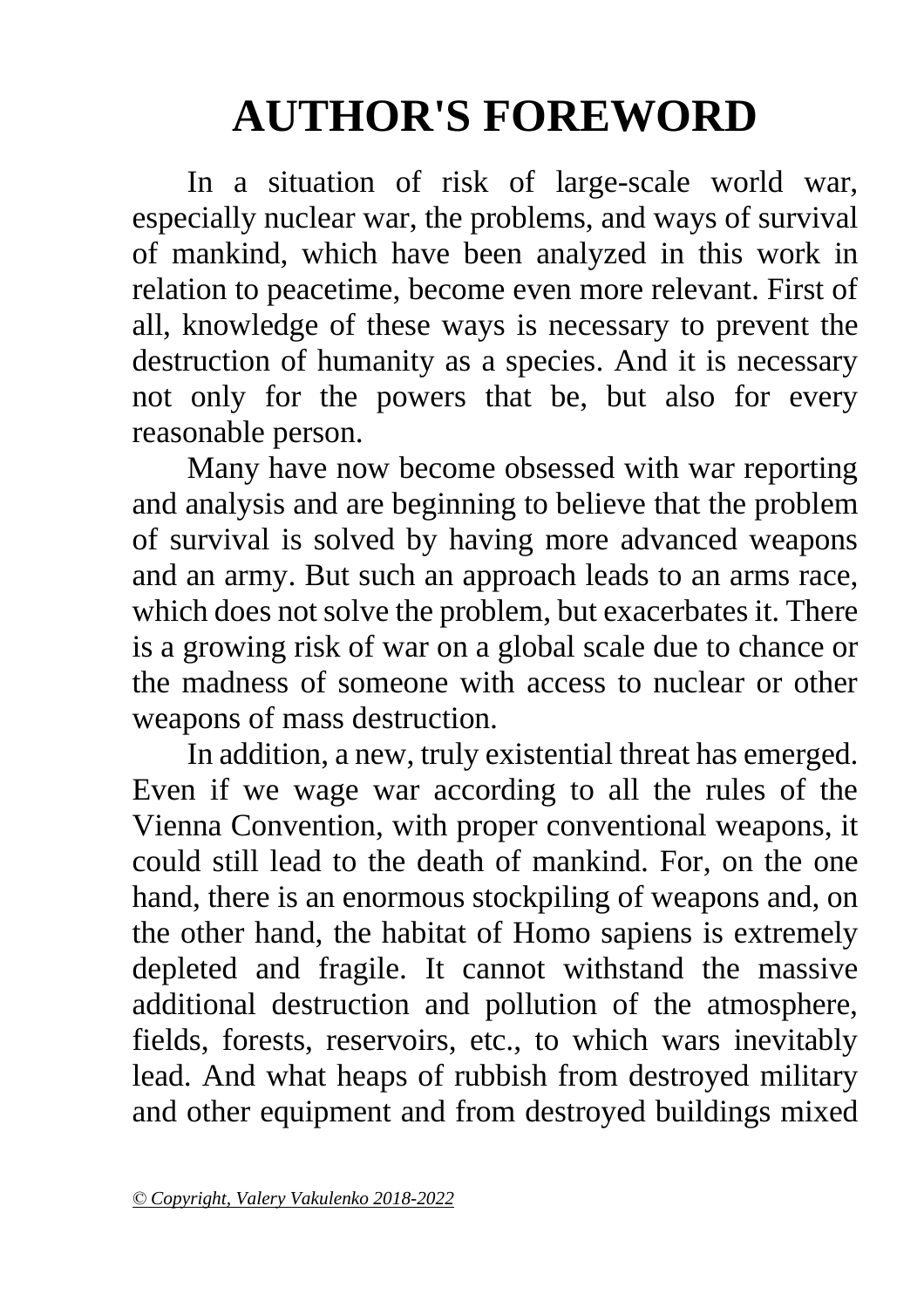# **AUTHOR'S FOREWORD**

In a situation of risk of large-scale world war, especially nuclear war, the problems, and ways of survival of mankind, which have been analyzed in this work in relation to peacetime, become even more relevant. First of all, knowledge of these ways is necessary to prevent the destruction of humanity as a species. And it is necessary not only for the powers that be, but also for every reasonable person.

Many have now become obsessed with war reporting and analysis and are beginning to believe that the problem of survival is solved by having more advanced weapons and an army. But such an approach leads to an arms race, which does not solve the problem, but exacerbates it. There is a growing risk of war on a global scale due to chance or the madness of someone with access to nuclear or other weapons of mass destruction.

In addition, a new, truly existential threat has emerged. Even if we wage war according to all the rules of the Vienna Convention, with proper conventional weapons, it could still lead to the death of mankind. For, on the one hand, there is an enormous stockpiling of weapons and, on the other hand, the habitat of Homo sapiens is extremely depleted and fragile. It cannot withstand the massive additional destruction and pollution of the atmosphere, fields, forests, reservoirs, etc., to which wars inevitably lead. And what heaps of rubbish from destroyed military and other equipment and from destroyed buildings mixed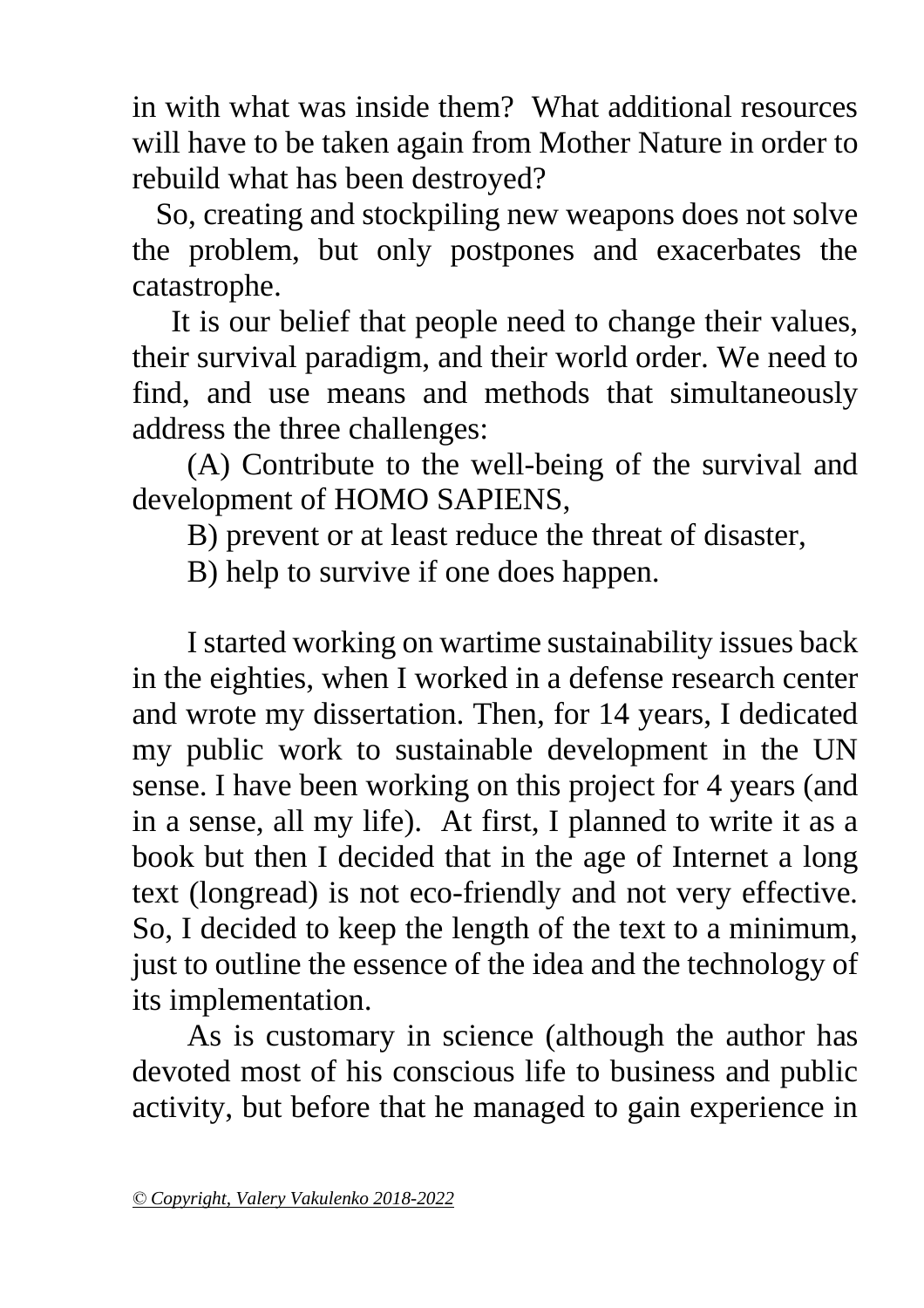in with what was inside them? What additional resources will have to be taken again from Mother Nature in order to rebuild what has been destroyed?

 So, creating and stockpiling new weapons does not solve the problem, but only postpones and exacerbates the catastrophe.

 It is our belief that people need to change their values, their survival paradigm, and their world order. We need to find, and use means and methods that simultaneously address the three challenges:

(A) Contribute to the well-being of the survival and development of HOMO SAPIENS,

B) prevent or at least reduce the threat of disaster,

B) help to survive if one does happen.

I started working on wartime sustainability issues back in the eighties, when I worked in a defense research center and wrote my dissertation. Then, for 14 years, I dedicated my public work to sustainable development in the UN sense. I have been working on this project for 4 years (and in a sense, all my life). At first, I planned to write it as a book but then I decided that in the age of Internet a long text (longread) is not eco-friendly and not very effective. So, I decided to keep the length of the text to a minimum, just to outline the essence of the idea and the technology of its implementation.

As is customary in science (although the author has devoted most of his conscious life to business and public activity, but before that he managed to gain experience in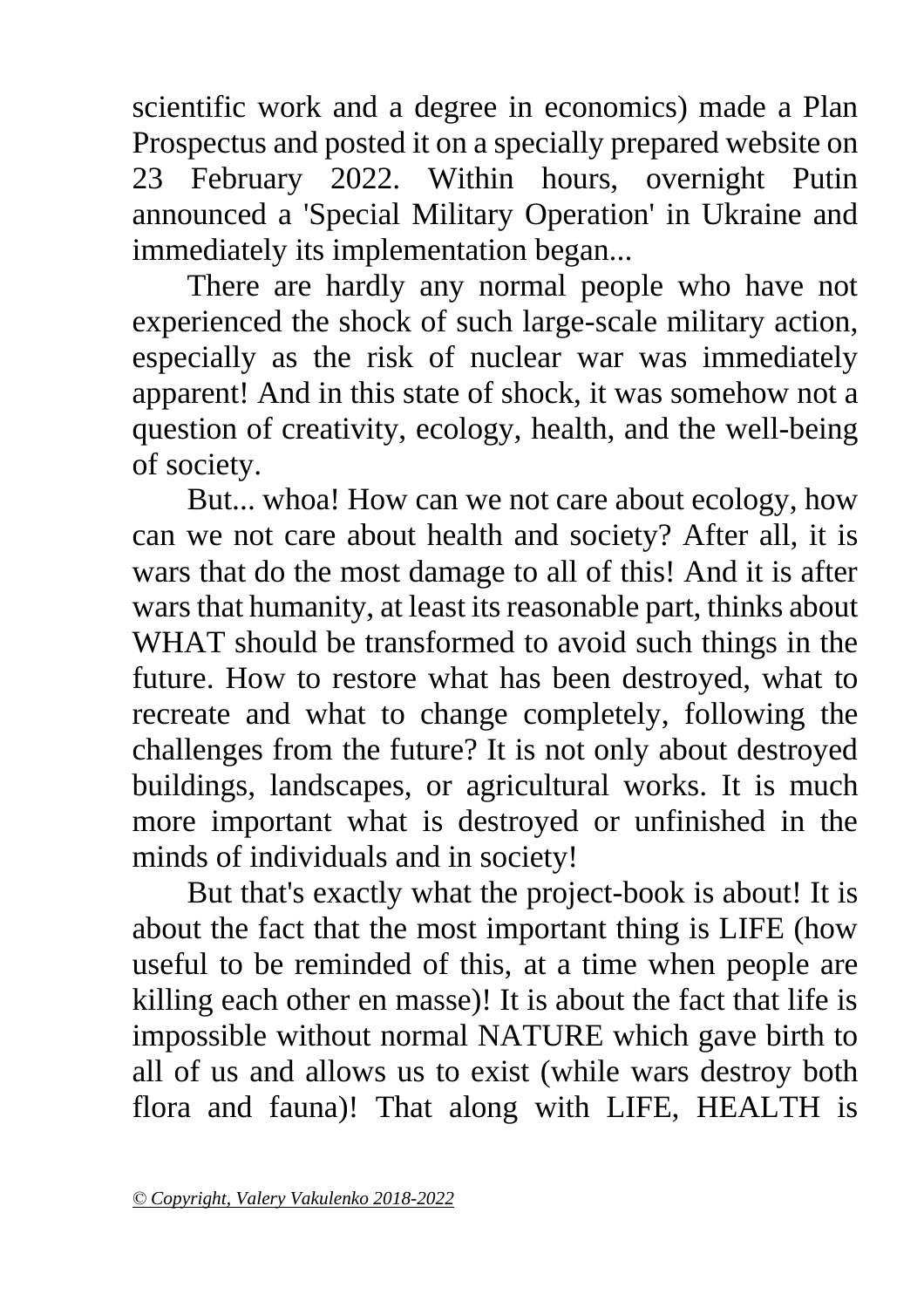scientific work and a degree in economics) made a Plan Prospectus and posted it on a specially prepared website on 23 February 2022. Within hours, overnight Putin announced a 'Special Military Operation' in Ukraine and immediately its implementation began...

There are hardly any normal people who have not experienced the shock of such large-scale military action, especially as the risk of nuclear war was immediately apparent! And in this state of shock, it was somehow not a question of creativity, ecology, health, and the well-being of society.

But... whoa! How can we not care about ecology, how can we not care about health and society? After all, it is wars that do the most damage to all of this! And it is after wars that humanity, at least its reasonable part, thinks about WHAT should be transformed to avoid such things in the future. How to restore what has been destroyed, what to recreate and what to change completely, following the challenges from the future? It is not only about destroyed buildings, landscapes, or agricultural works. It is much more important what is destroyed or unfinished in the minds of individuals and in society!

But that's exactly what the project-book is about! It is about the fact that the most important thing is LIFE (how useful to be reminded of this, at a time when people are killing each other en masse)! It is about the fact that life is impossible without normal NATURE which gave birth to all of us and allows us to exist (while wars destroy both flora and fauna)! That along with LIFE, HEALTH is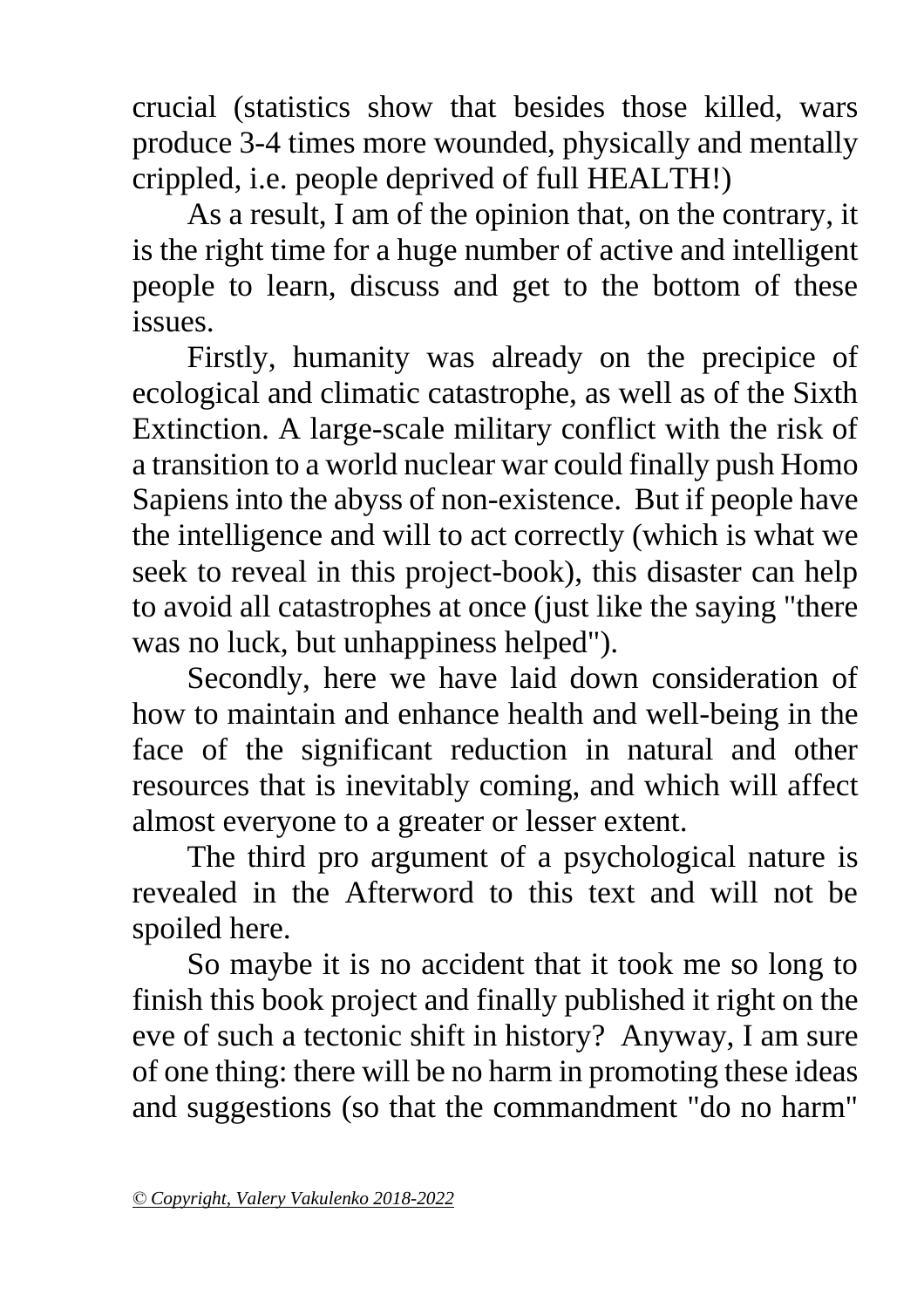crucial (statistics show that besides those killed, wars produce 3-4 times more wounded, physically and mentally crippled, i.e. people deprived of full HEALTH!)

As a result, I am of the opinion that, on the contrary, it is the right time for a huge number of active and intelligent people to learn, discuss and get to the bottom of these issues.

Firstly, humanity was already on the precipice of ecological and climatic catastrophe, as well as of the Sixth Extinction. A large-scale military conflict with the risk of a transition to a world nuclear war could finally push Homo Sapiens into the abyss of non-existence. But if people have the intelligence and will to act correctly (which is what we seek to reveal in this project-book), this disaster can help to avoid all catastrophes at once (just like the saying "there was no luck, but unhappiness helped").

Secondly, here we have laid down consideration of how to maintain and enhance health and well-being in the face of the significant reduction in natural and other resources that is inevitably coming, and which will affect almost everyone to a greater or lesser extent.

The third pro argument of a psychological nature is revealed in the Afterword to this text and will not be spoiled here.

So maybe it is no accident that it took me so long to finish this book project and finally published it right on the eve of such a tectonic shift in history? Anyway, I am sure of one thing: there will be no harm in promoting these ideas and suggestions (so that the commandment "do no harm"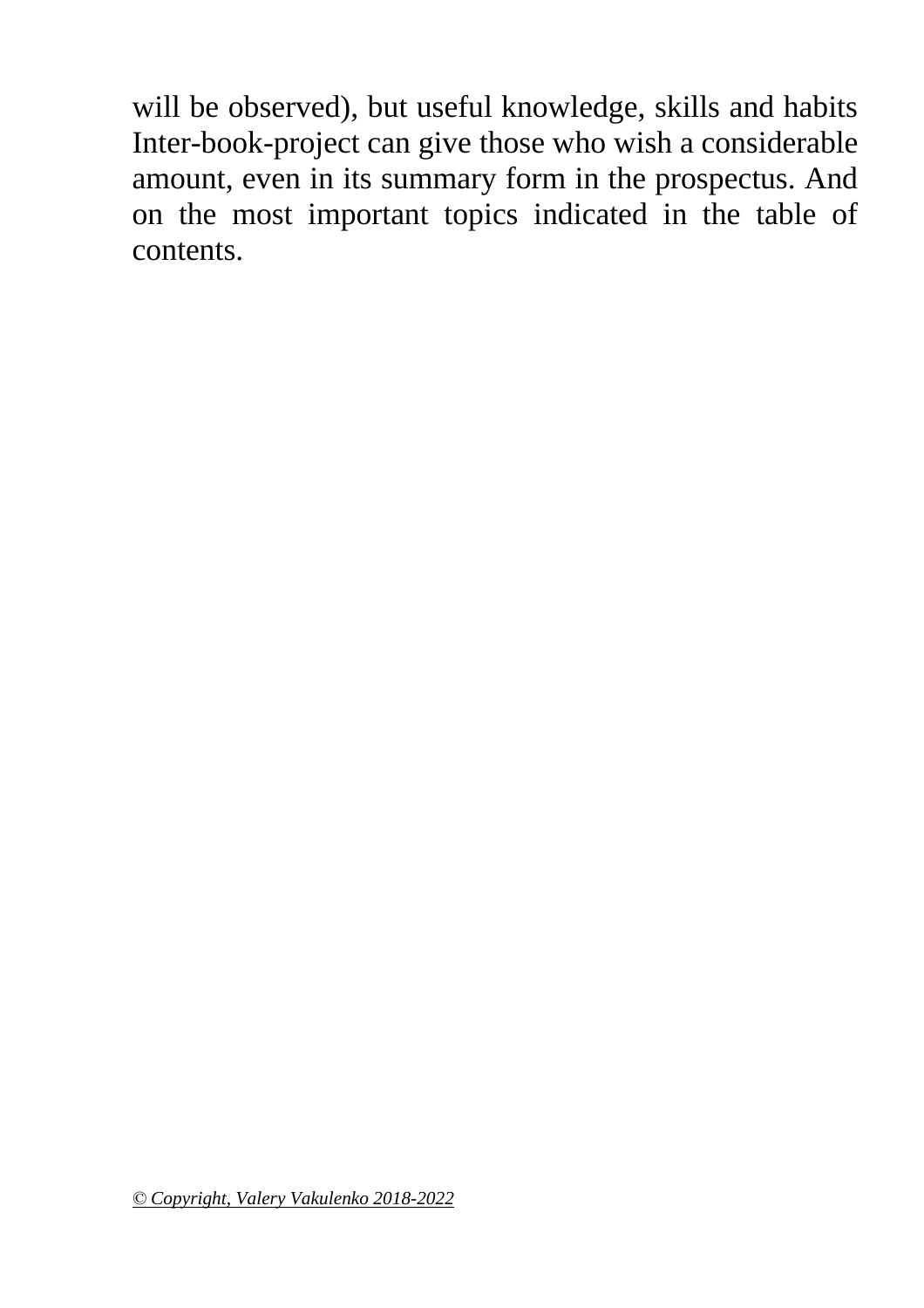will be observed), but useful knowledge, skills and habits Inter-book-project can give those who wish a considerable amount, even in its summary form in the prospectus. And on the most important topics indicated in the table of contents.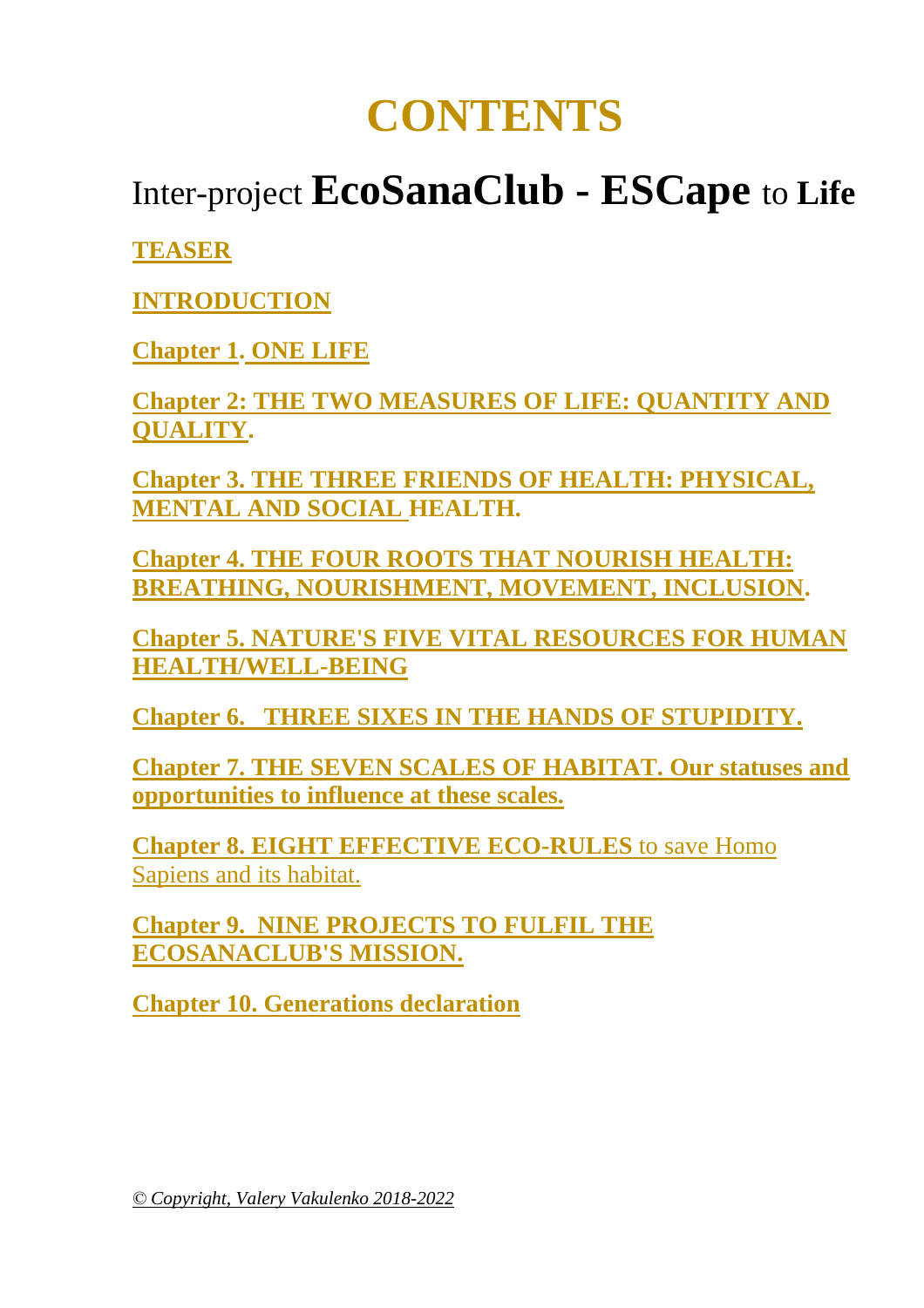## **CONTENTS**

### Inter-project **EcoSanaClub - ESCape** to **Life**

**[TEASER](#page-7-0)**

**[INTRODUCTION](#page-9-0)**

**[Chapter 1.](#page-17-0) [ONE LIFE](#page-17-0)**

**[Chapter 2: THE TWO MEASURES OF LIFE: QUANTITY AND](#page-17-1)  [QUALITY.](#page-17-1)**

**[Chapter 3. THE THREE FRIENDS OF HEALTH: PHYSICAL,](#page-18-0)  [MENTAL AND SOCIAL H](#page-18-0)EALTH.**

**[Chapter 4. THE FOUR ROOTS THAT NOURISH HEALTH:](#page-20-0)  [BREATHING, NOURISHMENT, MOVEMENT, INCLUSION.](#page-20-0)**

**[Chapter 5. NATURE'S FIVE VITAL RESOURCES FOR HUMAN](#page-22-0)  [HEALTH/WELL-BEING](#page-22-0)**

**[Chapter 6. THREE SIXES IN THE HANDS OF STUPIDITY.](#page-26-0)**

**[Chapter 7. THE SEVEN SCALES OF HABITAT. Our statuses and](#page-36-0)  [opportunities to influence at these scales.](#page-36-0)**

**[Chapter 8. EIGHT EFFECTIVE ECO-RULES](#page-40-0)** to save Homo [Sapiens and its habitat.](#page-40-0)

**[Chapter 9. NINE PROJECTS TO FULFIL THE](#page-48-0)  [ECOSANACLUB'S MISSION.](#page-48-0)**

**[Chapter 10. Generations declaration](#page-56-0)**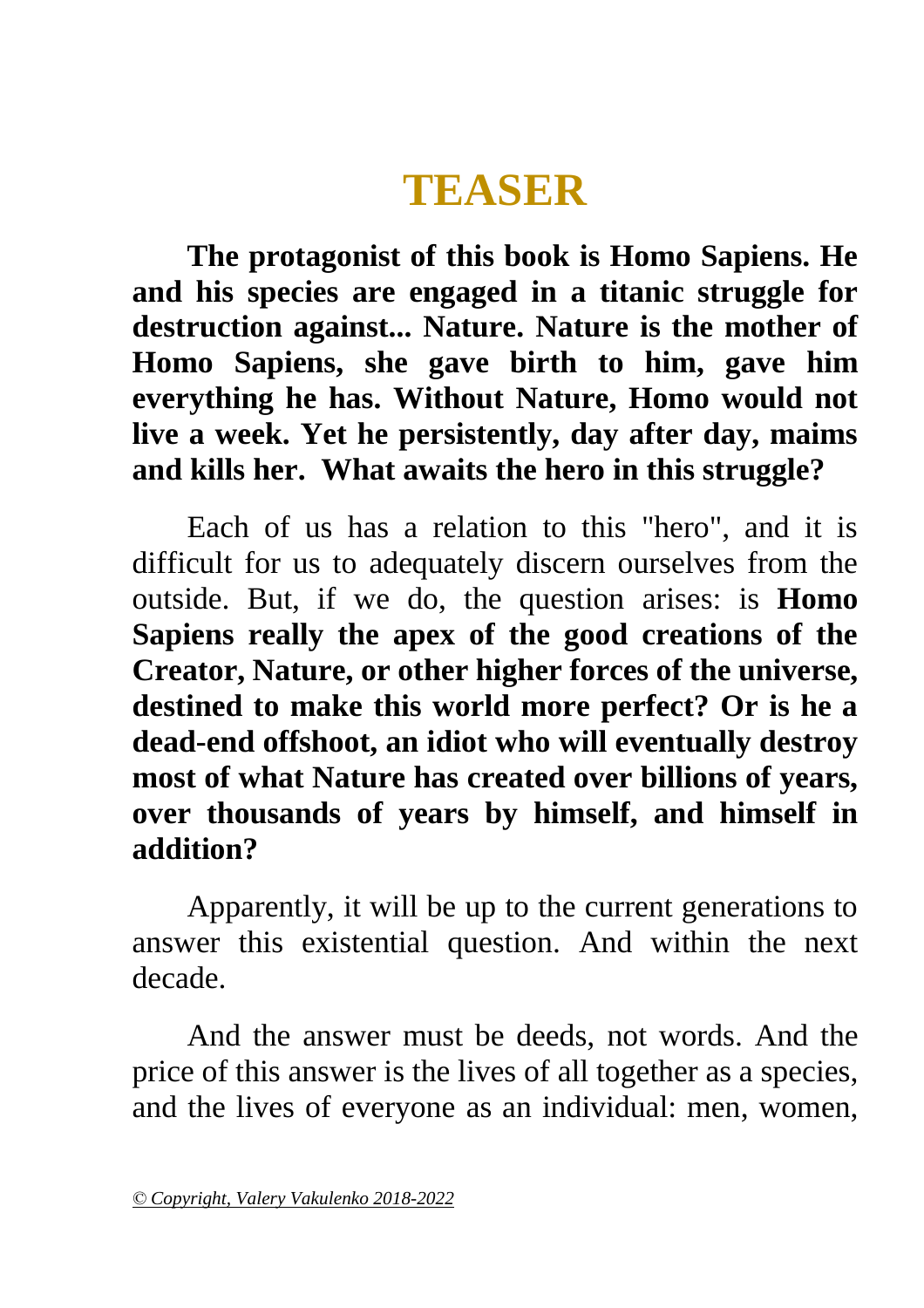## **TEASER**

<span id="page-7-0"></span>**The protagonist of this book is Homo Sapiens. He and his species are engaged in a titanic struggle for destruction against... Nature. Nature is the mother of Homo Sapiens, she gave birth to him, gave him everything he has. Without Nature, Homo would not live a week. Yet he persistently, day after day, maims and kills her. What awaits the hero in this struggle?**

Each of us has a relation to this "hero", and it is difficult for us to adequately discern ourselves from the outside. But, if we do, the question arises: is **Homo Sapiens really the apex of the good creations of the Creator, Nature, or other higher forces of the universe, destined to make this world more perfect? Or is he a dead-end offshoot, an idiot who will eventually destroy most of what Nature has created over billions of years, over thousands of years by himself, and himself in addition?**

Apparently, it will be up to the current generations to answer this existential question. And within the next decade.

And the answer must be deeds, not words. And the price of this answer is the lives of all together as a species, and the lives of everyone as an individual: men, women,

*<sup>©</sup> Copyright, Valery Vakulenko 2018-2022*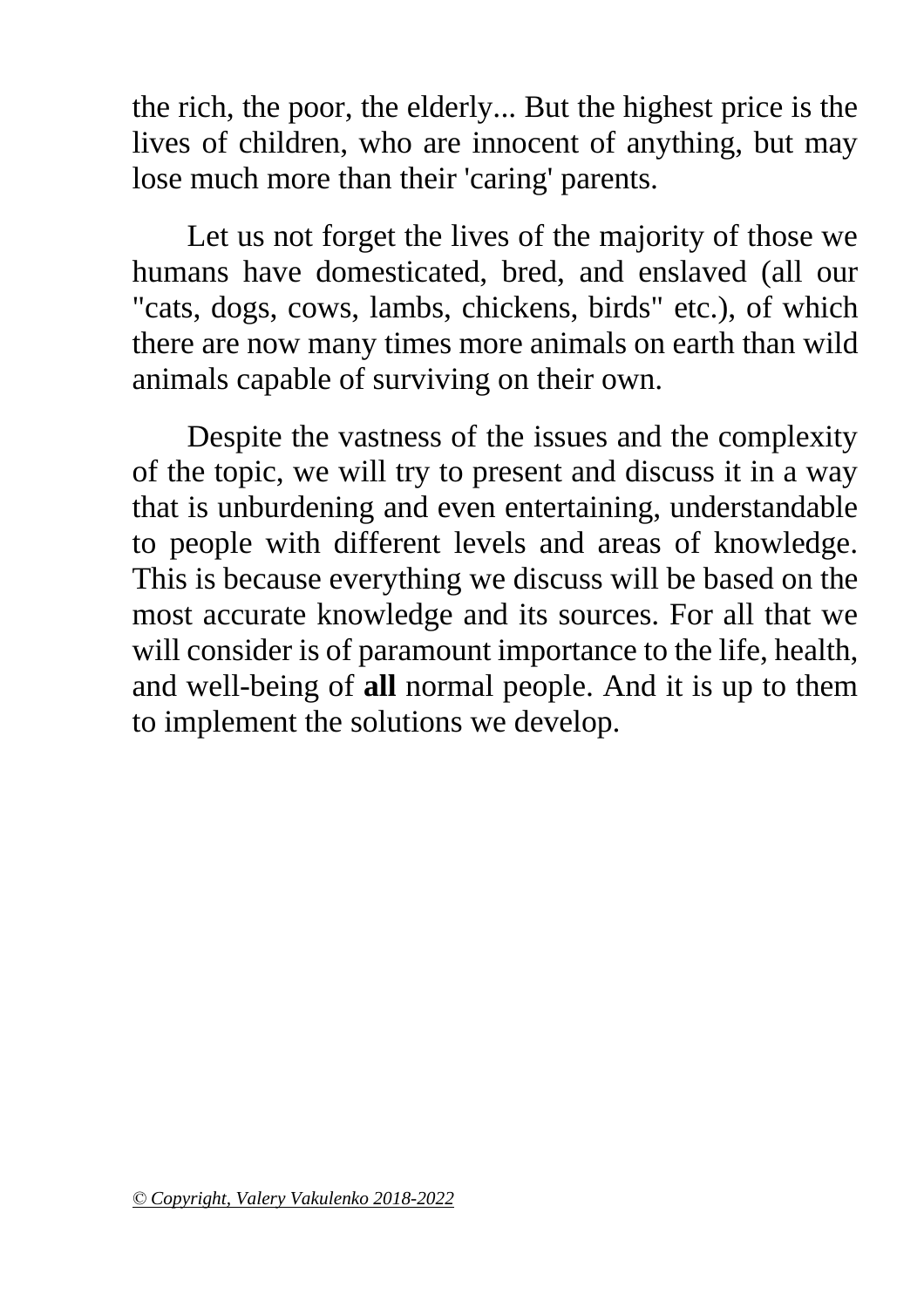the rich, the poor, the elderly... But the highest price is the lives of children, who are innocent of anything, but may lose much more than their 'caring' parents.

Let us not forget the lives of the majority of those we humans have domesticated, bred, and enslaved (all our "cats, dogs, cows, lambs, chickens, birds" etc.), of which there are now many times more animals on earth than wild animals capable of surviving on their own.

Despite the vastness of the issues and the complexity of the topic, we will try to present and discuss it in a way that is unburdening and even entertaining, understandable to people with different levels and areas of knowledge. This is because everything we discuss will be based on the most accurate knowledge and its sources. For all that we will consider is of paramount importance to the life, health, and well-being of **all** normal people. And it is up to them to implement the solutions we develop.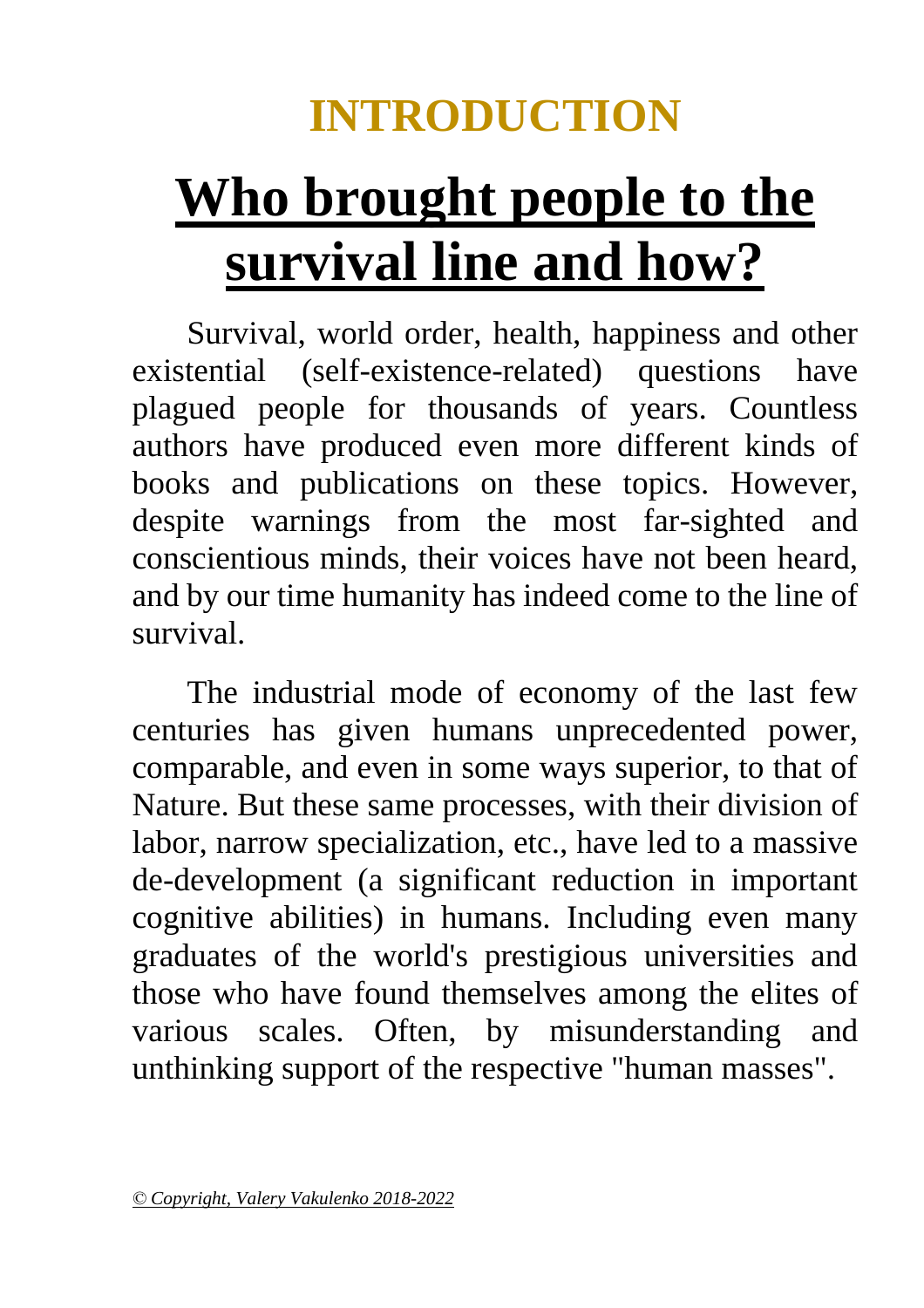## **INTRODUCTION**

# <span id="page-9-0"></span>**Who brought people to the survival line and how?**

Survival, world order, health, happiness and other existential (self-existence-related) questions have plagued people for thousands of years. Countless authors have produced even more different kinds of books and publications on these topics. However, despite warnings from the most far-sighted and conscientious minds, their voices have not been heard, and by our time humanity has indeed come to the line of survival.

The industrial mode of economy of the last few centuries has given humans unprecedented power, comparable, and even in some ways superior, to that of Nature. But these same processes, with their division of labor, narrow specialization, etc., have led to a massive de-development (a significant reduction in important cognitive abilities) in humans. Including even many graduates of the world's prestigious universities and those who have found themselves among the elites of various scales. Often, by misunderstanding and unthinking support of the respective "human masses".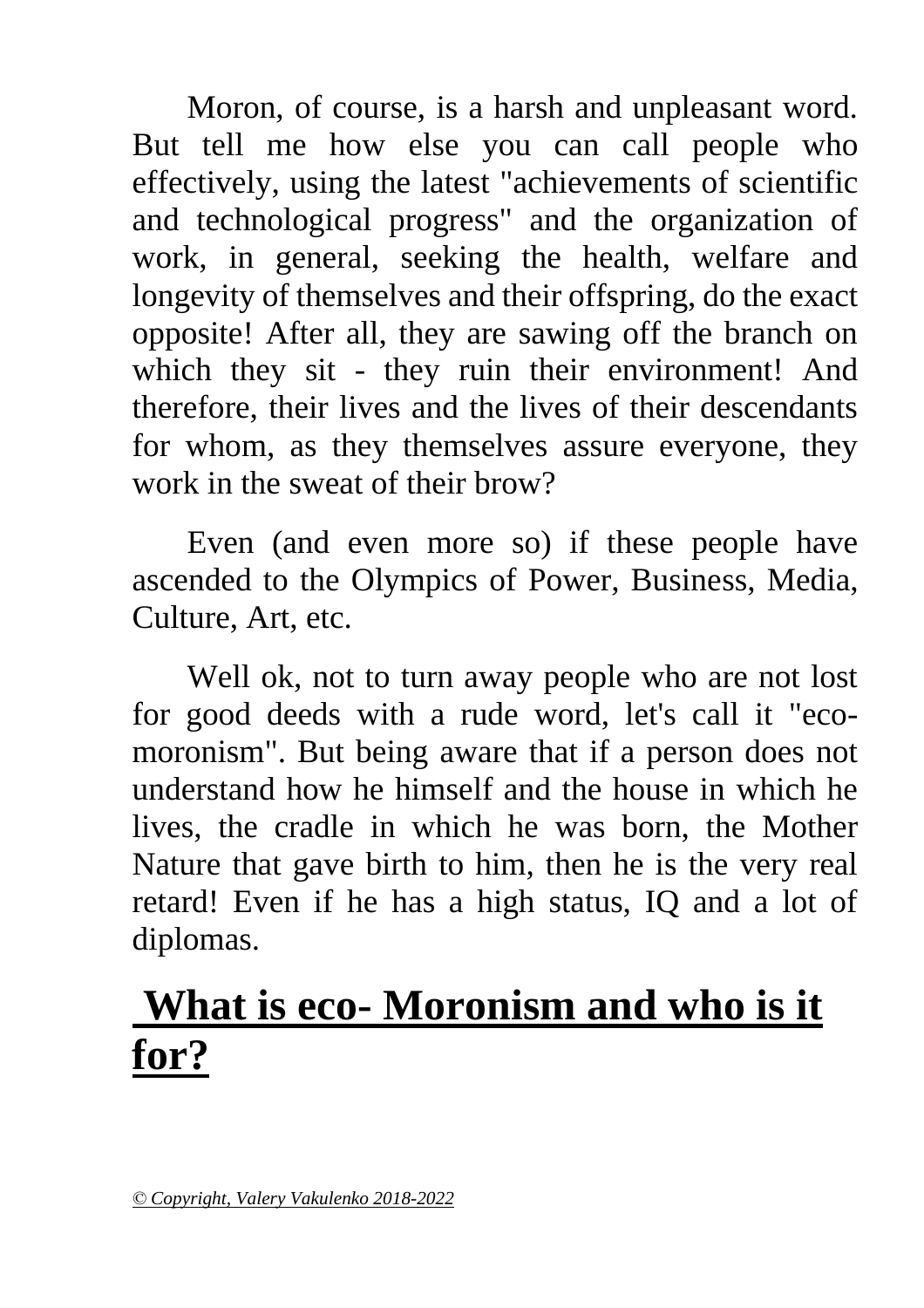Moron, of course, is a harsh and unpleasant word. But tell me how else you can call people who effectively, using the latest "achievements of scientific and technological progress" and the organization of work, in general, seeking the health, welfare and longevity of themselves and their offspring, do the exact opposite! After all, they are sawing off the branch on which they sit - they ruin their environment! And therefore, their lives and the lives of their descendants for whom, as they themselves assure everyone, they work in the sweat of their brow?

Even (and even more so) if these people have ascended to the Olympics of Power, Business, Media, Culture, Art, etc.

Well ok, not to turn away people who are not lost for good deeds with a rude word, let's call it "ecomoronism". But being aware that if a person does not understand how he himself and the house in which he lives, the cradle in which he was born, the Mother Nature that gave birth to him, then he is the very real retard! Even if he has a high status, IQ and a lot of diplomas.

## **What is eco- Moronism and who is it for?**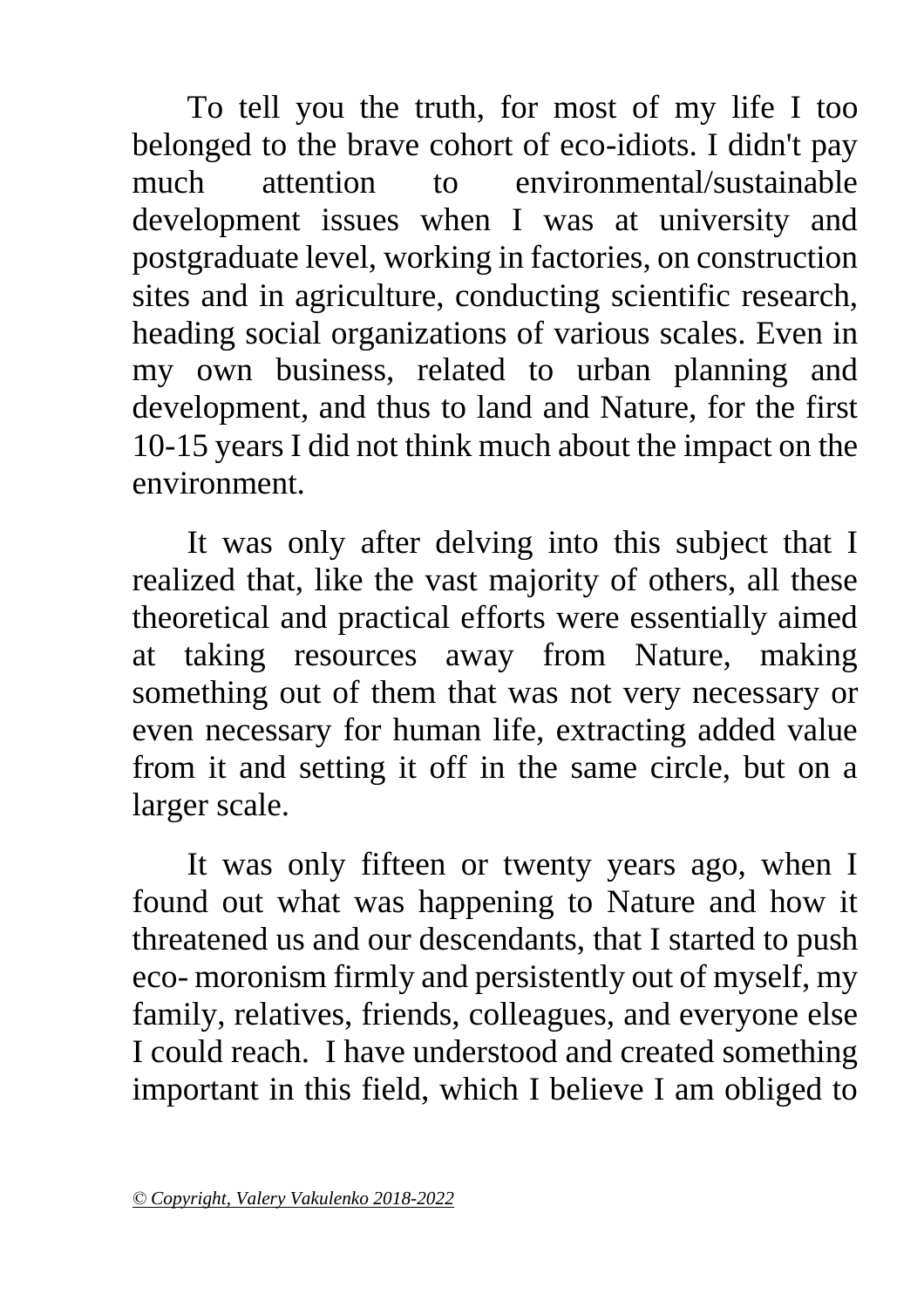To tell you the truth, for most of my life I too belonged to the brave cohort of eco-idiots. I didn't pay much attention to environmental/sustainable development issues when I was at university and postgraduate level, working in factories, on construction sites and in agriculture, conducting scientific research, heading social organizations of various scales. Even in my own business, related to urban planning and development, and thus to land and Nature, for the first 10-15 years I did not think much about the impact on the environment.

It was only after delving into this subject that I realized that, like the vast majority of others, all these theoretical and practical efforts were essentially aimed at taking resources away from Nature, making something out of them that was not very necessary or even necessary for human life, extracting added value from it and setting it off in the same circle, but on a larger scale.

It was only fifteen or twenty years ago, when I found out what was happening to Nature and how it threatened us and our descendants, that I started to push eco- moronism firmly and persistently out of myself, my family, relatives, friends, colleagues, and everyone else I could reach. I have understood and created something important in this field, which I believe I am obliged to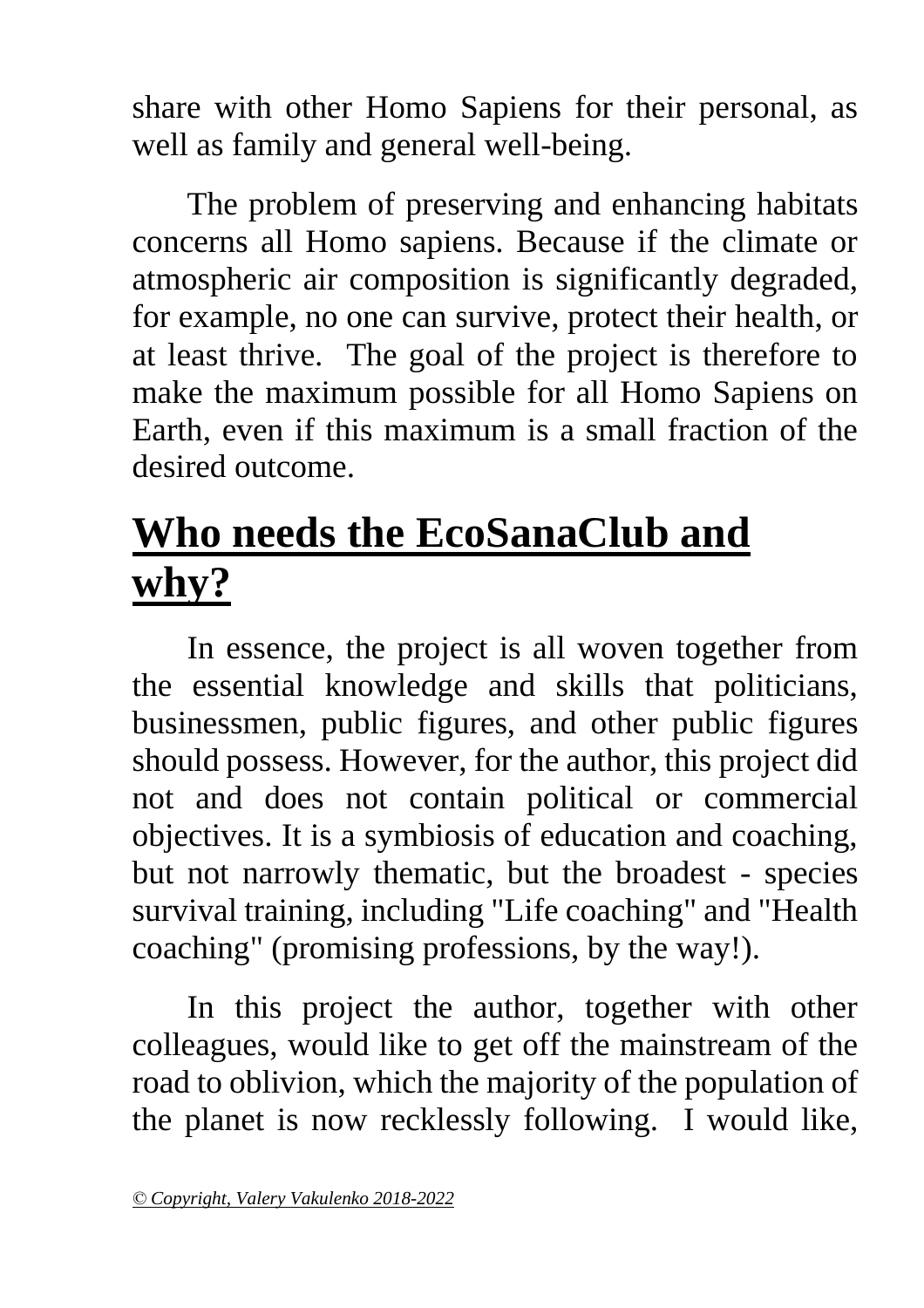share with other Homo Sapiens for their personal, as well as family and general well-being.

The problem of preserving and enhancing habitats concerns all Homo sapiens. Because if the climate or atmospheric air composition is significantly degraded, for example, no one can survive, protect their health, or at least thrive. The goal of the project is therefore to make the maximum possible for all Homo Sapiens on Earth, even if this maximum is a small fraction of the desired outcome.

## **Who needs the EcoSanaClub and why?**

In essence, the project is all woven together from the essential knowledge and skills that politicians, businessmen, public figures, and other public figures should possess. However, for the author, this project did not and does not contain political or commercial objectives. It is a symbiosis of education and coaching, but not narrowly thematic, but the broadest - species survival training, including "Life coaching" and "Health coaching" (promising professions, by the way!).

In this project the author, together with other colleagues, would like to get off the mainstream of the road to oblivion, which the majority of the population of the planet is now recklessly following. I would like,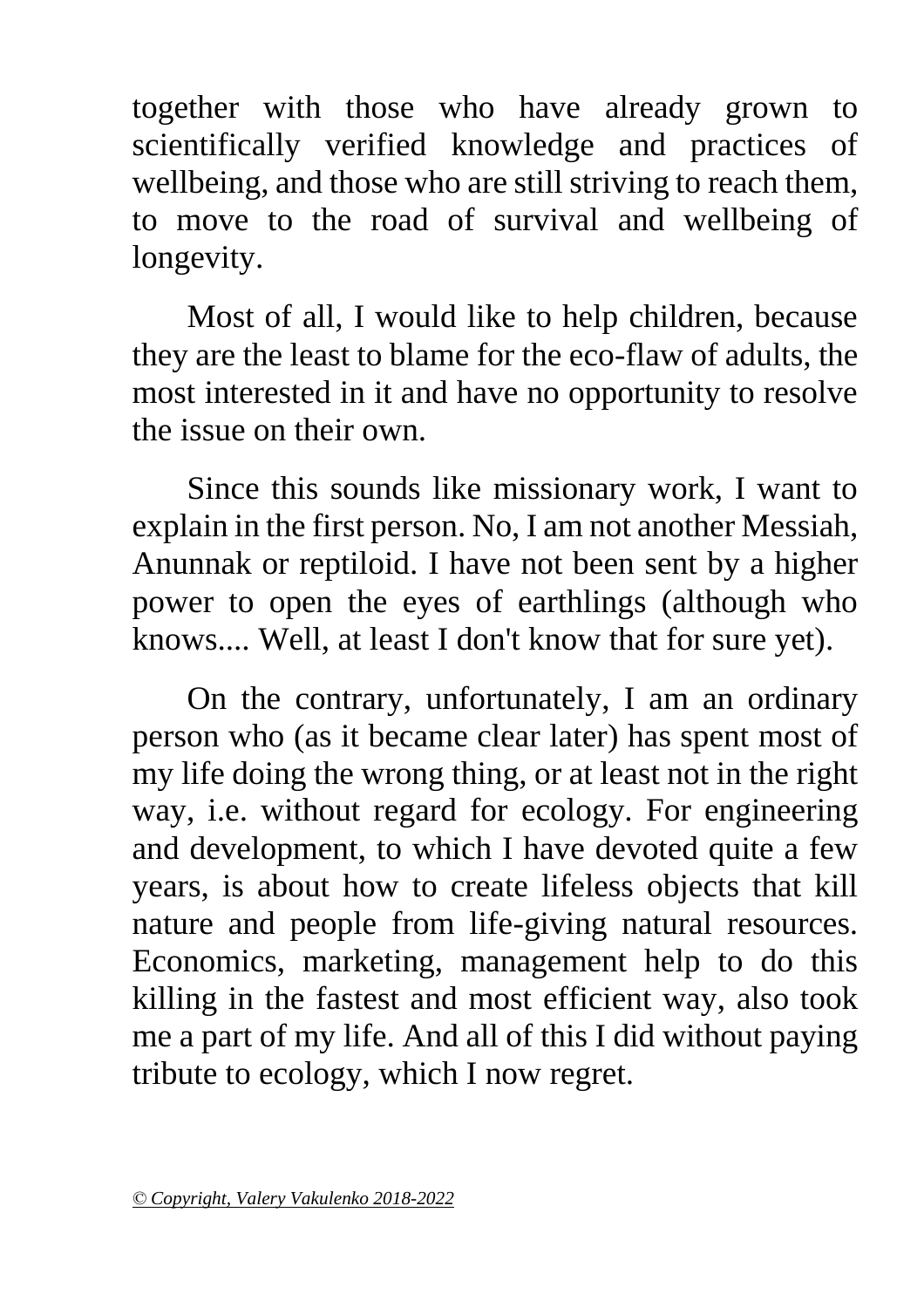together with those who have already grown to scientifically verified knowledge and practices of wellbeing, and those who are still striving to reach them, to move to the road of survival and wellbeing of longevity.

Most of all, I would like to help children, because they are the least to blame for the eco-flaw of adults, the most interested in it and have no opportunity to resolve the issue on their own.

Since this sounds like missionary work, I want to explain in the first person. No, I am not another Messiah, Anunnak or reptiloid. I have not been sent by a higher power to open the eyes of earthlings (although who knows.... Well, at least I don't know that for sure yet).

On the contrary, unfortunately, I am an ordinary person who (as it became clear later) has spent most of my life doing the wrong thing, or at least not in the right way, i.e. without regard for ecology. For engineering and development, to which I have devoted quite a few years, is about how to create lifeless objects that kill nature and people from life-giving natural resources. Economics, marketing, management help to do this killing in the fastest and most efficient way, also took me a part of my life. And all of this I did without paying tribute to ecology, which I now regret.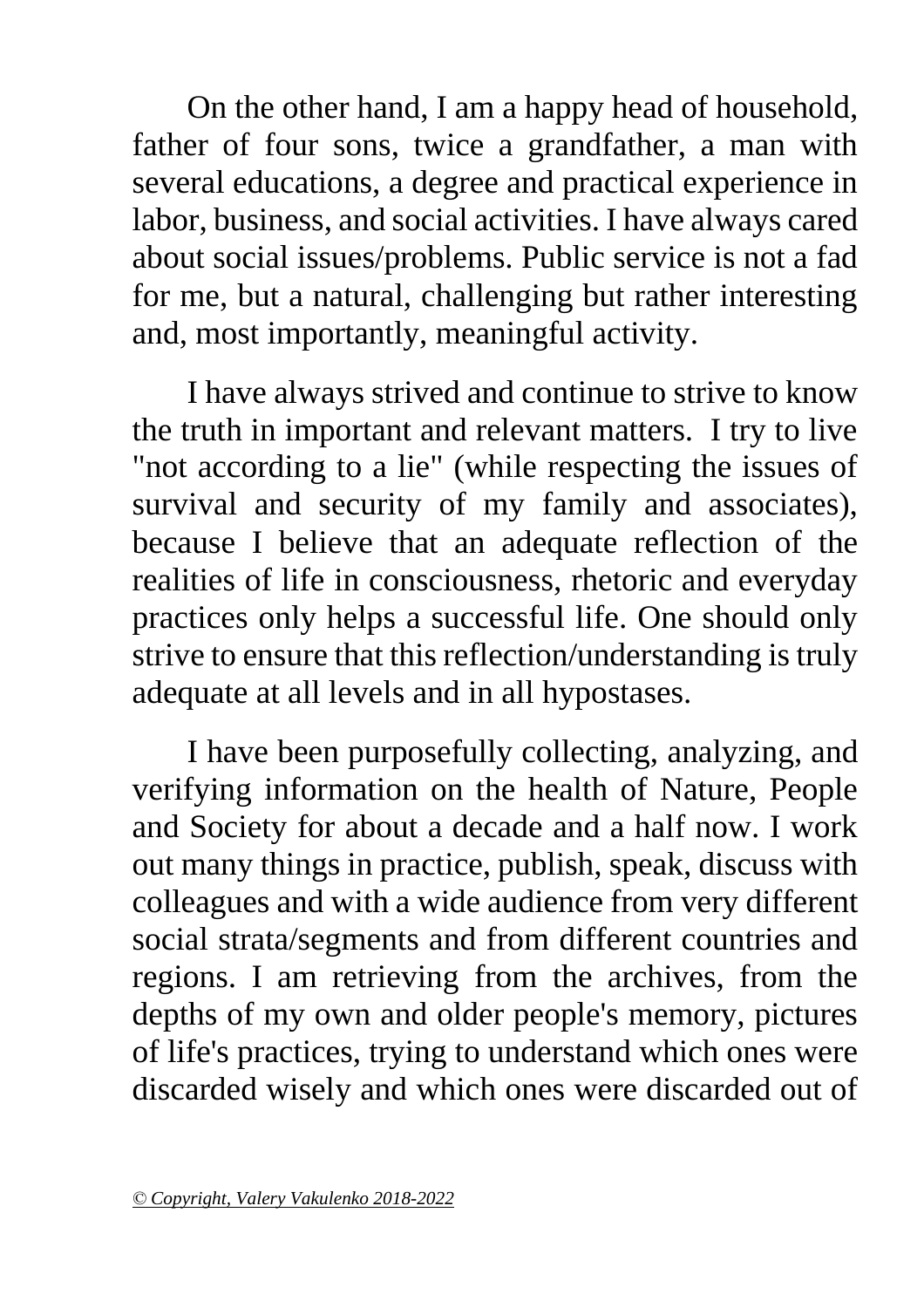On the other hand, I am a happy head of household, father of four sons, twice a grandfather, a man with several educations, a degree and practical experience in labor, business, and social activities. I have always cared about social issues/problems. Public service is not a fad for me, but a natural, challenging but rather interesting and, most importantly, meaningful activity.

I have always strived and continue to strive to know the truth in important and relevant matters. I try to live "not according to a lie" (while respecting the issues of survival and security of my family and associates), because I believe that an adequate reflection of the realities of life in consciousness, rhetoric and everyday practices only helps a successful life. One should only strive to ensure that this reflection/understanding is truly adequate at all levels and in all hypostases.

I have been purposefully collecting, analyzing, and verifying information on the health of Nature, People and Society for about a decade and a half now. I work out many things in practice, publish, speak, discuss with colleagues and with a wide audience from very different social strata/segments and from different countries and regions. I am retrieving from the archives, from the depths of my own and older people's memory, pictures of life's practices, trying to understand which ones were discarded wisely and which ones were discarded out of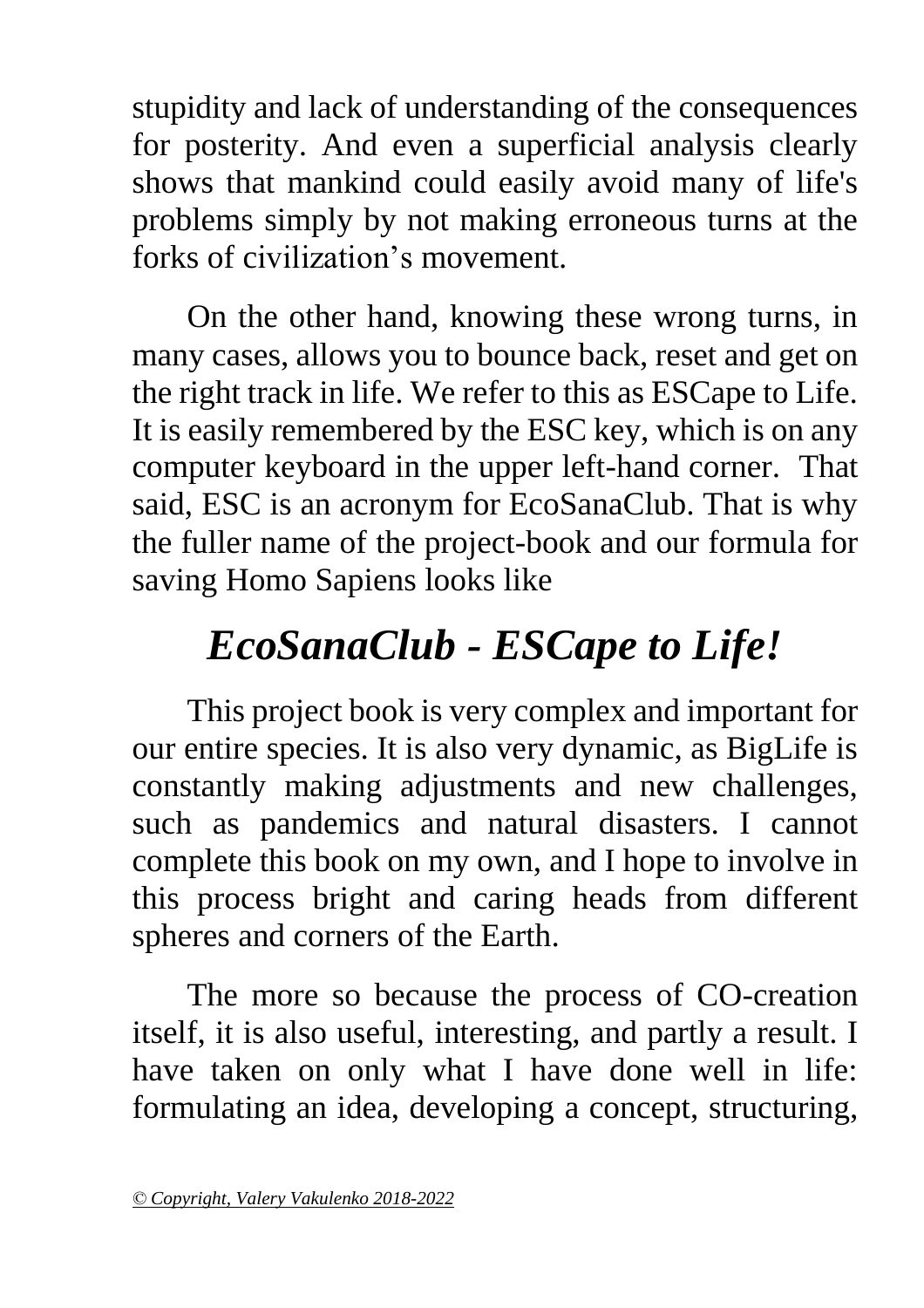stupidity and lack of understanding of the consequences for posterity. And even a superficial analysis clearly shows that mankind could easily avoid many of life's problems simply by not making erroneous turns at the forks of civilization's movement.

On the other hand, knowing these wrong turns, in many cases, allows you to bounce back, reset and get on the right track in life. We refer to this as ESCape to Life. It is easily remembered by the ESC key, which is on any computer keyboard in the upper left-hand corner. That said, ESC is an acronym for EcoSanaClub. That is why the fuller name of the project-book and our formula for saving Homo Sapiens looks like

## *EcoSanaClub - ESCape to Life!*

This project book is very complex and important for our entire species. It is also very dynamic, as BigLife is constantly making adjustments and new challenges, such as pandemics and natural disasters. I cannot complete this book on my own, and I hope to involve in this process bright and caring heads from different spheres and corners of the Earth.

The more so because the process of CO-creation itself, it is also useful, interesting, and partly a result. I have taken on only what I have done well in life: formulating an idea, developing a concept, structuring,

*<sup>©</sup> Copyright, Valery Vakulenko 2018-2022*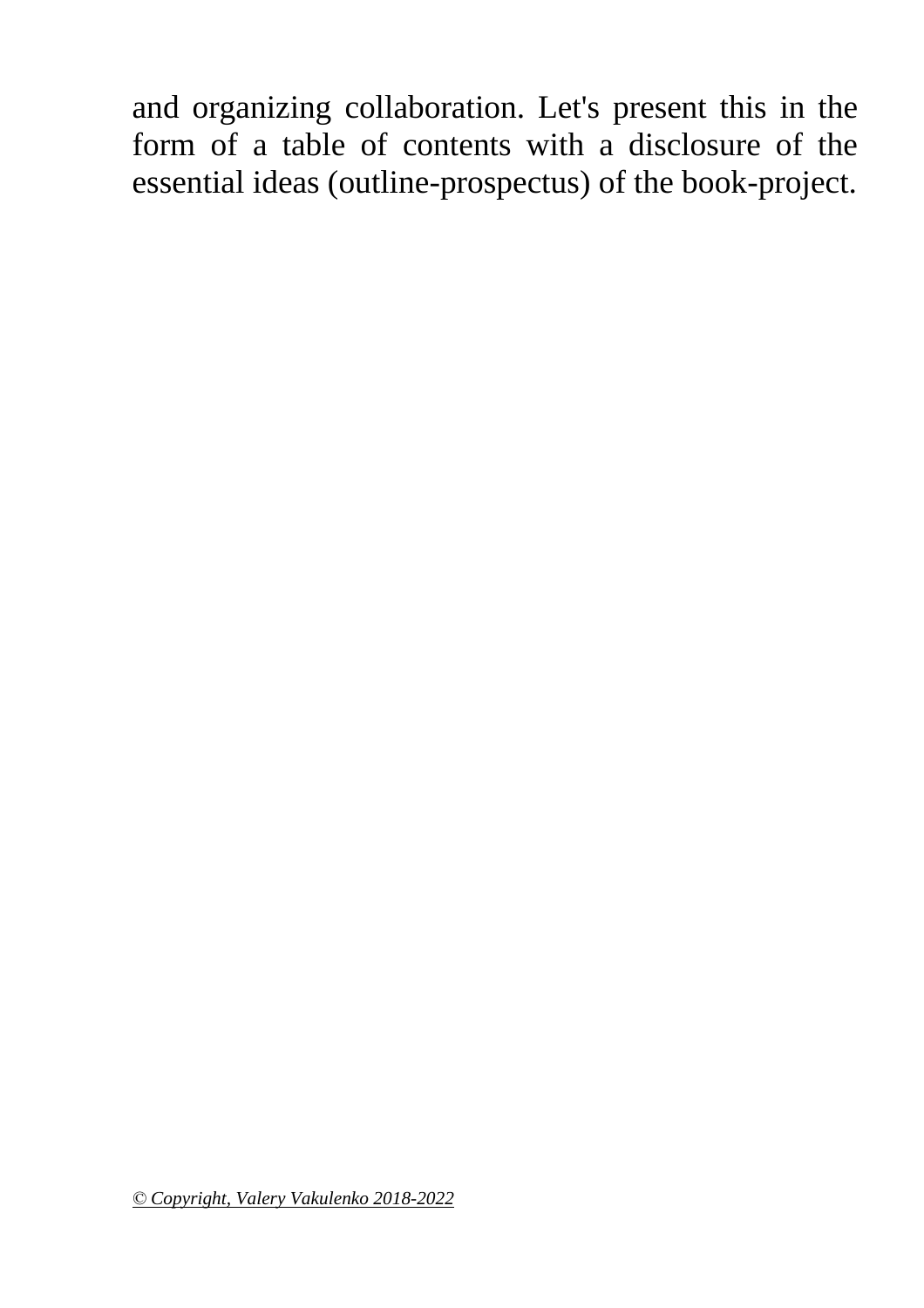and organizing collaboration. Let's present this in the form of a table of contents with a disclosure of the essential ideas (outline-prospectus) of the book-project.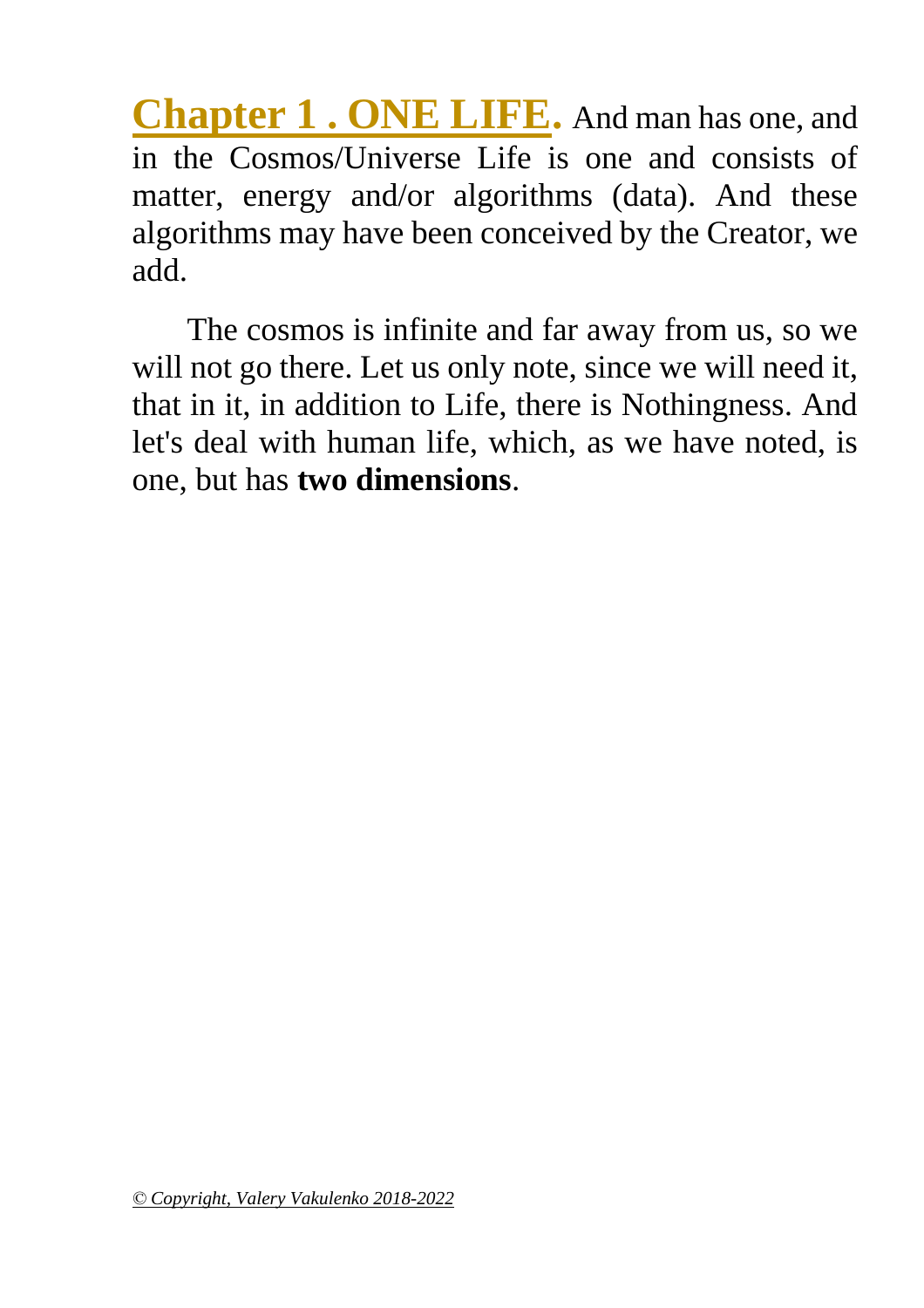<span id="page-17-0"></span>**Chapter 1 . ONE LIFE.** And man has one, and in the Cosmos/Universe Life is one and consists of matter, energy and/or algorithms (data). And these algorithms may have been conceived by the Creator, we add.

<span id="page-17-1"></span>The cosmos is infinite and far away from us, so we will not go there. Let us only note, since we will need it, that in it, in addition to Life, there is Nothingness. And let's deal with human life, which, as we have noted, is one, but has **two dimensions**.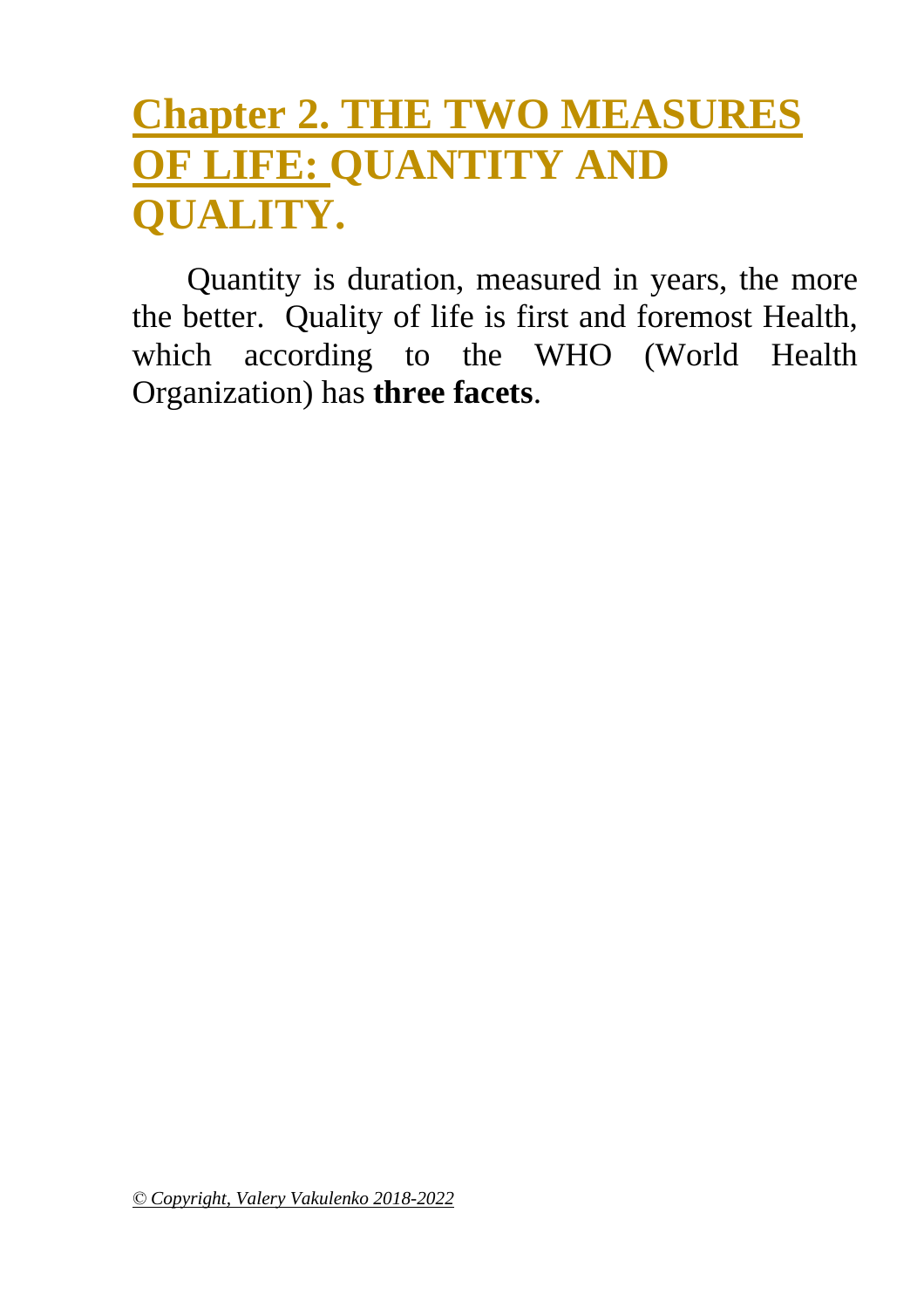## **Chapter 2. THE TWO MEASURES OF LIFE: QUANTITY AND QUALITY.**

<span id="page-18-0"></span>Quantity is duration, measured in years, the more the better. Quality of life is first and foremost Health, which according to the WHO (World Health Organization) has **three facets**.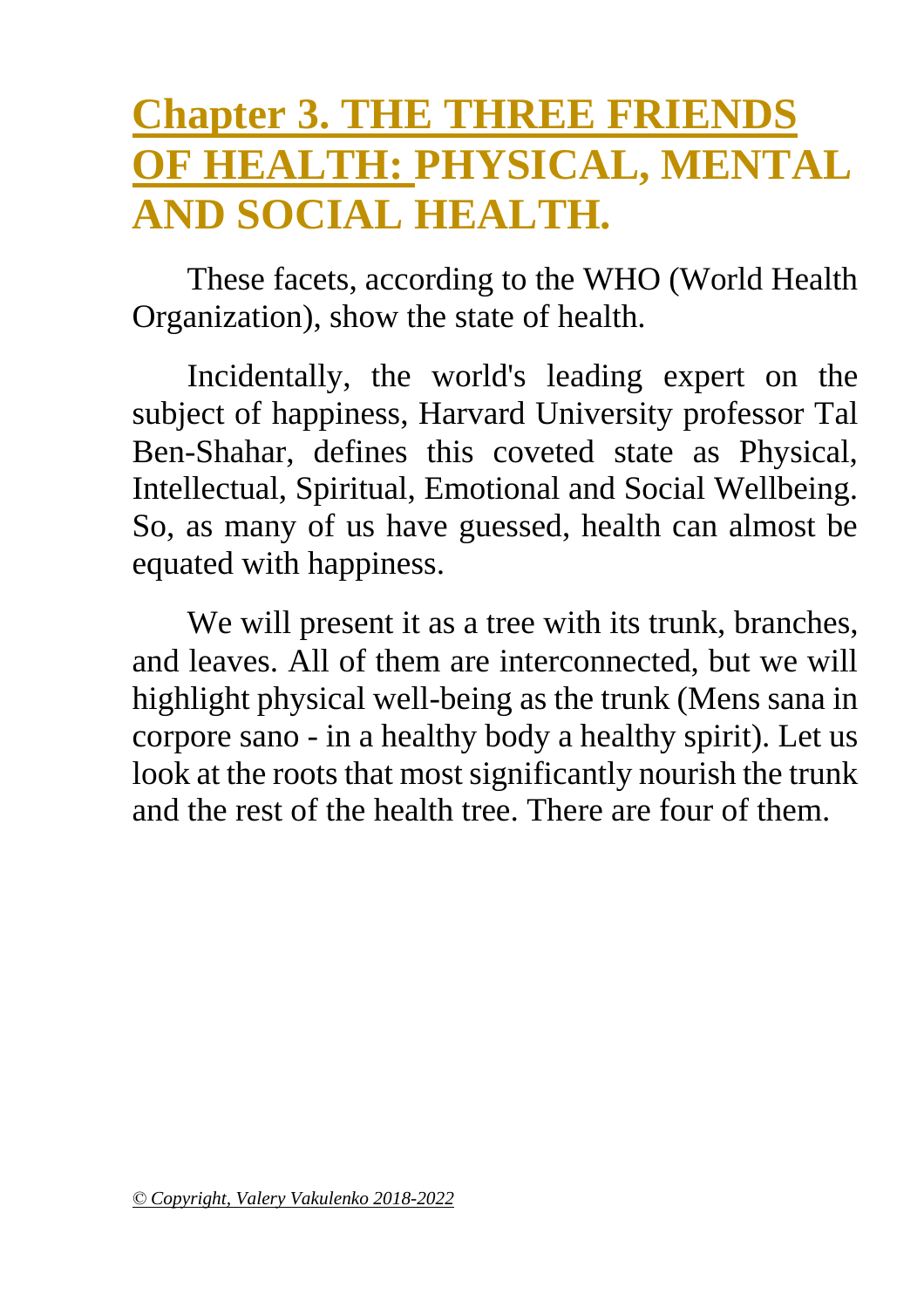## **Chapter 3. THE THREE FRIENDS OF HEALTH: PHYSICAL, MENTAL AND SOCIAL HEALTH.**

These facets, according to the WHO (World Health Organization), show the state of health.

Incidentally, the world's leading expert on the subject of happiness, Harvard University professor Tal Ben-Shahar, defines this coveted state as Physical, Intellectual, Spiritual, Emotional and Social Wellbeing. So, as many of us have guessed, health can almost be equated with happiness.

We will present it as a tree with its trunk, branches, and leaves. All of them are interconnected, but we will highlight physical well-being as the trunk (Mens sana in corpore sano - in a healthy body a healthy spirit). Let us look at the roots that most significantly nourish the trunk and the rest of the health tree. There are four of them.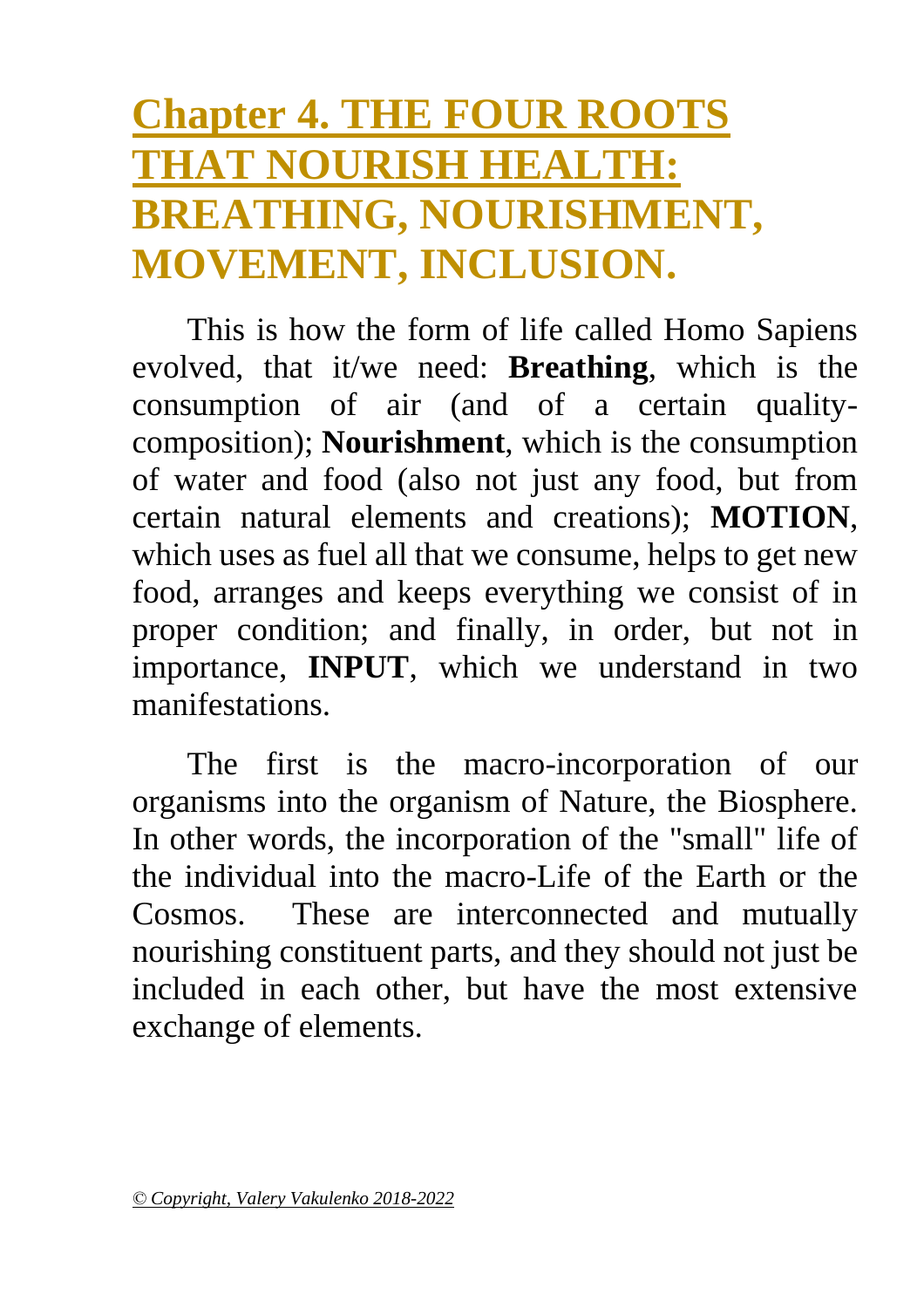## <span id="page-20-0"></span>**Chapter 4. THE FOUR ROOTS THAT NOURISH HEALTH: BREATHING, NOURISHMENT, MOVEMENT, INCLUSION.**

This is how the form of life called Homo Sapiens evolved, that it/we need: **Breathing**, which is the consumption of air (and of a certain qualitycomposition); **Nourishment**, which is the consumption of water and food (also not just any food, but from certain natural elements and creations); **MOTION**, which uses as fuel all that we consume, helps to get new food, arranges and keeps everything we consist of in proper condition; and finally, in order, but not in importance, **INPUT**, which we understand in two manifestations.

The first is the macro-incorporation of our organisms into the organism of Nature, the Biosphere. In other words, the incorporation of the "small" life of the individual into the macro-Life of the Earth or the Cosmos. These are interconnected and mutually nourishing constituent parts, and they should not just be included in each other, but have the most extensive exchange of elements.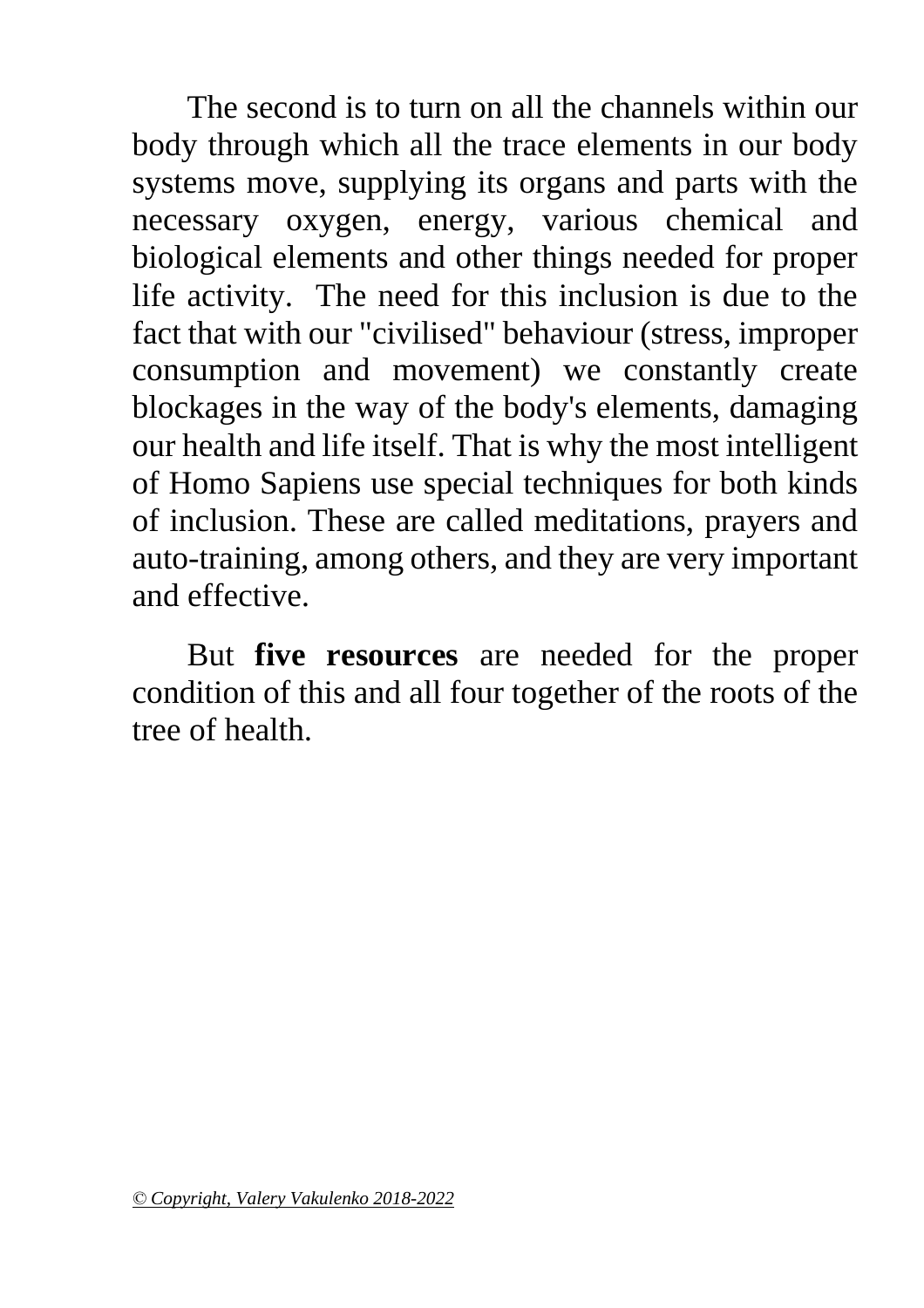The second is to turn on all the channels within our body through which all the trace elements in our body systems move, supplying its organs and parts with the necessary oxygen, energy, various chemical and biological elements and other things needed for proper life activity. The need for this inclusion is due to the fact that with our "civilised" behaviour (stress, improper consumption and movement) we constantly create blockages in the way of the body's elements, damaging our health and life itself. That is why the most intelligent of Homo Sapiens use special techniques for both kinds of inclusion. These are called meditations, prayers and auto-training, among others, and they are very important and effective.

But **five resources** are needed for the proper condition of this and all four together of the roots of the tree of health.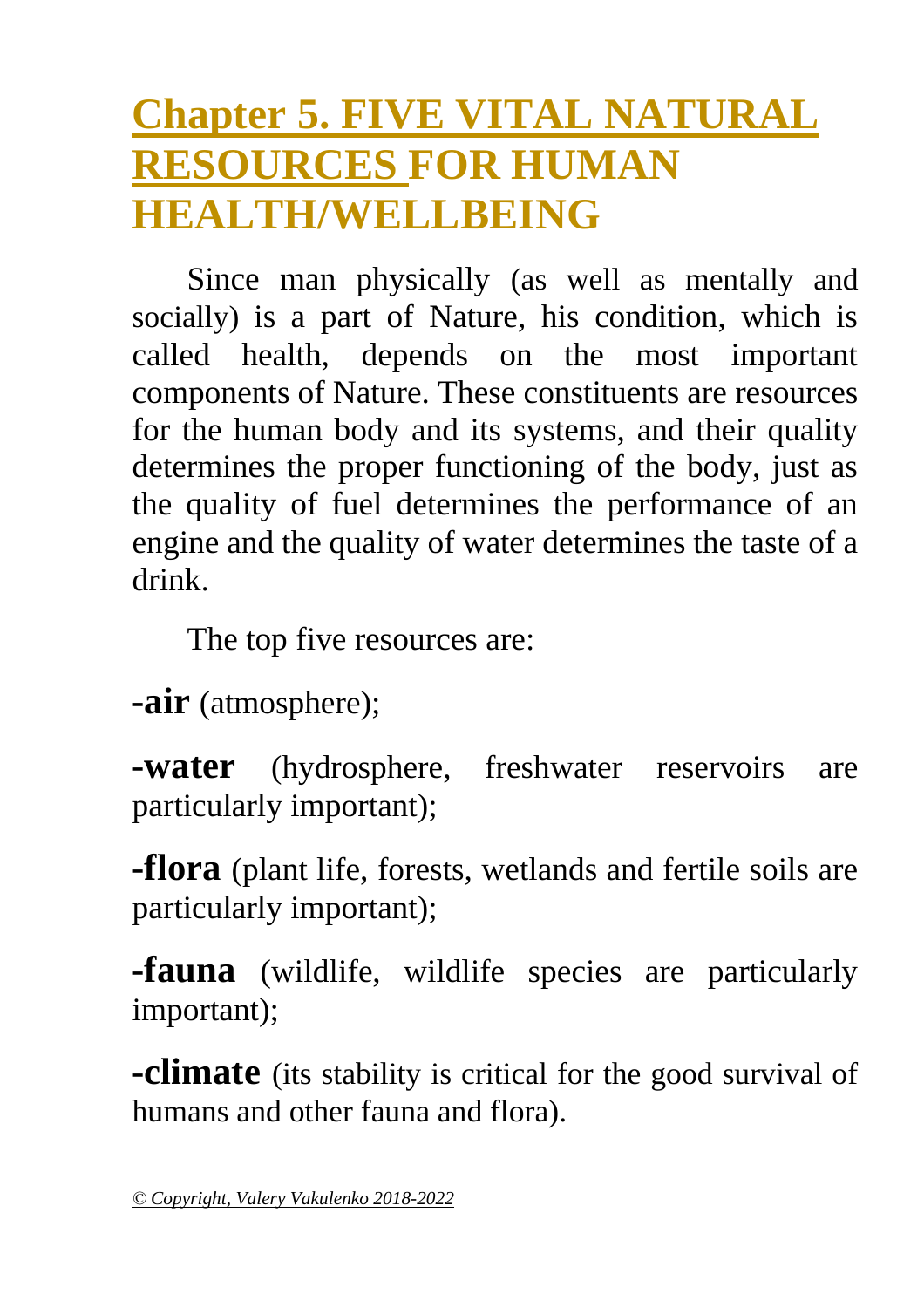## <span id="page-22-0"></span>**Chapter 5. FIVE VITAL NATURAL RESOURCES FOR HUMAN HEALTH/WELLBEING**

Since man physically (as well as mentally and socially) is a part of Nature, his condition, which is called health, depends on the most important components of Nature. These constituents are resources for the human body and its systems, and their quality determines the proper functioning of the body, just as the quality of fuel determines the performance of an engine and the quality of water determines the taste of a drink.

The top five resources are:

**-air** (atmosphere);

**-water** (hydrosphere, freshwater reservoirs are particularly important);

**-flora** (plant life, forests, wetlands and fertile soils are particularly important);

**-fauna** (wildlife, wildlife species are particularly important);

**-climate** (its stability is critical for the good survival of humans and other fauna and flora).

*<sup>©</sup> Copyright, Valery Vakulenko 2018-2022*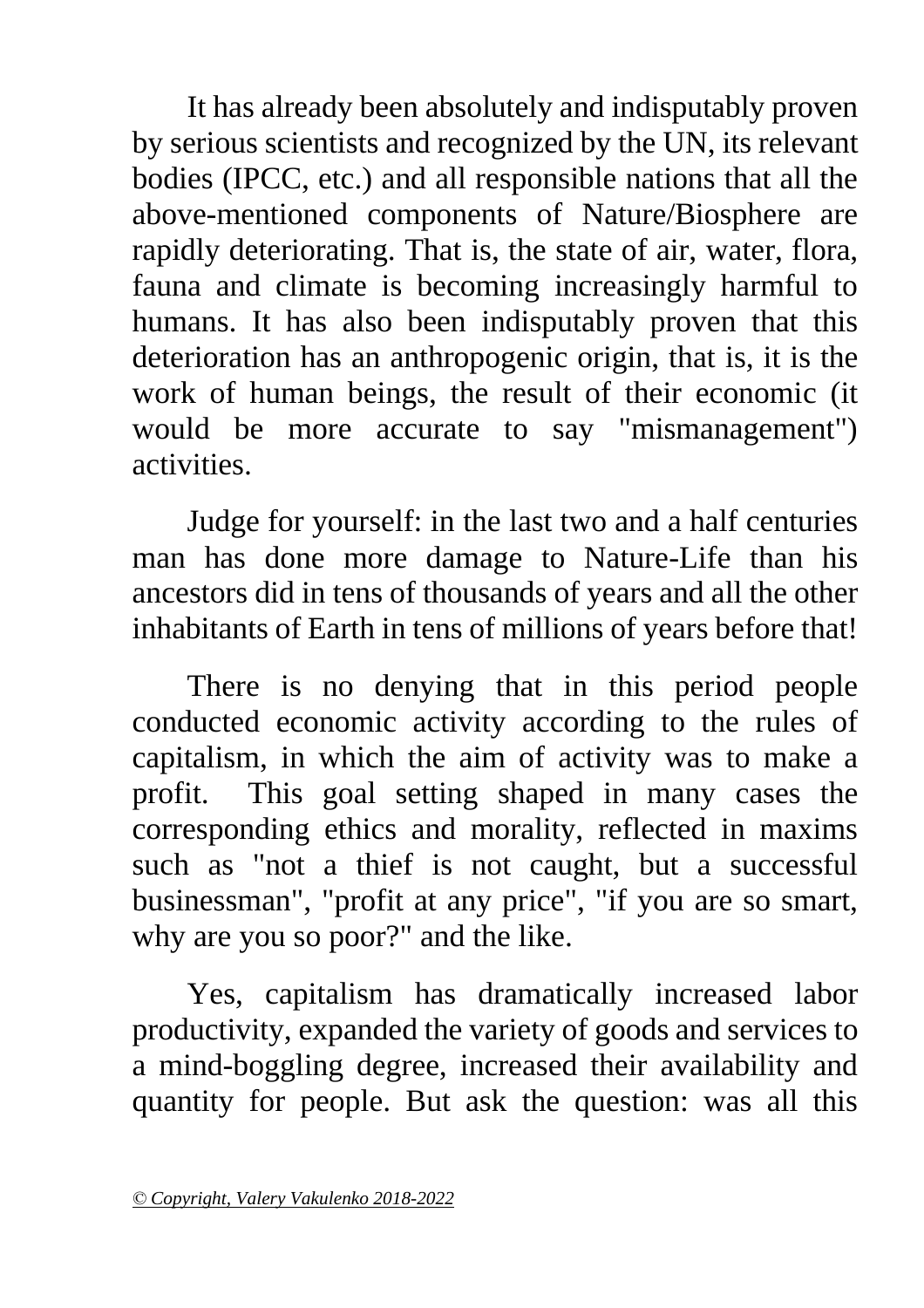It has already been absolutely and indisputably proven by serious scientists and recognized by the UN, its relevant bodies (IPCC, etc.) and all responsible nations that all the above-mentioned components of Nature/Biosphere are rapidly deteriorating. That is, the state of air, water, flora, fauna and climate is becoming increasingly harmful to humans. It has also been indisputably proven that this deterioration has an anthropogenic origin, that is, it is the work of human beings, the result of their economic (it would be more accurate to say "mismanagement") activities.

Judge for yourself: in the last two and a half centuries man has done more damage to Nature-Life than his ancestors did in tens of thousands of years and all the other inhabitants of Earth in tens of millions of years before that!

There is no denying that in this period people conducted economic activity according to the rules of capitalism, in which the aim of activity was to make a profit. This goal setting shaped in many cases the corresponding ethics and morality, reflected in maxims such as "not a thief is not caught, but a successful businessman", "profit at any price", "if you are so smart, why are you so poor?" and the like.

Yes, capitalism has dramatically increased labor productivity, expanded the variety of goods and services to a mind-boggling degree, increased their availability and quantity for people. But ask the question: was all this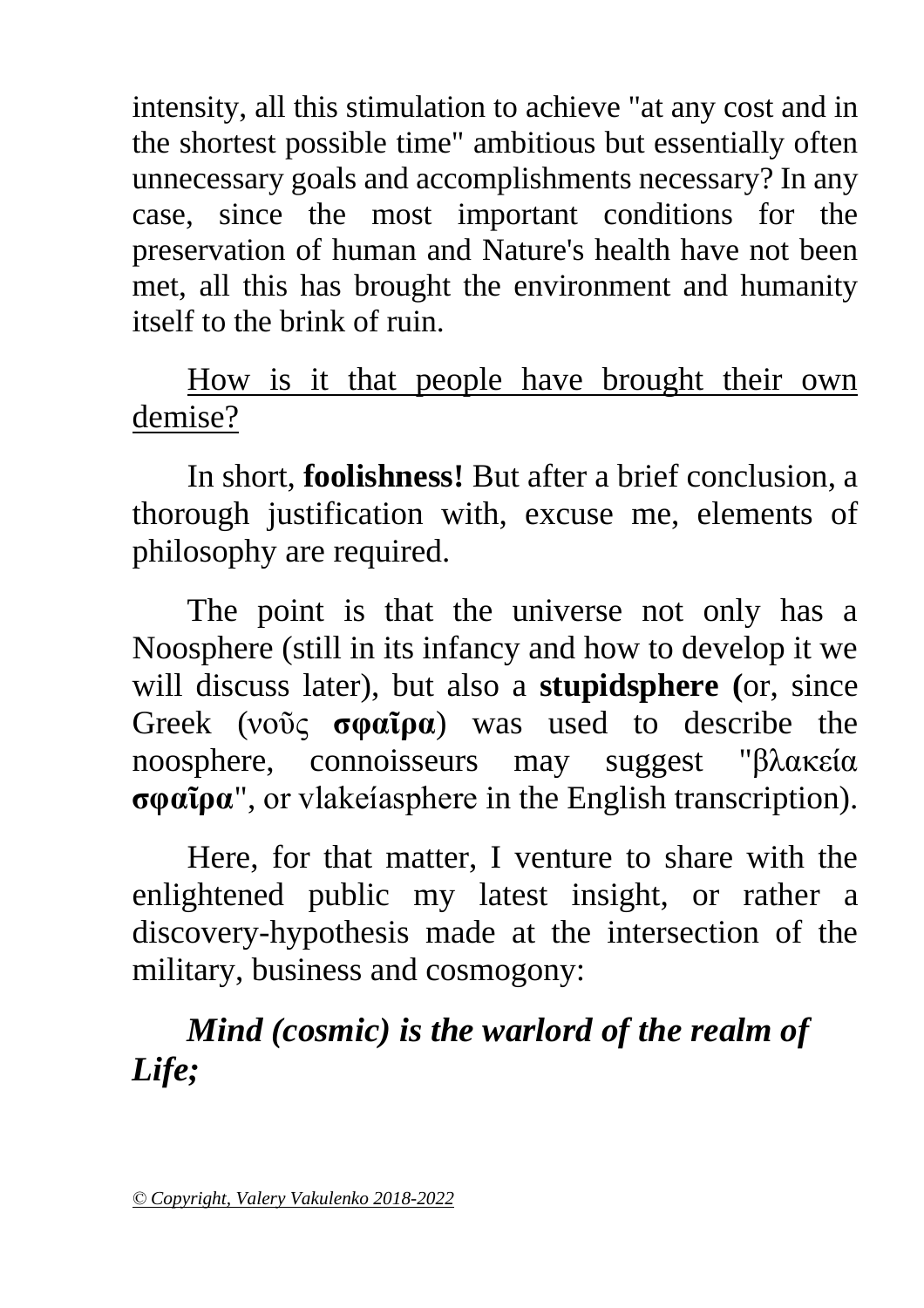intensity, all this stimulation to achieve "at any cost and in the shortest possible time" ambitious but essentially often unnecessary goals and accomplishments necessary? In any case, since the most important conditions for the preservation of human and Nature's health have not been met, all this has brought the environment and humanity itself to the brink of ruin.

#### How is it that people have brought their own demise?

In short, **foolishness!** But after a brief conclusion, a thorough justification with, excuse me, elements of philosophy are required.

The point is that the universe not only has a Noosphere (still in its infancy and how to develop it we will discuss later), but also a **stupidsphere (**or, since Greek (νοῦς **σφαῖρα**) was used to describe the noosphere, connoisseurs may suggest "βλακεία **σφαῖρα**", or vlakeíasphere in the English transcription).

Here, for that matter, I venture to share with the enlightened public my latest insight, or rather a discovery-hypothesis made at the intersection of the military, business and cosmogony:

#### *Mind (cosmic) is the warlord of the realm of Life;*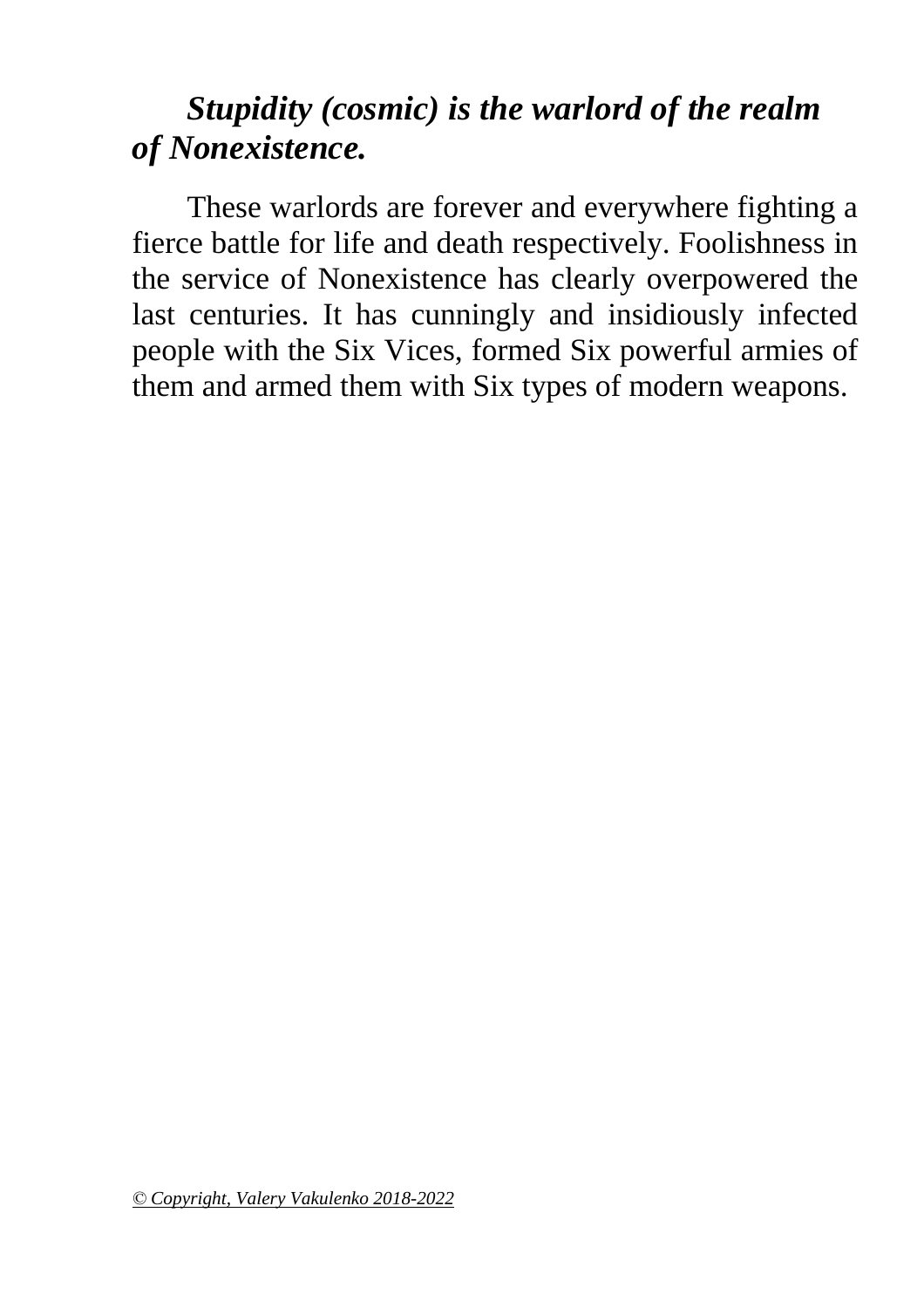#### *Stupidity (cosmic) is the warlord of the realm of Nonexistence.*

These warlords are forever and everywhere fighting a fierce battle for life and death respectively. Foolishness in the service of Nonexistence has clearly overpowered the last centuries. It has cunningly and insidiously infected people with the Six Vices, formed Six powerful armies of them and armed them with Six types of modern weapons.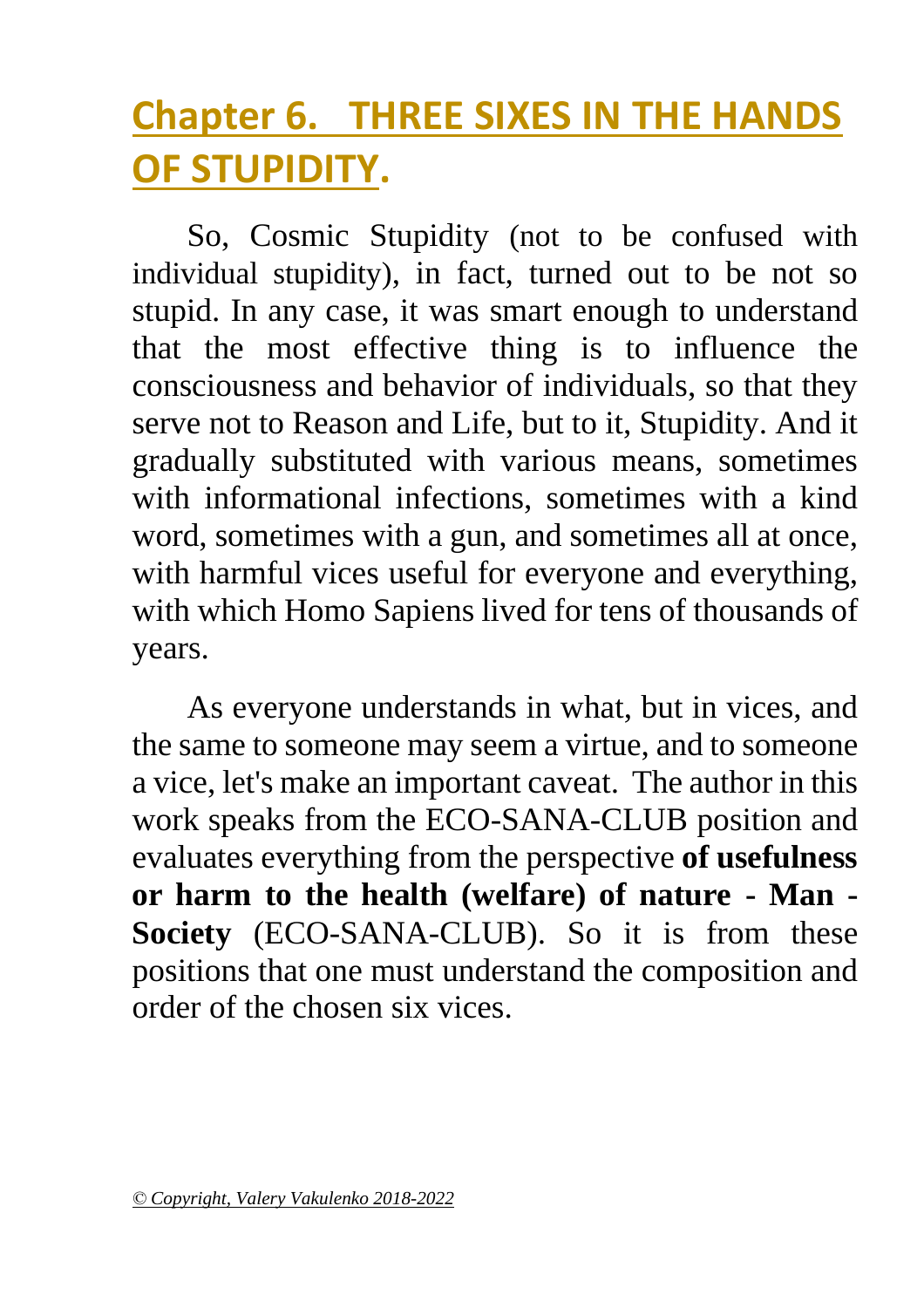## <span id="page-26-0"></span>**Chapter 6. THREE SIXES IN THE HANDS OF STUPIDITY.**

So, Cosmic Stupidity (not to be confused with individual stupidity), in fact, turned out to be not so stupid. In any case, it was smart enough to understand that the most effective thing is to influence the consciousness and behavior of individuals, so that they serve not to Reason and Life, but to it, Stupidity. And it gradually substituted with various means, sometimes with informational infections, sometimes with a kind word, sometimes with a gun, and sometimes all at once, with harmful vices useful for everyone and everything, with which Homo Sapiens lived for tens of thousands of years.

As everyone understands in what, but in vices, and the same to someone may seem a virtue, and to someone a vice, let's make an important caveat. The author in this work speaks from the ECO-SANA-CLUB position and evaluates everything from the perspective **of usefulness or harm to the health (welfare) of nature - Man - Society** (ECO-SANA-CLUB). So it is from these positions that one must understand the composition and order of the chosen six vices.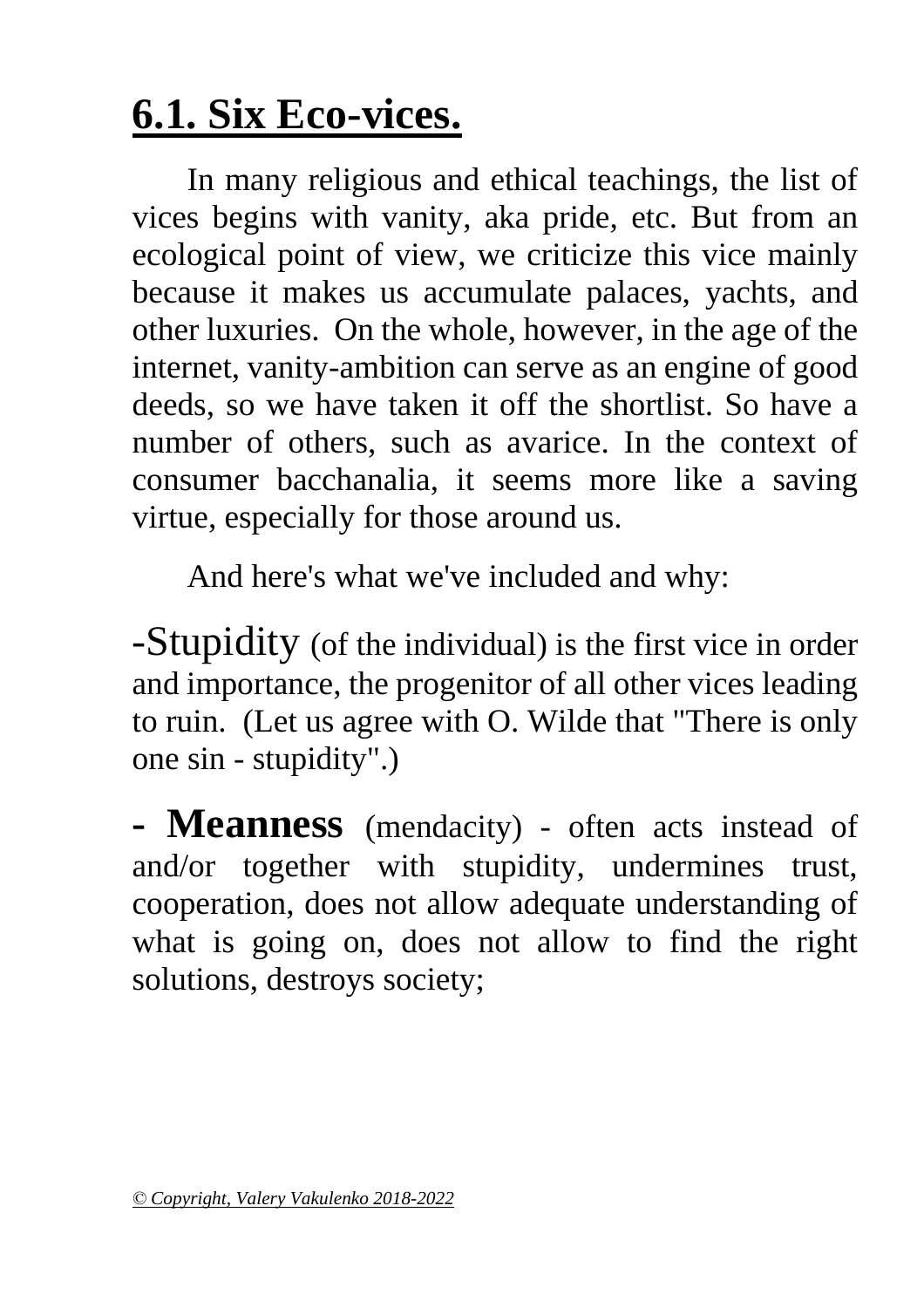## **6.1. Six Eco-vices.**

In many religious and ethical teachings, the list of vices begins with vanity, aka pride, etc. But from an ecological point of view, we criticize this vice mainly because it makes us accumulate palaces, yachts, and other luxuries. On the whole, however, in the age of the internet, vanity-ambition can serve as an engine of good deeds, so we have taken it off the shortlist. So have a number of others, such as avarice. In the context of consumer bacchanalia, it seems more like a saving virtue, especially for those around us.

And here's what we've included and why:

-Stupidity (of the individual) is the first vice in order and importance, the progenitor of all other vices leading to ruin. (Let us agree with O. Wilde that "There is only one sin - stupidity".)

**- Meanness** (mendacity) - often acts instead of and/or together with stupidity, undermines trust, cooperation, does not allow adequate understanding of what is going on, does not allow to find the right solutions, destroys society;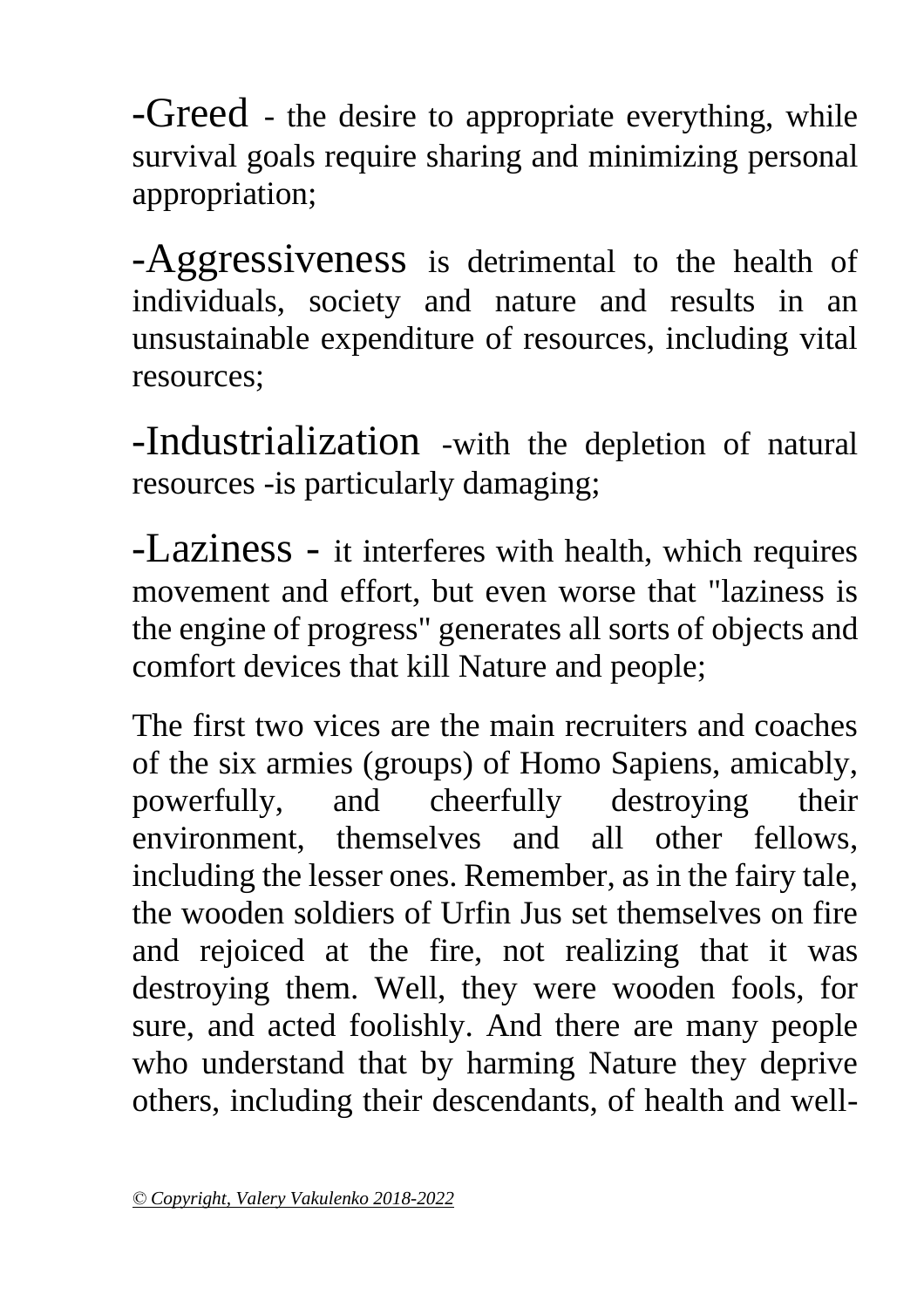-Greed - the desire to appropriate everything, while survival goals require sharing and minimizing personal appropriation;

-Aggressiveness is detrimental to the health of individuals, society and nature and results in an unsustainable expenditure of resources, including vital resources;

-Industrialization -with the depletion of natural resources -is particularly damaging;

-Laziness - it interferes with health, which requires movement and effort, but even worse that "laziness is the engine of progress" generates all sorts of objects and comfort devices that kill Nature and people;

The first two vices are the main recruiters and coaches of the six armies (groups) of Homo Sapiens, amicably, powerfully, and cheerfully destroying their environment, themselves and all other fellows, including the lesser ones. Remember, as in the fairy tale, the wooden soldiers of Urfin Jus set themselves on fire and rejoiced at the fire, not realizing that it was destroying them. Well, they were wooden fools, for sure, and acted foolishly. And there are many people who understand that by harming Nature they deprive others, including their descendants, of health and well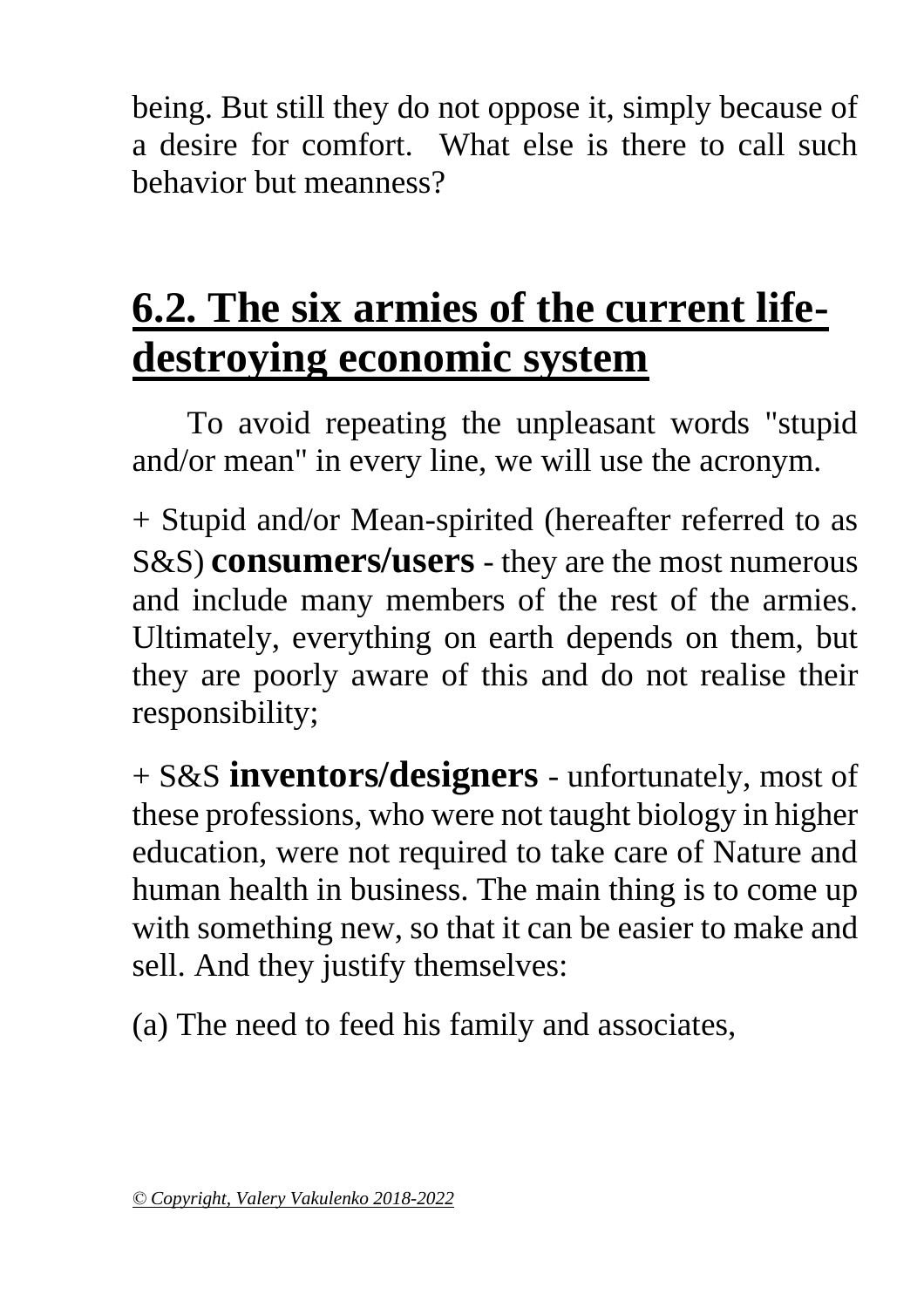being. But still they do not oppose it, simply because of a desire for comfort. What else is there to call such behavior but meanness?

## **6.2. The six armies of the current lifedestroying economic system**

To avoid repeating the unpleasant words "stupid and/or mean" in every line, we will use the acronym.

+ Stupid and/or Mean-spirited (hereafter referred to as S&S) **consumers/users** - they are the most numerous and include many members of the rest of the armies. Ultimately, everything on earth depends on them, but they are poorly aware of this and do not realise their responsibility;

+ S&S **inventors/designers** - unfortunately, most of these professions, who were not taught biology in higher education, were not required to take care of Nature and human health in business. The main thing is to come up with something new, so that it can be easier to make and sell. And they justify themselves:

(a) The need to feed his family and associates,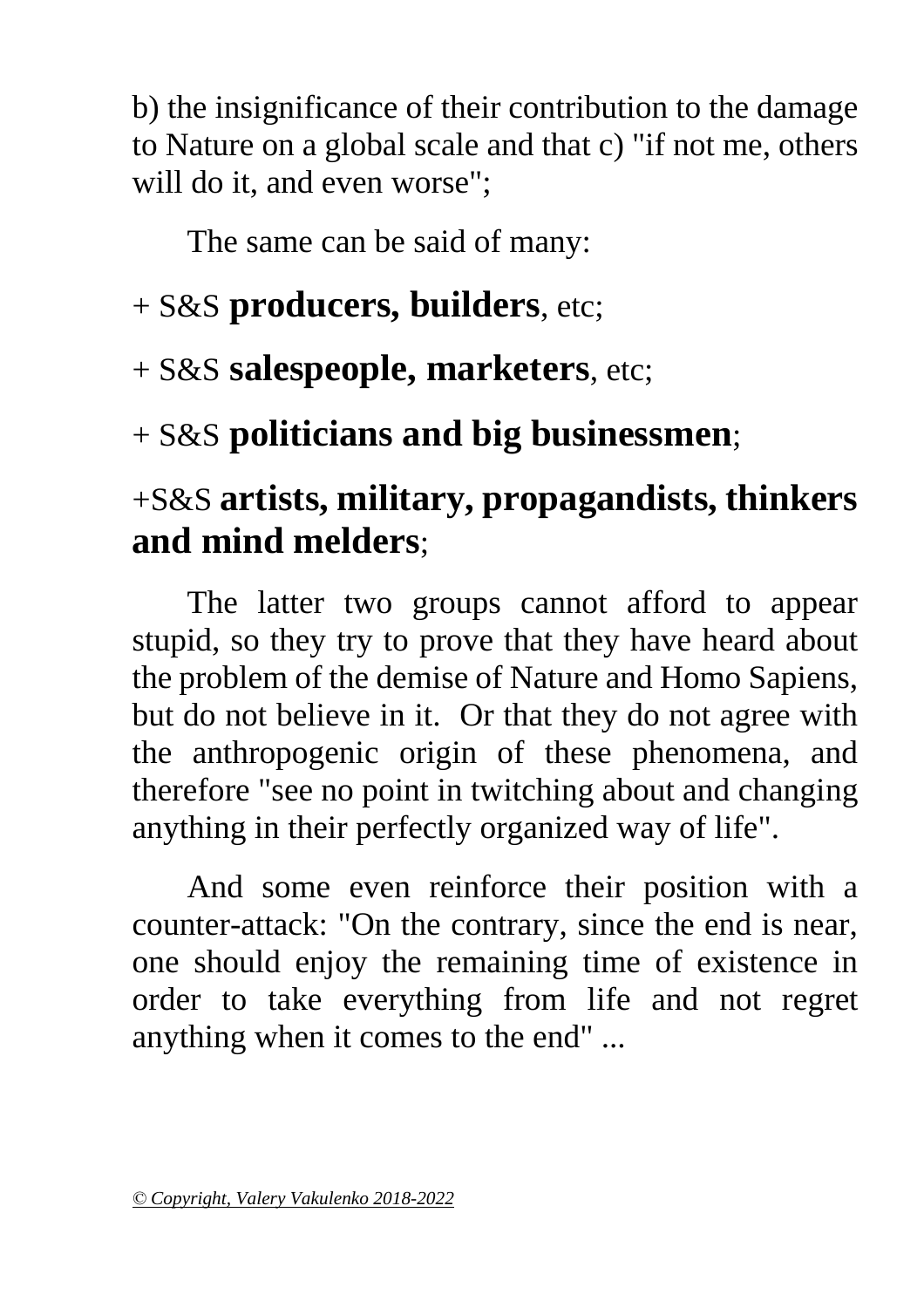b) the insignificance of their contribution to the damage to Nature on a global scale and that c) "if not me, others will do it, and even worse";

The same can be said of many:

#### + S&S **producers, builders**, etc;

+ S&S **salespeople, marketers**, etc;

+ S&S **politicians and big businessmen**;

#### +S&S **artists, military, propagandists, thinkers and mind melders**;

The latter two groups cannot afford to appear stupid, so they try to prove that they have heard about the problem of the demise of Nature and Homo Sapiens, but do not believe in it. Or that they do not agree with the anthropogenic origin of these phenomena, and therefore "see no point in twitching about and changing anything in their perfectly organized way of life".

And some even reinforce their position with a counter-attack: "On the contrary, since the end is near, one should enjoy the remaining time of existence in order to take everything from life and not regret anything when it comes to the end" ...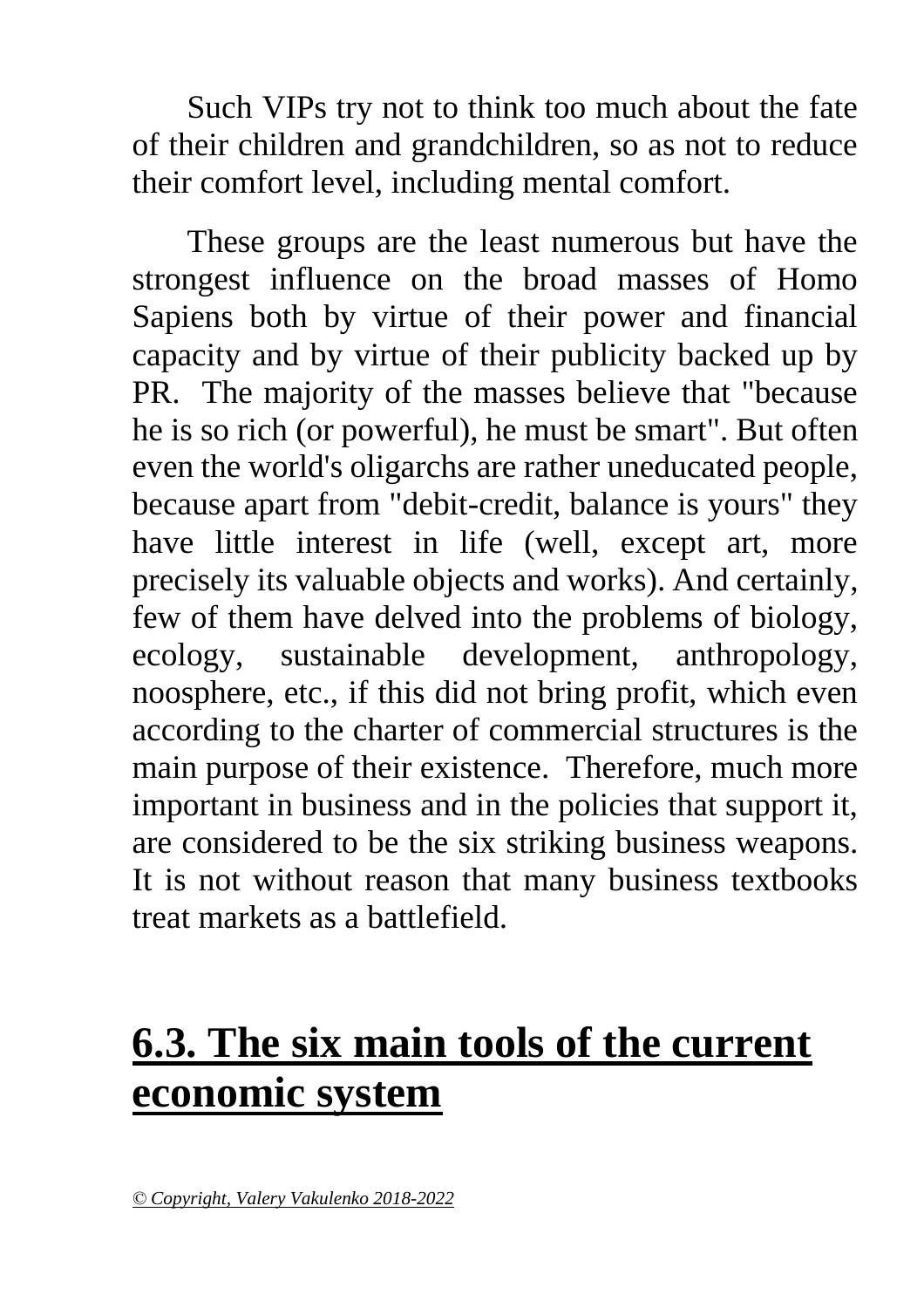Such VIPs try not to think too much about the fate of their children and grandchildren, so as not to reduce their comfort level, including mental comfort.

These groups are the least numerous but have the strongest influence on the broad masses of Homo Sapiens both by virtue of their power and financial capacity and by virtue of their publicity backed up by PR. The majority of the masses believe that "because he is so rich (or powerful), he must be smart". But often even the world's oligarchs are rather uneducated people, because apart from "debit-credit, balance is yours" they have little interest in life (well, except art, more precisely its valuable objects and works). And certainly, few of them have delved into the problems of biology, ecology, sustainable development, anthropology, noosphere, etc., if this did not bring profit, which even according to the charter of commercial structures is the main purpose of their existence. Therefore, much more important in business and in the policies that support it, are considered to be the six striking business weapons. It is not without reason that many business textbooks treat markets as a battlefield.

## **6.3. The six main tools of the current economic system**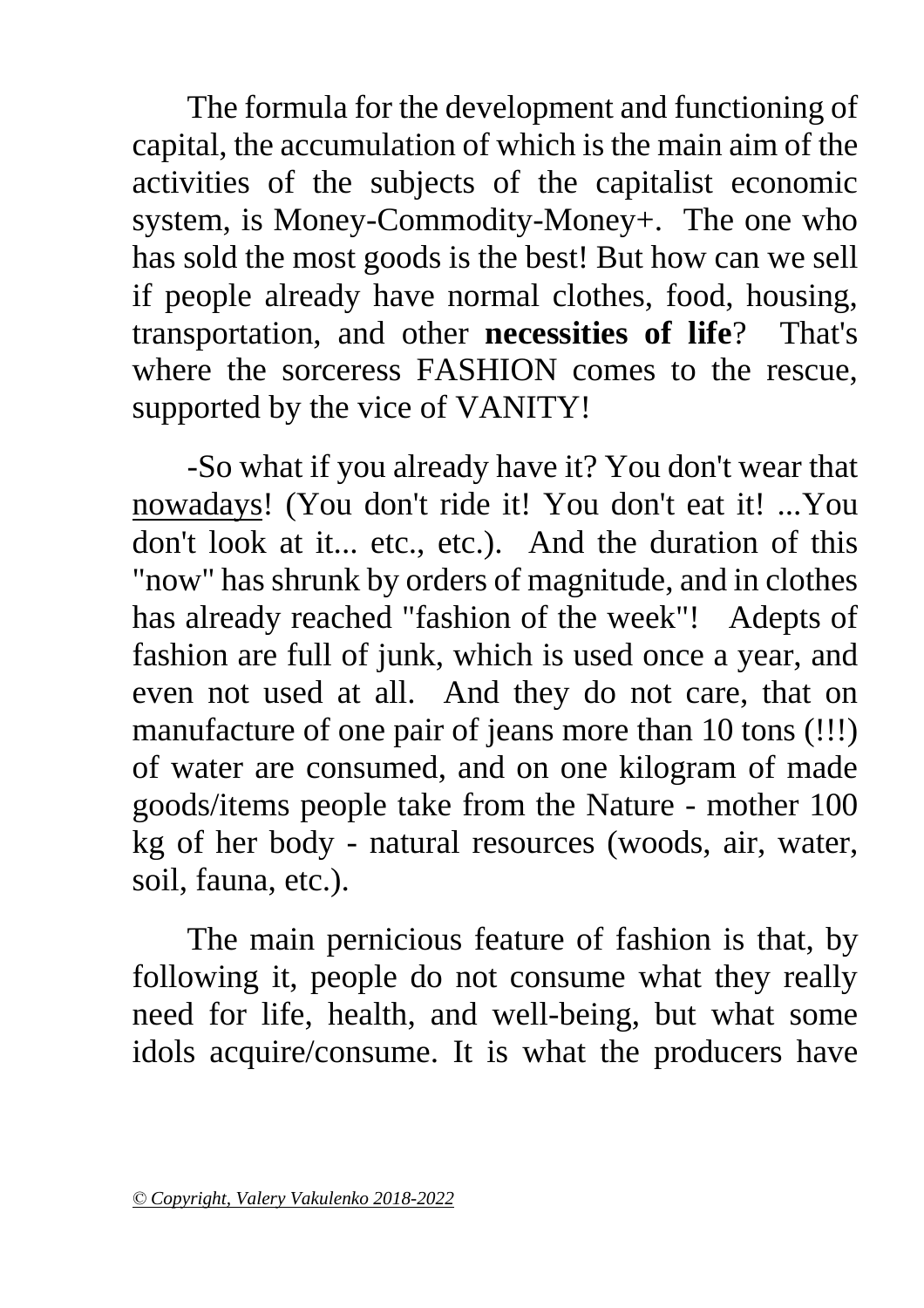The formula for the development and functioning of capital, the accumulation of which is the main aim of the activities of the subjects of the capitalist economic system, is Money-Commodity-Money+. The one who has sold the most goods is the best! But how can we sell if people already have normal clothes, food, housing, transportation, and other **necessities of life**? That's where the sorceress FASHION comes to the rescue, supported by the vice of VANITY!

-So what if you already have it? You don't wear that nowadays! (You don't ride it! You don't eat it! ...You don't look at it... etc., etc.). And the duration of this "now" has shrunk by orders of magnitude, and in clothes has already reached "fashion of the week"! Adepts of fashion are full of junk, which is used once a year, and even not used at all. And they do not care, that on manufacture of one pair of jeans more than 10 tons (!!!) of water are consumed, and on one kilogram of made goods/items people take from the Nature - mother 100 kg of her body - natural resources (woods, air, water, soil, fauna, etc.).

The main pernicious feature of fashion is that, by following it, people do not consume what they really need for life, health, and well-being, but what some idols acquire/consume. It is what the producers have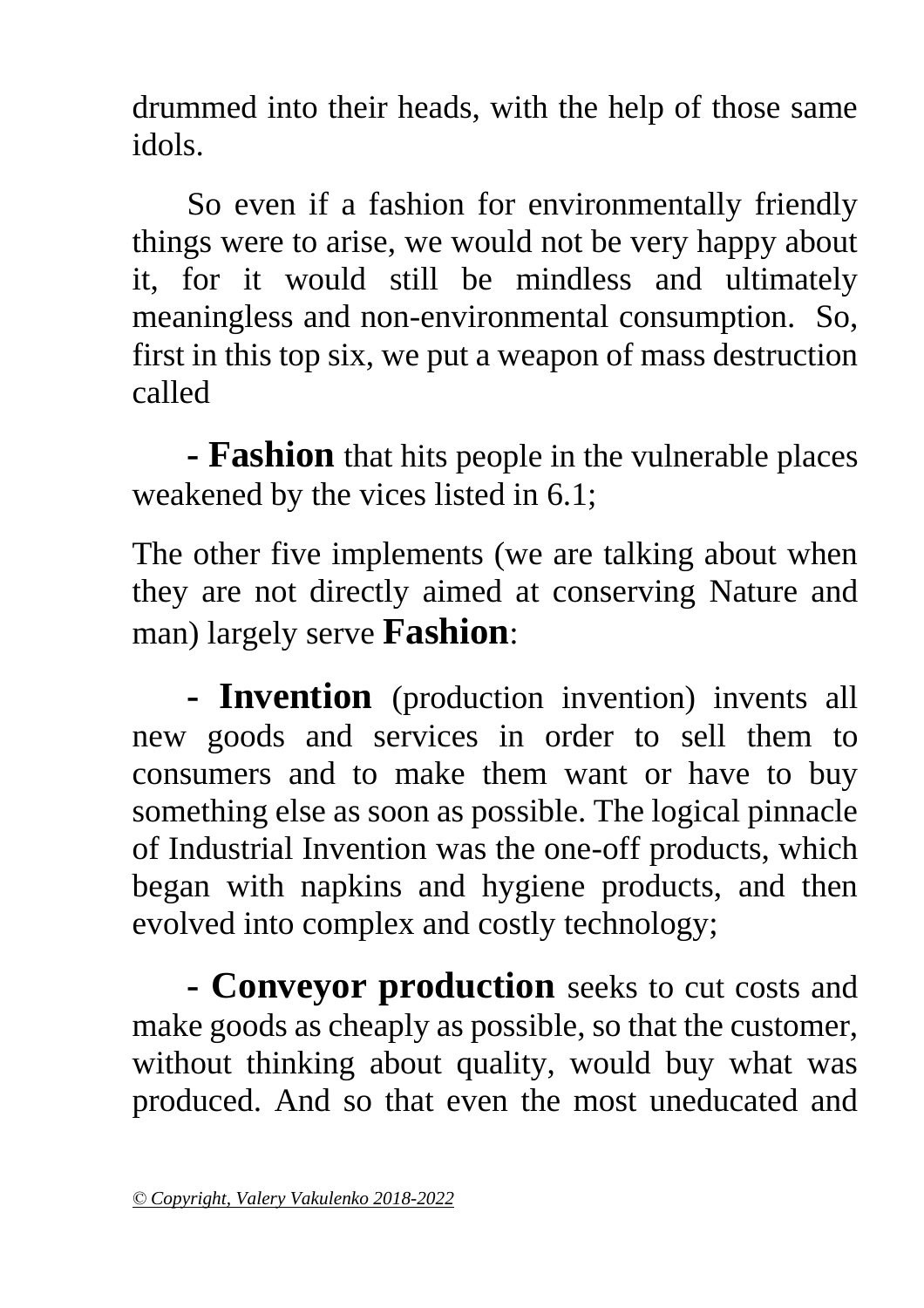drummed into their heads, with the help of those same idols.

So even if a fashion for environmentally friendly things were to arise, we would not be very happy about it, for it would still be mindless and ultimately meaningless and non-environmental consumption. So, first in this top six, we put a weapon of mass destruction called

**- Fashion** that hits people in the vulnerable places weakened by the vices listed in 6.1;

The other five implements (we are talking about when they are not directly aimed at conserving Nature and man) largely serve **Fashion**:

**- Invention** (production invention) invents all new goods and services in order to sell them to consumers and to make them want or have to buy something else as soon as possible. The logical pinnacle of Industrial Invention was the one-off products, which began with napkins and hygiene products, and then evolved into complex and costly technology;

**- Conveyor production** seeks to cut costs and make goods as cheaply as possible, so that the customer, without thinking about quality, would buy what was produced. And so that even the most uneducated and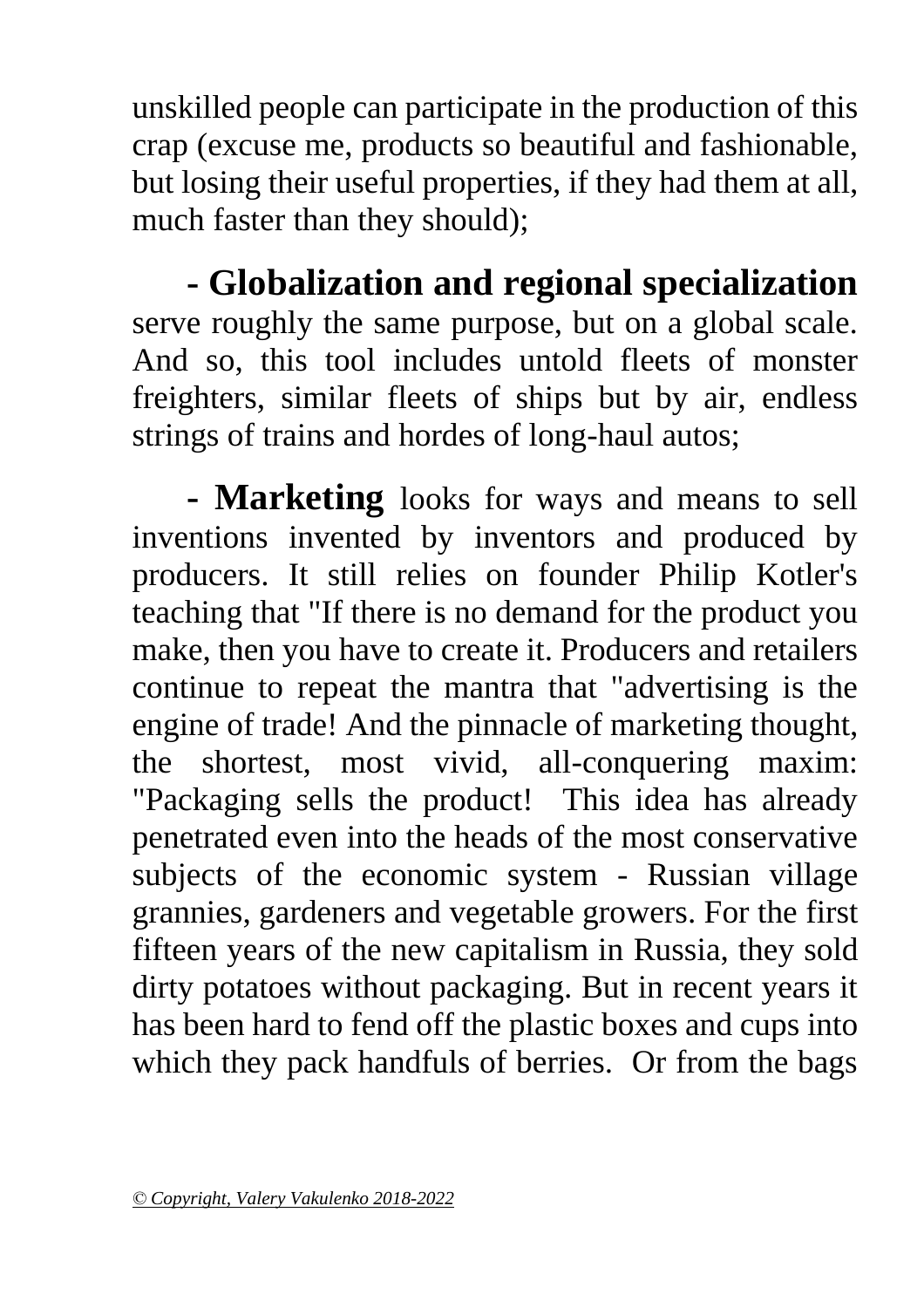unskilled people can participate in the production of this crap (excuse me, products so beautiful and fashionable, but losing their useful properties, if they had them at all, much faster than they should);

**- Globalization and regional specialization** serve roughly the same purpose, but on a global scale. And so, this tool includes untold fleets of monster freighters, similar fleets of ships but by air, endless strings of trains and hordes of long-haul autos;

**- Marketing** looks for ways and means to sell inventions invented by inventors and produced by producers. It still relies on founder Philip Kotler's teaching that "If there is no demand for the product you make, then you have to create it. Producers and retailers continue to repeat the mantra that "advertising is the engine of trade! And the pinnacle of marketing thought, the shortest, most vivid, all-conquering maxim: "Packaging sells the product! This idea has already penetrated even into the heads of the most conservative subjects of the economic system - Russian village grannies, gardeners and vegetable growers. For the first fifteen years of the new capitalism in Russia, they sold dirty potatoes without packaging. But in recent years it has been hard to fend off the plastic boxes and cups into which they pack handfuls of berries. Or from the bags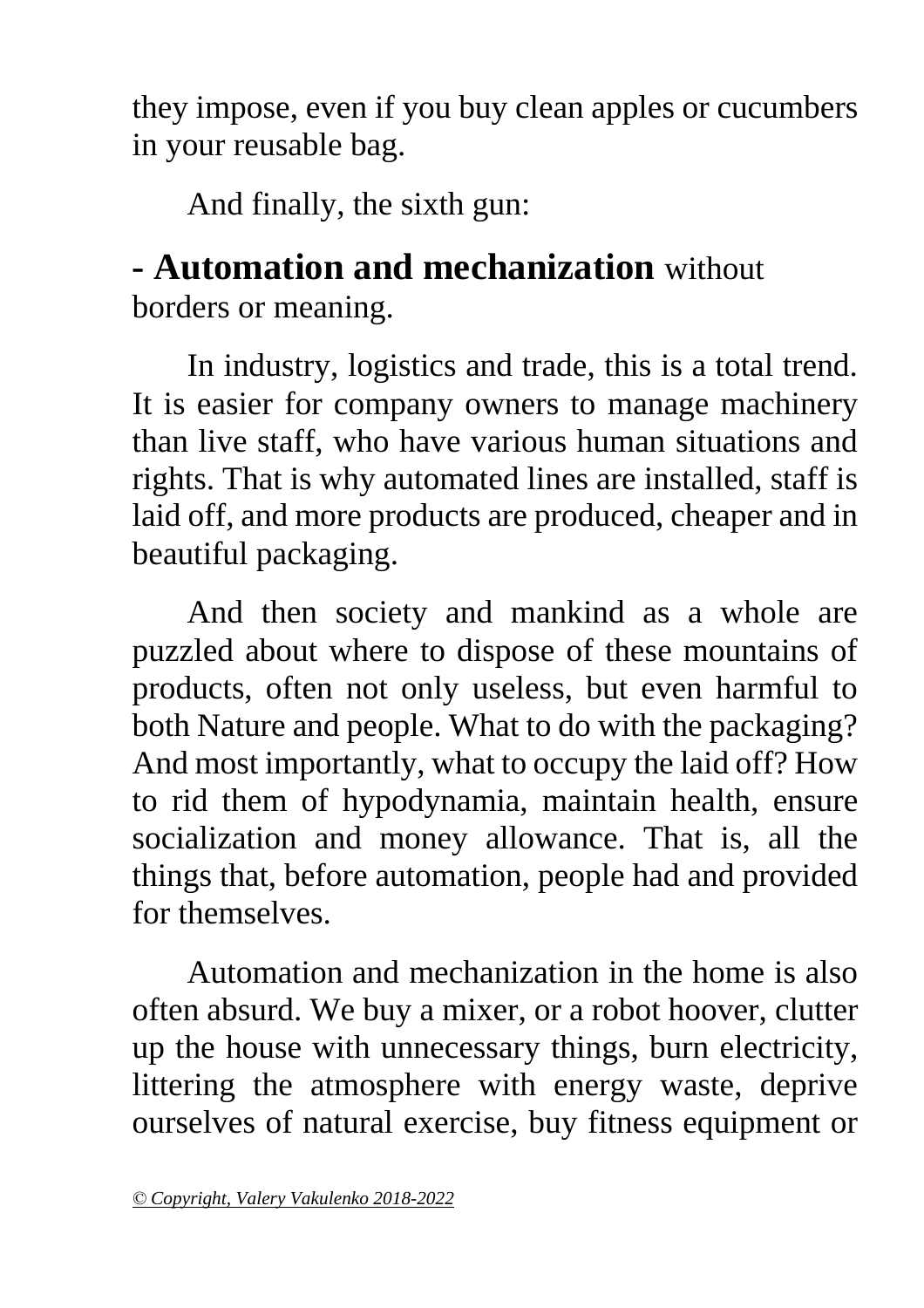they impose, even if you buy clean apples or cucumbers in your reusable bag.

And finally, the sixth gun:

#### **- Automation and mechanization** without borders or meaning.

In industry, logistics and trade, this is a total trend. It is easier for company owners to manage machinery than live staff, who have various human situations and rights. That is why automated lines are installed, staff is laid off, and more products are produced, cheaper and in beautiful packaging.

And then society and mankind as a whole are puzzled about where to dispose of these mountains of products, often not only useless, but even harmful to both Nature and people. What to do with the packaging? And most importantly, what to occupy the laid off? How to rid them of hypodynamia, maintain health, ensure socialization and money allowance. That is, all the things that, before automation, people had and provided for themselves.

Automation and mechanization in the home is also often absurd. We buy a mixer, or a robot hoover, clutter up the house with unnecessary things, burn electricity, littering the atmosphere with energy waste, deprive ourselves of natural exercise, buy fitness equipment or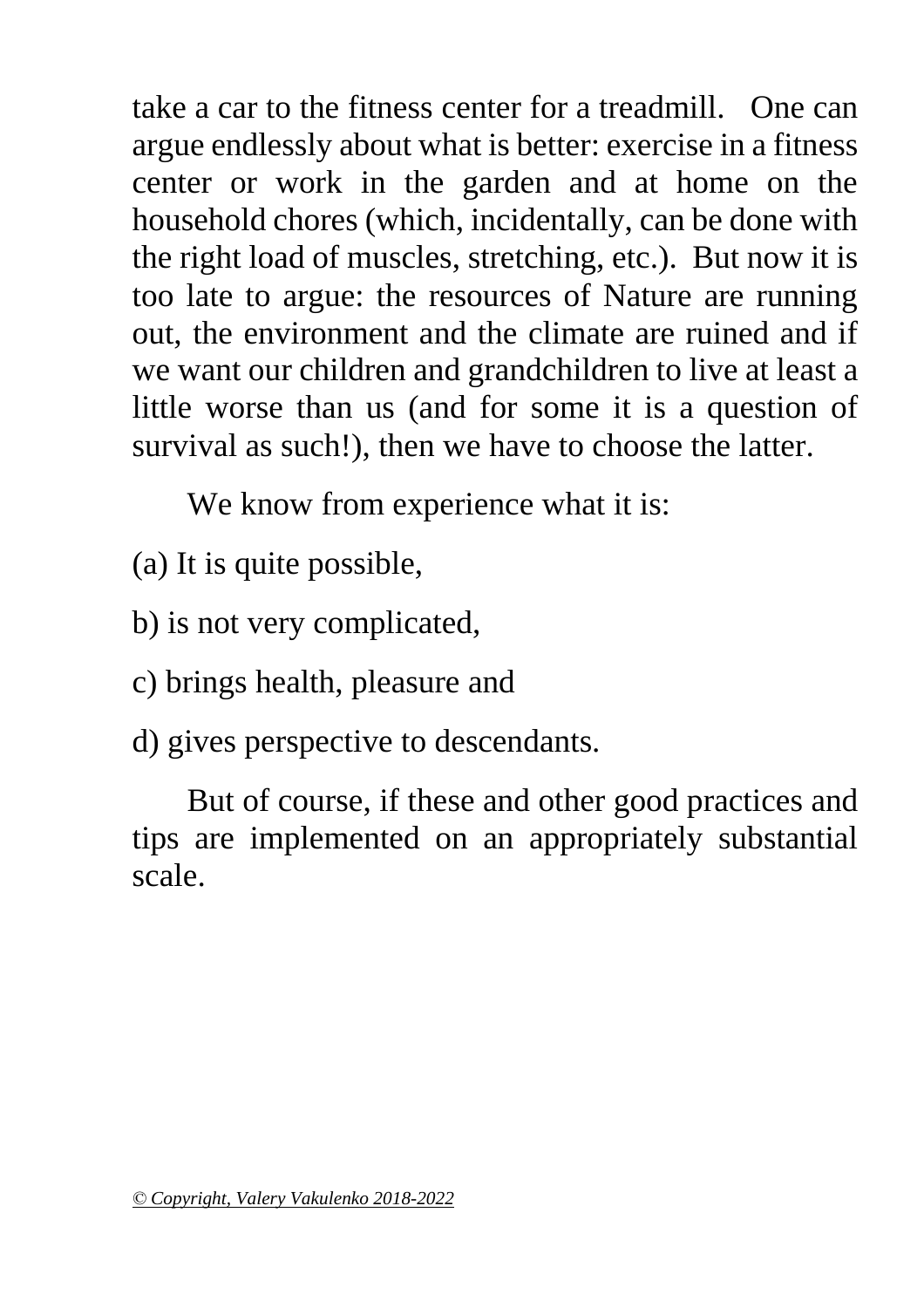take a car to the fitness center for a treadmill. One can argue endlessly about what is better: exercise in a fitness center or work in the garden and at home on the household chores (which, incidentally, can be done with the right load of muscles, stretching, etc.). But now it is too late to argue: the resources of Nature are running out, the environment and the climate are ruined and if we want our children and grandchildren to live at least a little worse than us (and for some it is a question of survival as such!), then we have to choose the latter.

We know from experience what it is:

- (a) It is quite possible,
- b) is not very complicated,
- c) brings health, pleasure and
- d) gives perspective to descendants.

<span id="page-36-0"></span>But of course, if these and other good practices and tips are implemented on an appropriately substantial scale.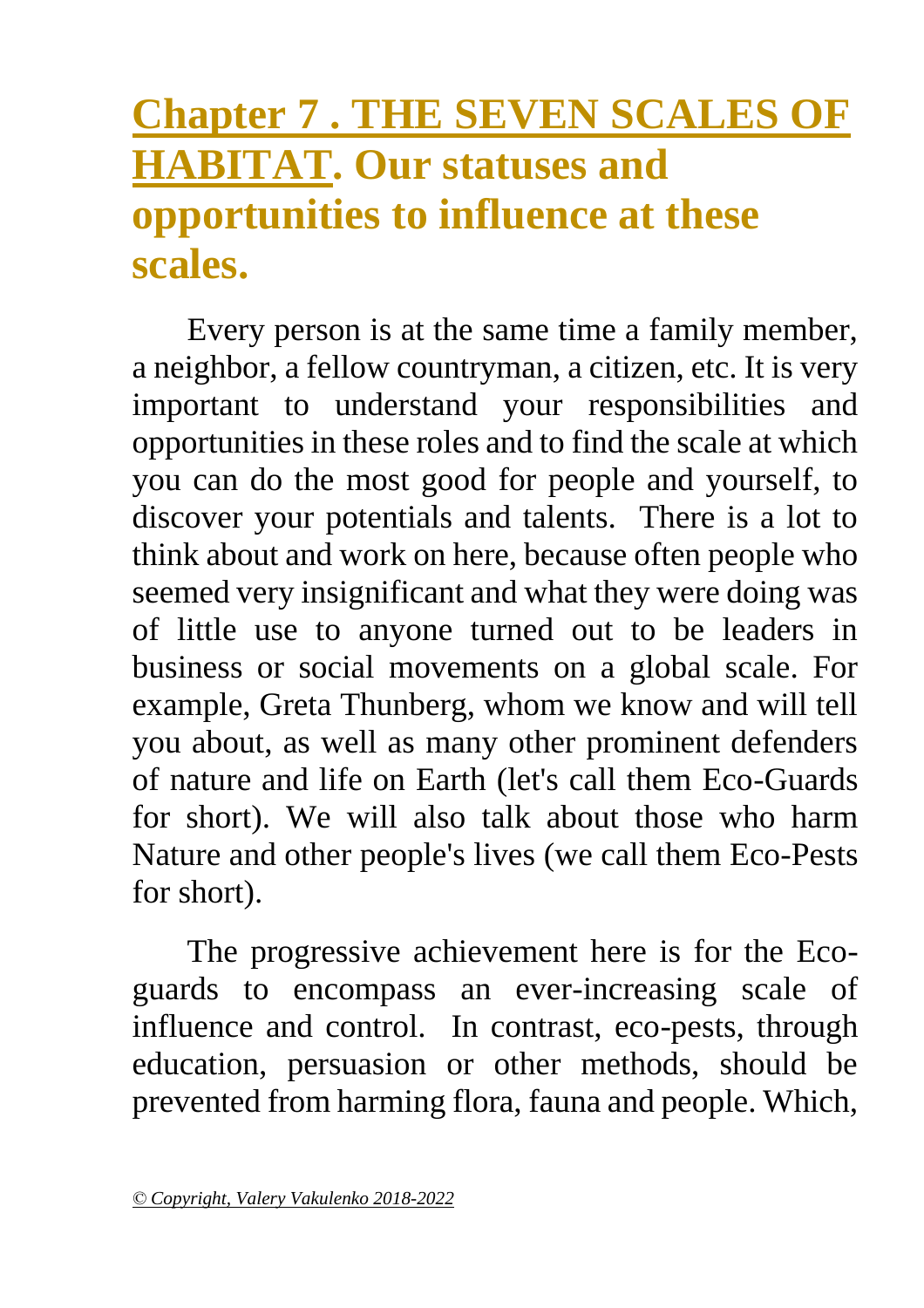## **Chapter 7 . THE SEVEN SCALES OF HABITAT. Our statuses and opportunities to influence at these scales.**

Every person is at the same time a family member, a neighbor, a fellow countryman, a citizen, etc. It is very important to understand your responsibilities and opportunities in these roles and to find the scale at which you can do the most good for people and yourself, to discover your potentials and talents. There is a lot to think about and work on here, because often people who seemed very insignificant and what they were doing was of little use to anyone turned out to be leaders in business or social movements on a global scale. For example, Greta Thunberg, whom we know and will tell you about, as well as many other prominent defenders of nature and life on Earth (let's call them Eco-Guards for short). We will also talk about those who harm Nature and other people's lives (we call them Eco-Pests for short).

The progressive achievement here is for the Ecoguards to encompass an ever-increasing scale of influence and control. In contrast, eco-pests, through education, persuasion or other methods, should be prevented from harming flora, fauna and people. Which,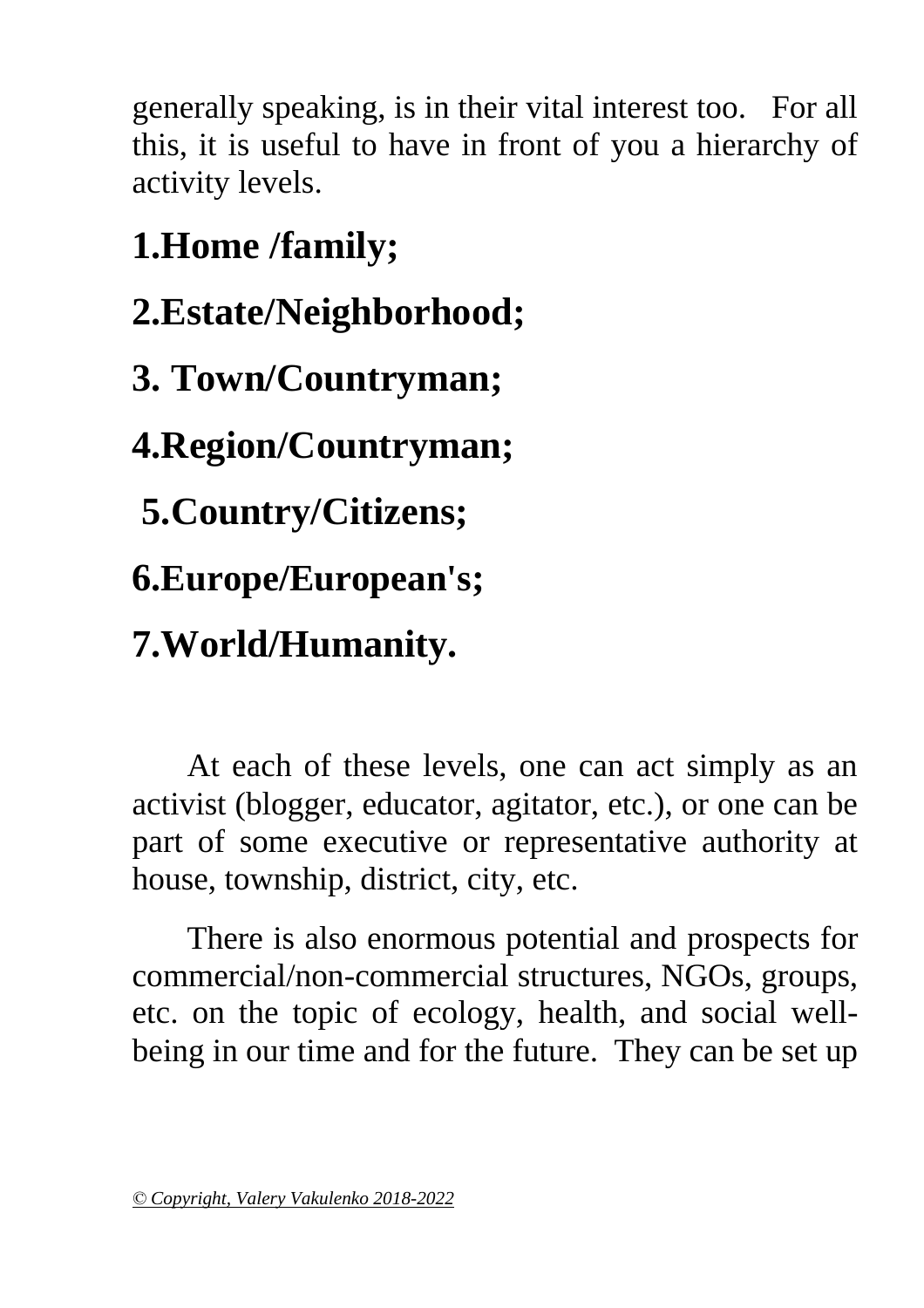generally speaking, is in their vital interest too. For all this, it is useful to have in front of you a hierarchy of activity levels.

**1.Home /family; 2.Estate/Neighborhood; 3. Town/Countryman; 4.Region/Countryman; 5.Country/Citizens; 6.Europe/European's; 7.World/Humanity.**

At each of these levels, one can act simply as an activist (blogger, educator, agitator, etc.), or one can be part of some executive or representative authority at house, township, district, city, etc.

There is also enormous potential and prospects for commercial/non-commercial structures, NGOs, groups, etc. on the topic of ecology, health, and social wellbeing in our time and for the future. They can be set up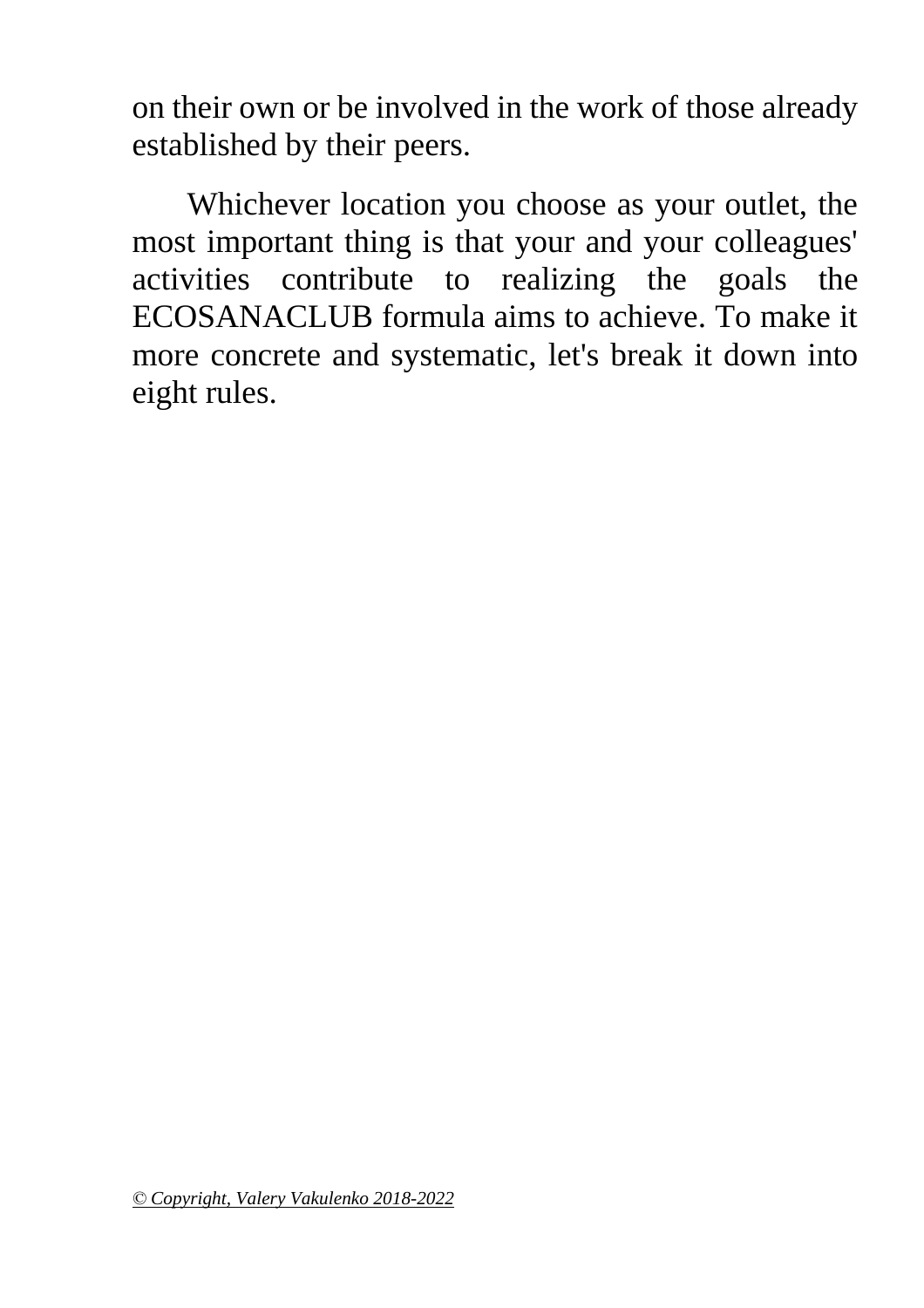on their own or be involved in the work of those already established by their peers.

Whichever location you choose as your outlet, the most important thing is that your and your colleagues' activities contribute to realizing the goals the ECOSANACLUB formula aims to achieve. To make it more concrete and systematic, let's break it down into eight rules.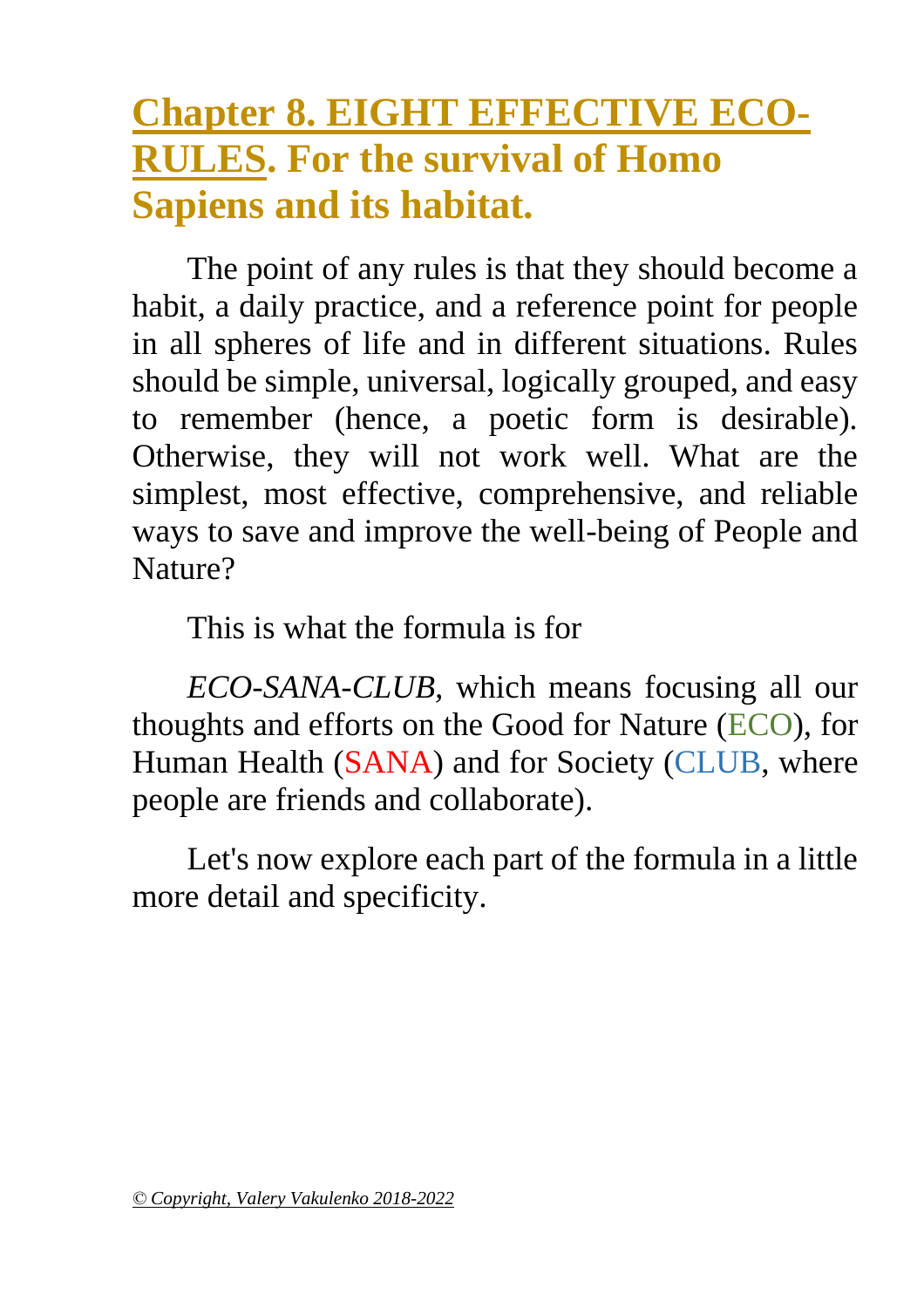### <span id="page-40-0"></span>**Chapter 8. EIGHT EFFECTIVE ECO-RULES. For the survival of Homo Sapiens and its habitat.**

The point of any rules is that they should become a habit, a daily practice, and a reference point for people in all spheres of life and in different situations. Rules should be simple, universal, logically grouped, and easy to remember (hence, a poetic form is desirable). Otherwise, they will not work well. What are the simplest, most effective, comprehensive, and reliable ways to save and improve the well-being of People and Nature?

This is what the formula is for

*ECO-SANA-CLUB,* which means focusing all our thoughts and efforts on the Good for Nature (ECO), for Human Health (SANA) and for Society (CLUB, where people are friends and collaborate).

Let's now explore each part of the formula in a little more detail and specificity.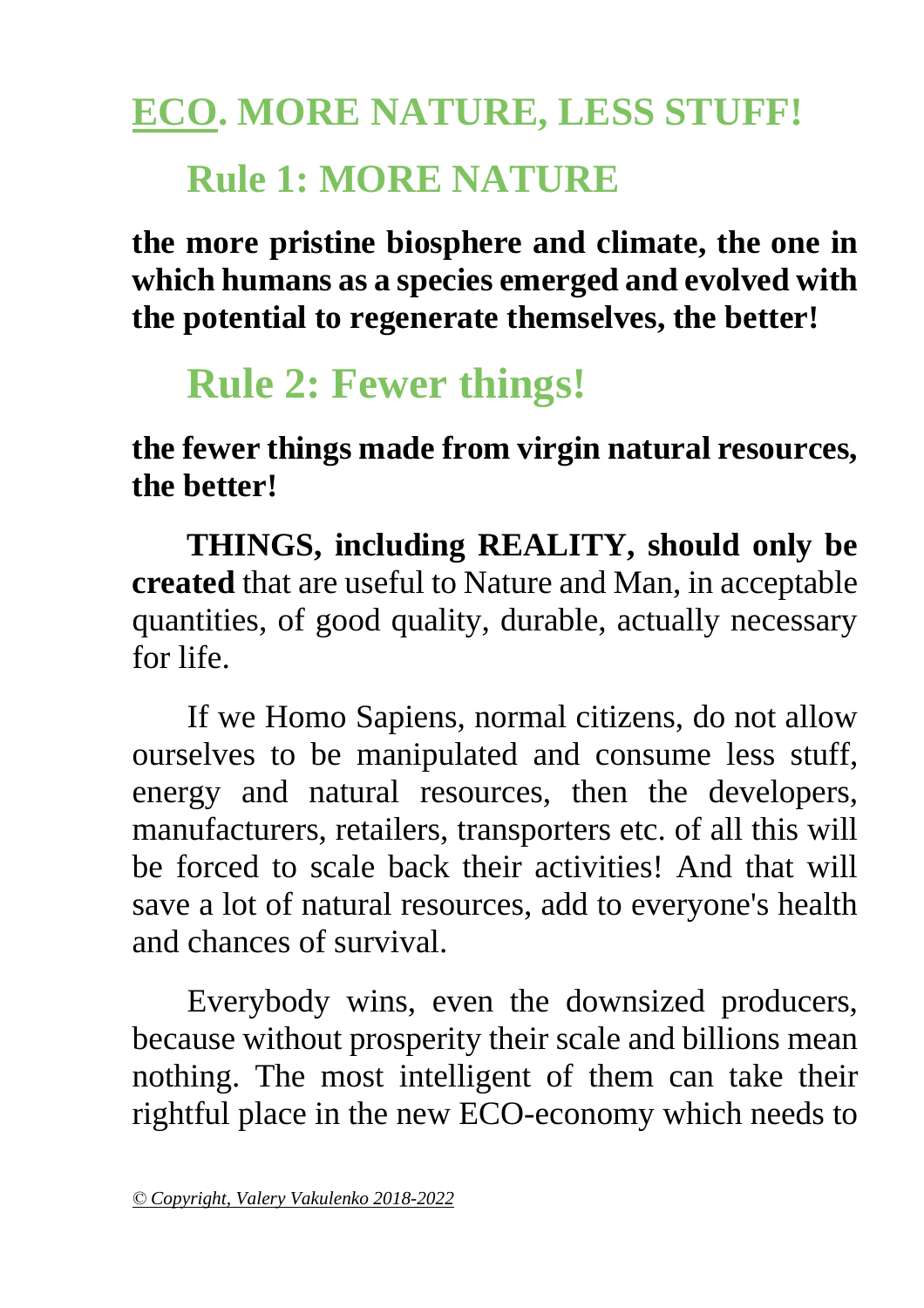# **ECO. MORE NATURE, LESS STUFF! Rule 1: MORE NATURE**

**the more pristine biosphere and climate, the one in which humans as a species emerged and evolved with the potential to regenerate themselves, the better!**

## **Rule 2: Fewer things!**

**the fewer things made from virgin natural resources, the better!**

**THINGS, including REALITY, should only be created** that are useful to Nature and Man, in acceptable quantities, of good quality, durable, actually necessary for life.

If we Homo Sapiens, normal citizens, do not allow ourselves to be manipulated and consume less stuff, energy and natural resources, then the developers, manufacturers, retailers, transporters etc. of all this will be forced to scale back their activities! And that will save a lot of natural resources, add to everyone's health and chances of survival.

Everybody wins, even the downsized producers, because without prosperity their scale and billions mean nothing. The most intelligent of them can take their rightful place in the new ECO-economy which needs to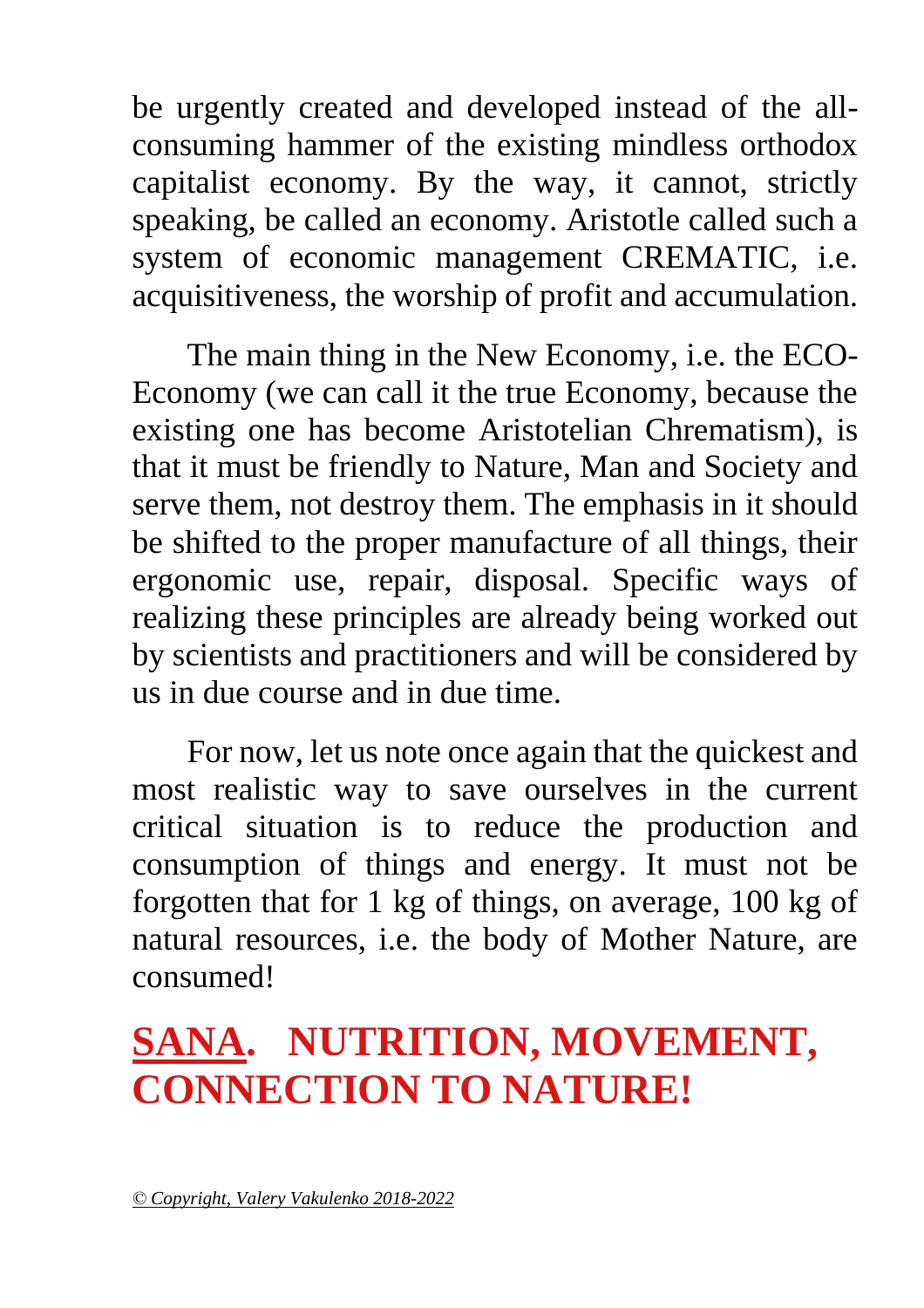be urgently created and developed instead of the allconsuming hammer of the existing mindless orthodox capitalist economy. By the way, it cannot, strictly speaking, be called an economy. Aristotle called such a system of economic management CREMATIC, i.e. acquisitiveness, the worship of profit and accumulation.

The main thing in the New Economy, i.e. the ECO-Economy (we can call it the true Economy, because the existing one has become Aristotelian Chrematism), is that it must be friendly to Nature, Man and Society and serve them, not destroy them. The emphasis in it should be shifted to the proper manufacture of all things, their ergonomic use, repair, disposal. Specific ways of realizing these principles are already being worked out by scientists and practitioners and will be considered by us in due course and in due time.

For now, let us note once again that the quickest and most realistic way to save ourselves in the current critical situation is to reduce the production and consumption of things and energy. It must not be forgotten that for 1 kg of things, on average, 100 kg of natural resources, i.e. the body of Mother Nature, are consumed!

## **SANA. NUTRITION, MOVEMENT, CONNECTION TO NATURE!**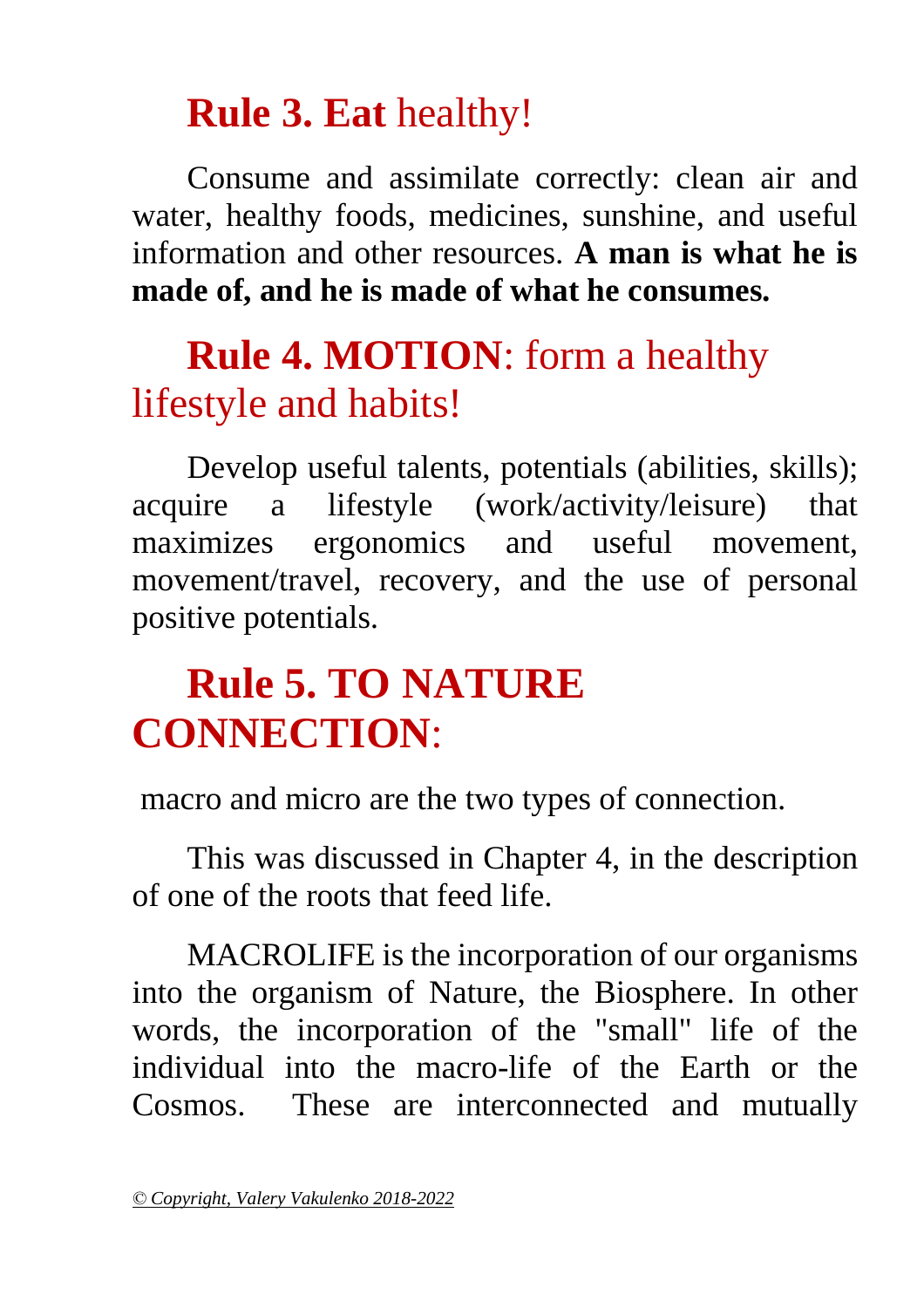### **Rule 3. Eat** healthy!

Consume and assimilate correctly: clean air and water, healthy foods, medicines, sunshine, and useful information and other resources. **A man is what he is made of, and he is made of what he consumes.**

### **Rule 4. MOTION**: form a healthy lifestyle and habits!

Develop useful talents, potentials (abilities, skills); acquire a lifestyle (work/activity/leisure) that maximizes ergonomics and useful movement, movement/travel, recovery, and the use of personal positive potentials.

## **Rule 5. TO NATURE CONNECTION**:

macro and micro are the two types of connection.

This was discussed in Chapter 4, in the description of one of the roots that feed life.

MACROLIFE is the incorporation of our organisms into the organism of Nature, the Biosphere. In other words, the incorporation of the "small" life of the individual into the macro-life of the Earth or the Cosmos. These are interconnected and mutually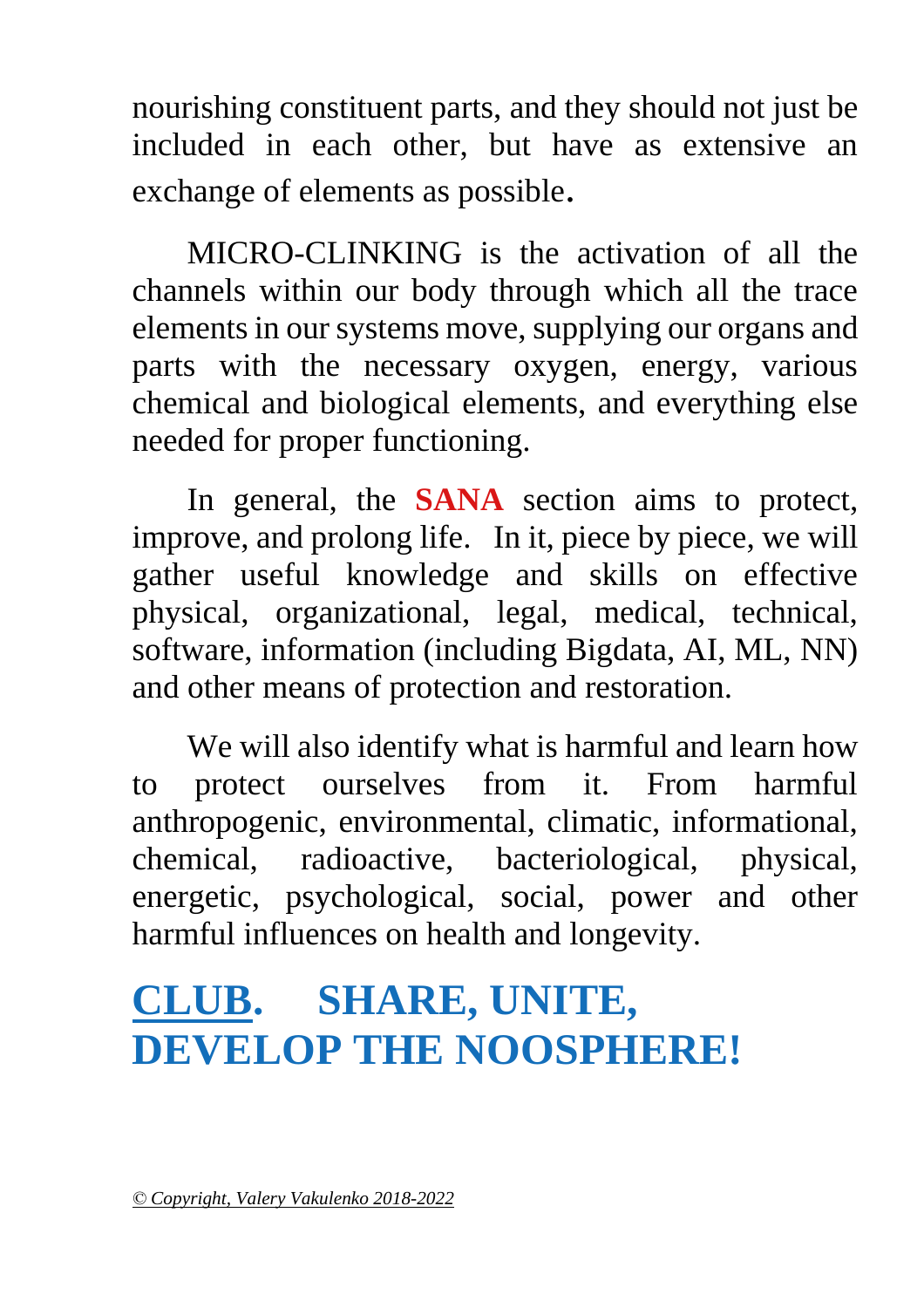nourishing constituent parts, and they should not just be included in each other, but have as extensive an exchange of elements as possible.

MICRO-CLINKING is the activation of all the channels within our body through which all the trace elements in our systems move, supplying our organs and parts with the necessary oxygen, energy, various chemical and biological elements, and everything else needed for proper functioning.

In general, the **SANA** section aims to protect, improve, and prolong life. In it, piece by piece, we will gather useful knowledge and skills on effective physical, organizational, legal, medical, technical, software, information (including Bigdata, AI, ML, NN) and other means of protection and restoration.

We will also identify what is harmful and learn how to protect ourselves from it. From harmful anthropogenic, environmental, climatic, informational, chemical, radioactive, bacteriological, physical, energetic, psychological, social, power and other harmful influences on health and longevity.

## **CLUB. SHARE, UNITE, DEVELOP THE NOOSPHERE!**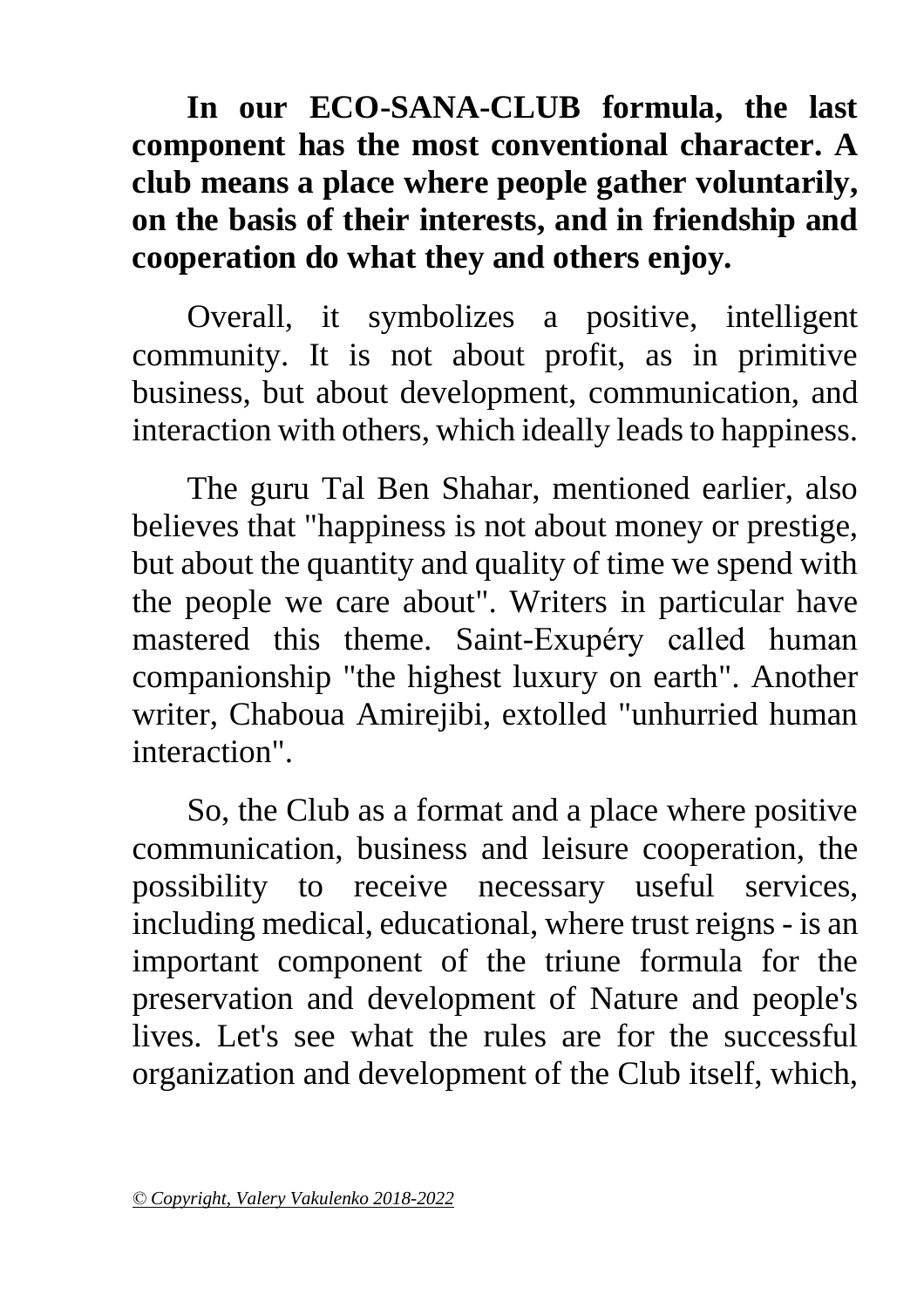**In our ECO-SANA-CLUB formula, the last component has the most conventional character. A club means a place where people gather voluntarily, on the basis of their interests, and in friendship and cooperation do what they and others enjoy.**

Overall, it symbolizes a positive, intelligent community. It is not about profit, as in primitive business, but about development, communication, and interaction with others, which ideally leads to happiness.

The guru Tal Ben Shahar, mentioned earlier, also believes that "happiness is not about money or prestige, but about the quantity and quality of time we spend with the people we care about". Writers in particular have mastered this theme. Saint-Exupéry called human companionship "the highest luxury on earth". Another writer, Chaboua Amirejibi, extolled "unhurried human interaction".

So, the Club as a format and a place where positive communication, business and leisure cooperation, the possibility to receive necessary useful services, including medical, educational, where trust reigns - is an important component of the triune formula for the preservation and development of Nature and people's lives. Let's see what the rules are for the successful organization and development of the Club itself, which,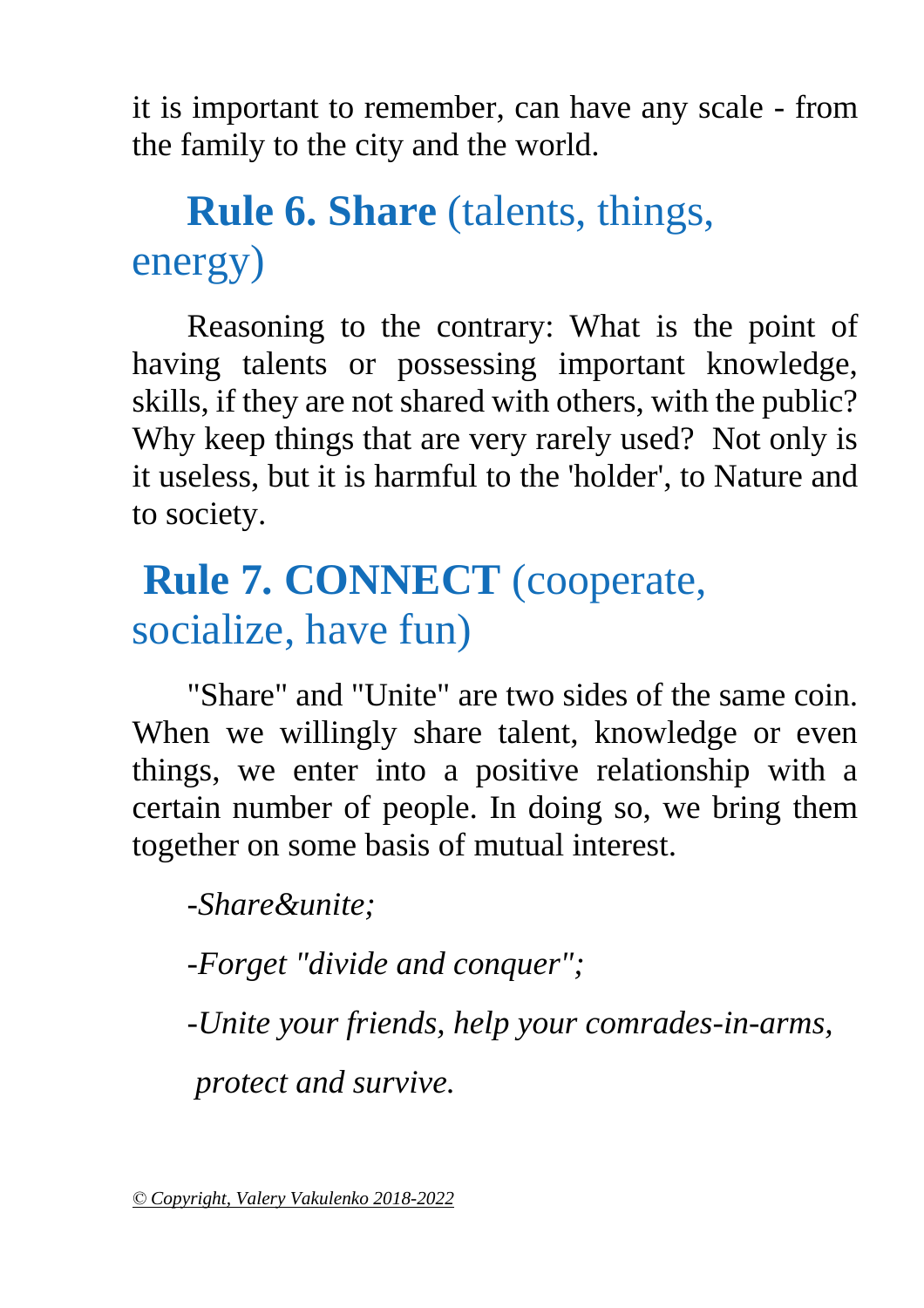it is important to remember, can have any scale - from the family to the city and the world.

## **Rule 6. Share** (talents, things, energy)

Reasoning to the contrary: What is the point of having talents or possessing important knowledge, skills, if they are not shared with others, with the public? Why keep things that are very rarely used? Not only is it useless, but it is harmful to the 'holder', to Nature and to society.

## **Rule 7. CONNECT** (cooperate, socialize, have fun)

"Share" and "Unite" are two sides of the same coin. When we willingly share talent, knowledge or even things, we enter into a positive relationship with a certain number of people. In doing so, we bring them together on some basis of mutual interest.

*-Share&unite;*

*-Forget "divide and conquer";* 

*-Unite your friends, help your comrades-in-arms,*

*protect and survive.*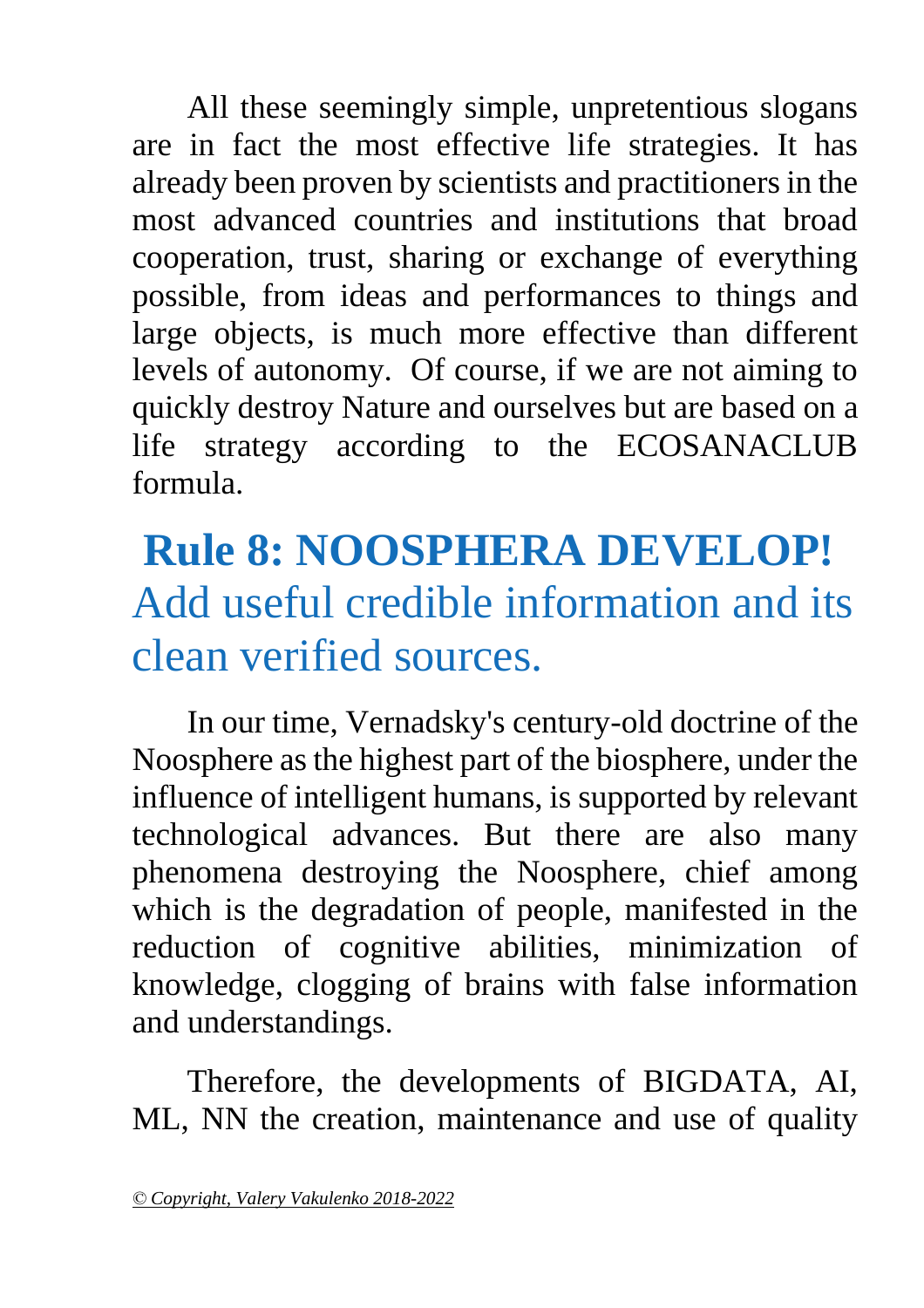All these seemingly simple, unpretentious slogans are in fact the most effective life strategies. It has already been proven by scientists and practitioners in the most advanced countries and institutions that broad cooperation, trust, sharing or exchange of everything possible, from ideas and performances to things and large objects, is much more effective than different levels of autonomy. Of course, if we are not aiming to quickly destroy Nature and ourselves but are based on a life strategy according to the ECOSANACLUB formula.

## **Rule 8: NOOSPHERA DEVELOP!**  Add useful credible information and its clean verified sources.

In our time, Vernadsky's century-old doctrine of the Noosphere as the highest part of the biosphere, under the influence of intelligent humans, is supported by relevant technological advances. But there are also many phenomena destroying the Noosphere, chief among which is the degradation of people, manifested in the reduction of cognitive abilities, minimization of knowledge, clogging of brains with false information and understandings.

Therefore, the developments of BIGDATA, AI, ML, NN the creation, maintenance and use of quality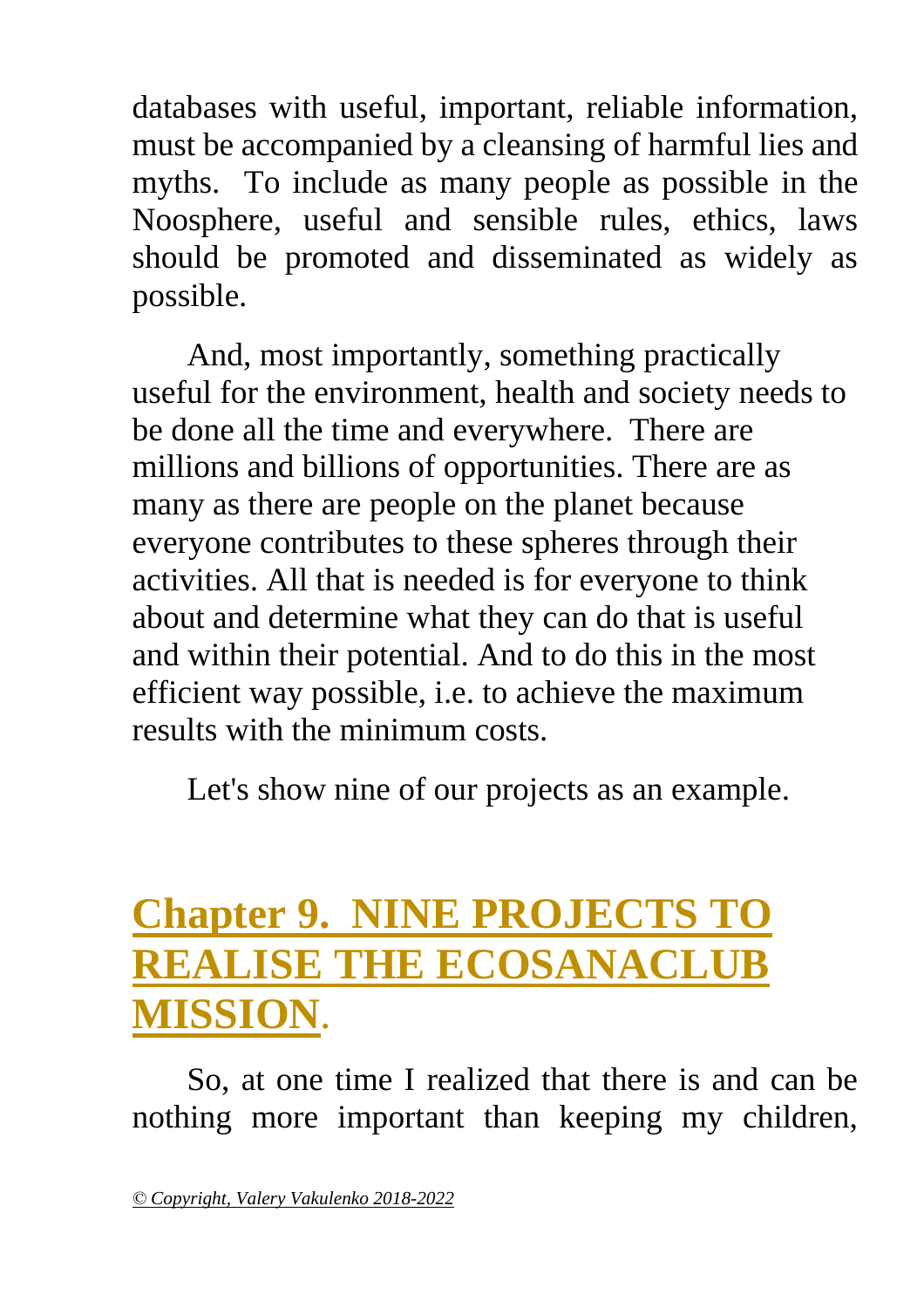databases with useful, important, reliable information, must be accompanied by a cleansing of harmful lies and myths. To include as many people as possible in the Noosphere, useful and sensible rules, ethics, laws should be promoted and disseminated as widely as possible.

And, most importantly, something practically useful for the environment, health and society needs to be done all the time and everywhere. There are millions and billions of opportunities. There are as many as there are people on the planet because everyone contributes to these spheres through their activities. All that is needed is for everyone to think about and determine what they can do that is useful and within their potential. And to do this in the most efficient way possible, i.e. to achieve the maximum results with the minimum costs.

Let's show nine of our projects as an example.

### <span id="page-48-0"></span>**Chapter 9. NINE PROJECTS TO REALISE THE ECOSANACLUB MISSION**.

So, at one time I realized that there is and can be nothing more important than keeping my children,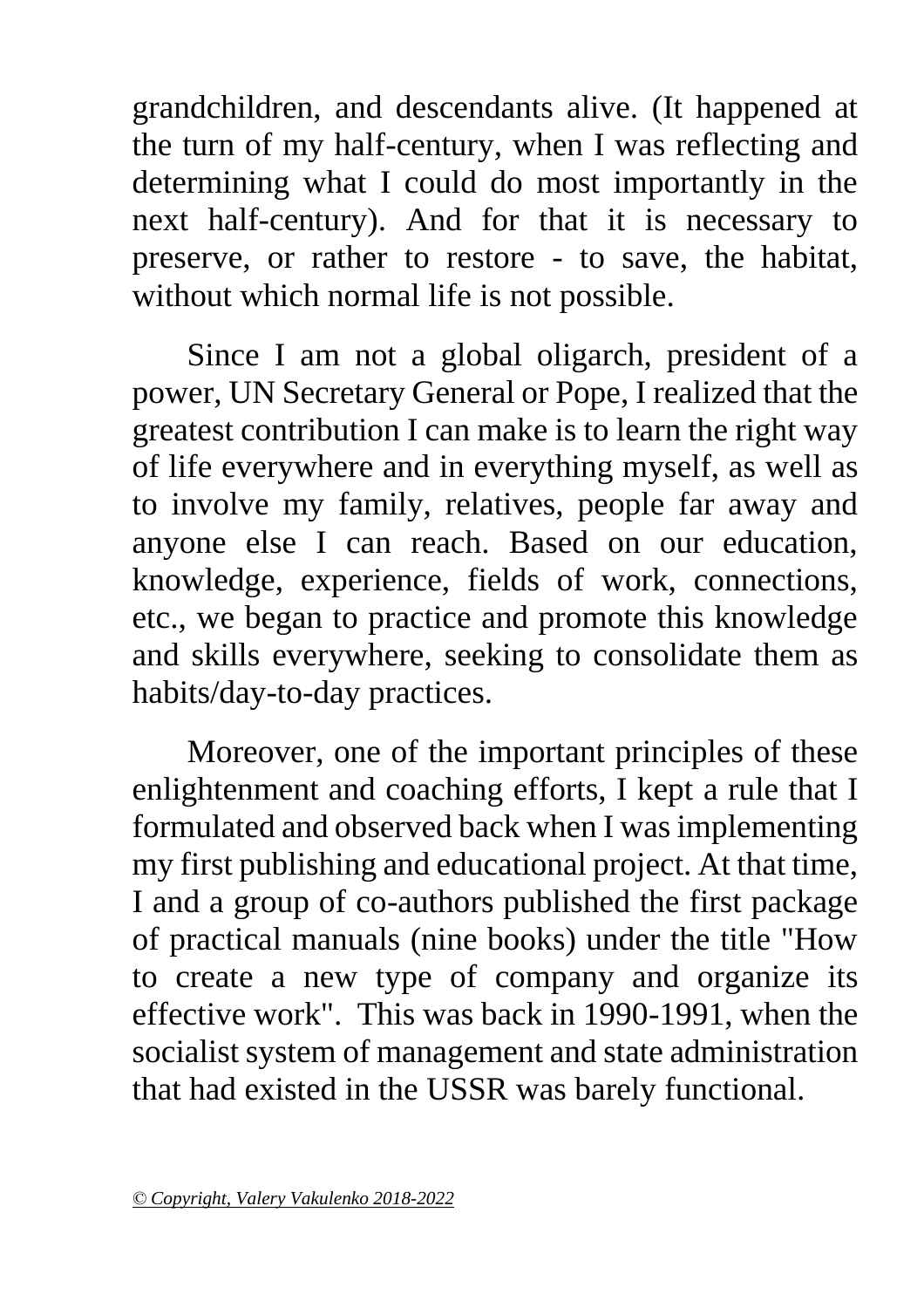grandchildren, and descendants alive. (It happened at the turn of my half-century, when I was reflecting and determining what I could do most importantly in the next half-century). And for that it is necessary to preserve, or rather to restore - to save, the habitat, without which normal life is not possible.

Since I am not a global oligarch, president of a power, UN Secretary General or Pope, I realized that the greatest contribution I can make is to learn the right way of life everywhere and in everything myself, as well as to involve my family, relatives, people far away and anyone else I can reach. Based on our education, knowledge, experience, fields of work, connections, etc., we began to practice and promote this knowledge and skills everywhere, seeking to consolidate them as habits/day-to-day practices.

Moreover, one of the important principles of these enlightenment and coaching efforts, I kept a rule that I formulated and observed back when I was implementing my first publishing and educational project. At that time, I and a group of co-authors published the first package of practical manuals (nine books) under the title "How to create a new type of company and organize its effective work". This was back in 1990-1991, when the socialist system of management and state administration that had existed in the USSR was barely functional.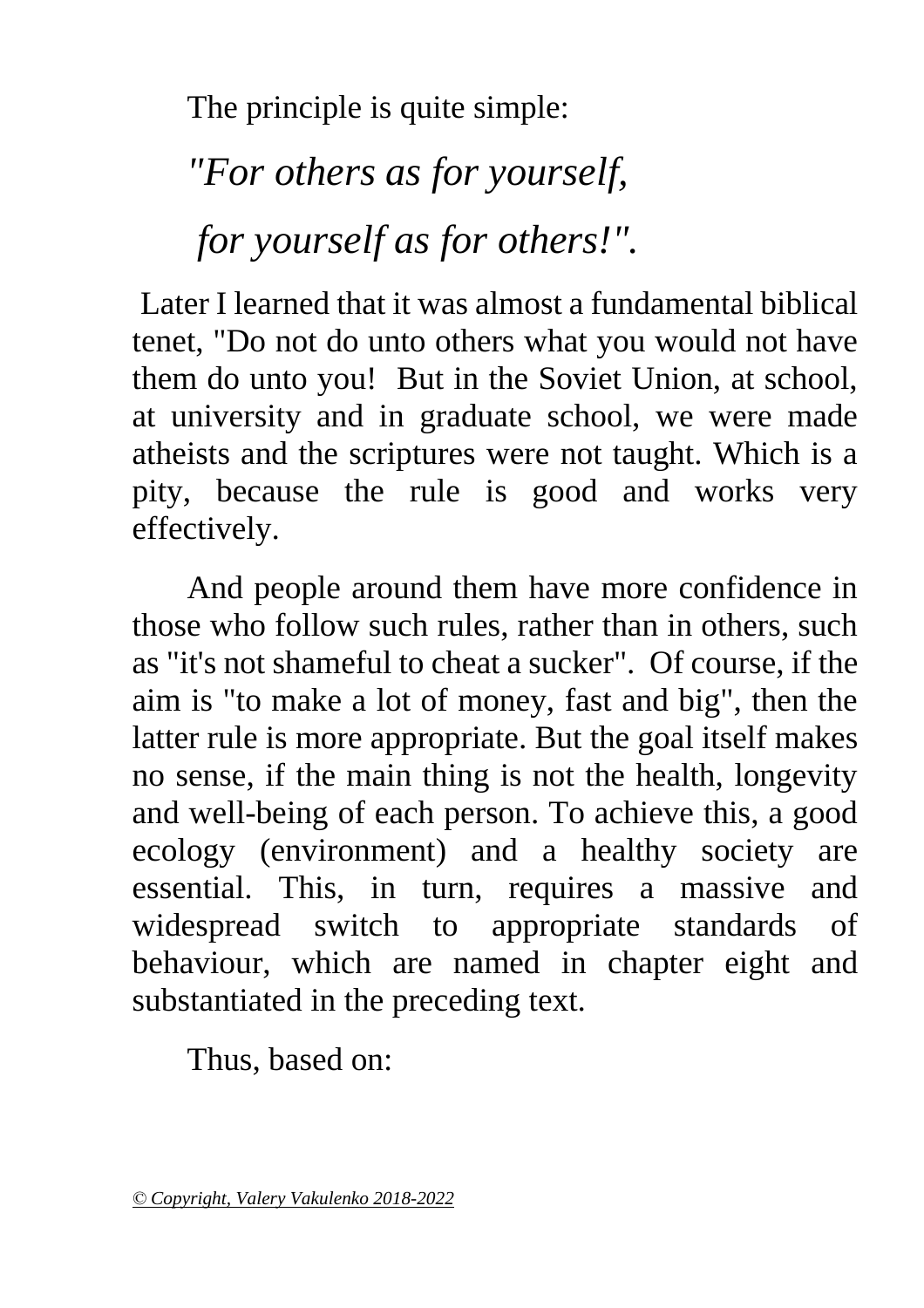The principle is quite simple:

*"For others as for yourself, for yourself as for others!".* 

Later I learned that it was almost a fundamental biblical tenet, "Do not do unto others what you would not have them do unto you! But in the Soviet Union, at school, at university and in graduate school, we were made atheists and the scriptures were not taught. Which is a pity, because the rule is good and works very effectively.

And people around them have more confidence in those who follow such rules, rather than in others, such as "it's not shameful to cheat a sucker". Of course, if the aim is "to make a lot of money, fast and big", then the latter rule is more appropriate. But the goal itself makes no sense, if the main thing is not the health, longevity and well-being of each person. To achieve this, a good ecology (environment) and a healthy society are essential. This, in turn, requires a massive and widespread switch to appropriate standards of behaviour, which are named in chapter eight and substantiated in the preceding text.

Thus, based on: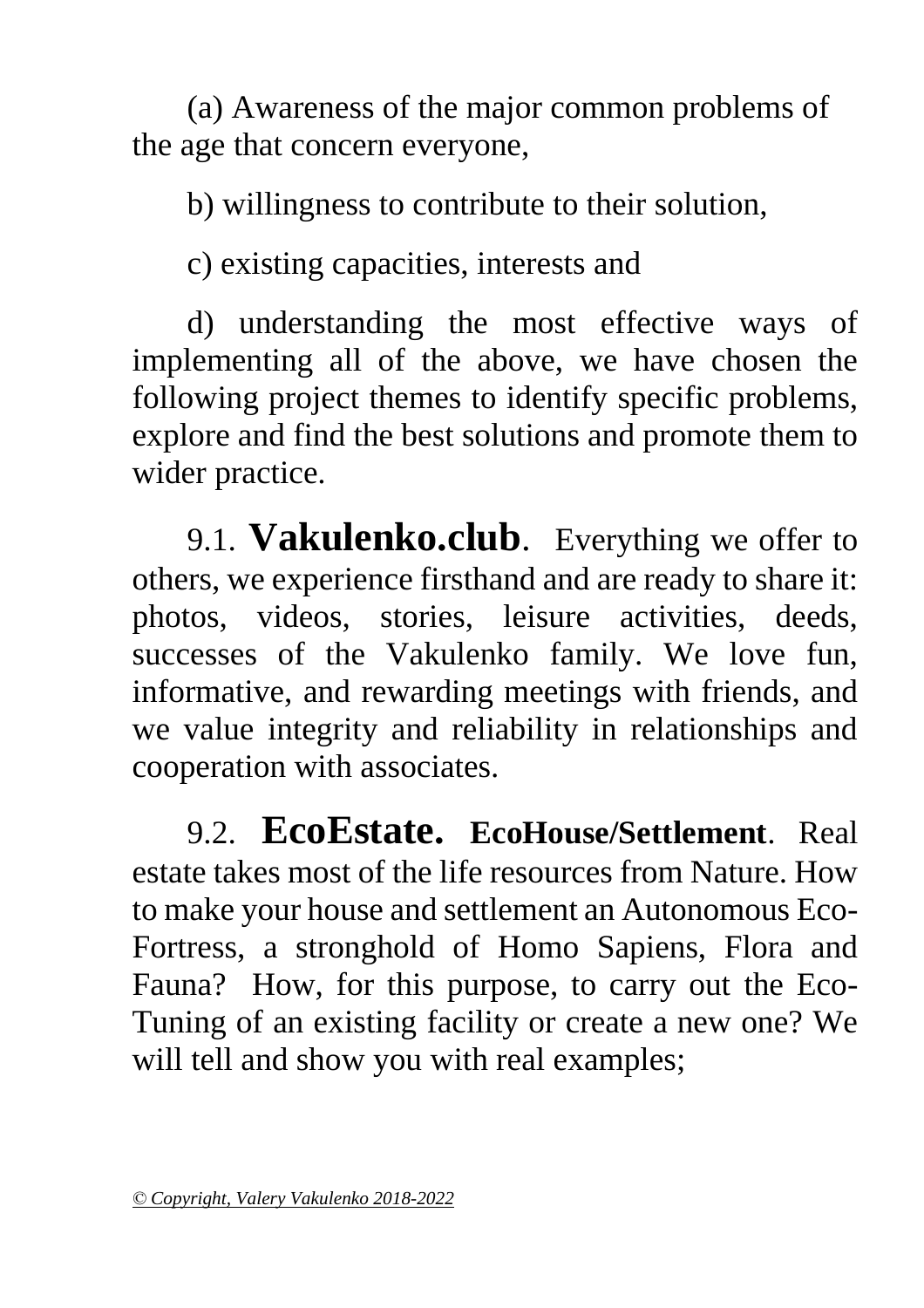(a) Awareness of the major common problems of the age that concern everyone,

b) willingness to contribute to their solution,

c) existing capacities, interests and

d) understanding the most effective ways of implementing all of the above, we have chosen the following project themes to identify specific problems, explore and find the best solutions and promote them to wider practice.

9.1. **Vakulenko.club**. Everything we offer to others, we experience firsthand and are ready to share it: photos, videos, stories, leisure activities, deeds, successes of the Vakulenko family. We love fun, informative, and rewarding meetings with friends, and we value integrity and reliability in relationships and cooperation with associates.

9.2. **EcoEstate. EcoHouse/Settlement**. Real estate takes most of the life resources from Nature. How to make your house and settlement an Autonomous Eco-Fortress, a stronghold of Homo Sapiens, Flora and Fauna? How, for this purpose, to carry out the Eco-Tuning of an existing facility or create a new one? We will tell and show you with real examples;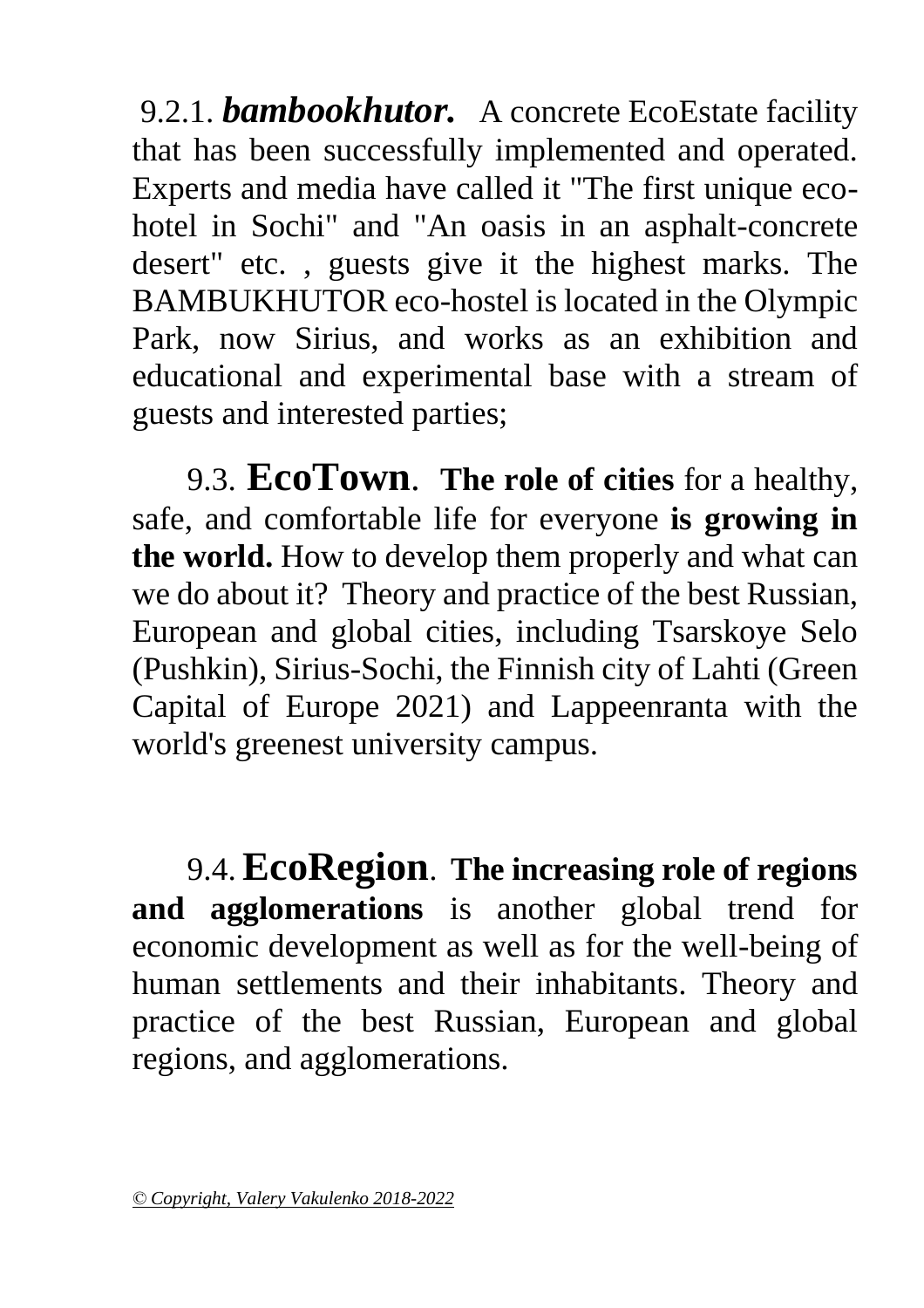9.2.1. *bambookhutor.* A concrete EcoEstate facility that has been successfully implemented and operated. Experts and media have called it "The first unique ecohotel in Sochi" and "An oasis in an asphalt-concrete desert" etc. , guests give it the highest marks. The BAMBUKHUTOR eco-hostel is located in the Olympic Park, now Sirius, and works as an exhibition and educational and experimental base with a stream of guests and interested parties;

9.3. **EcoTown**. **The role of cities** for a healthy, safe, and comfortable life for everyone **is growing in the world.** How to develop them properly and what can we do about it? Theory and practice of the best Russian, European and global cities, including Tsarskoye Selo (Pushkin), Sirius-Sochi, the Finnish city of Lahti (Green Capital of Europe 2021) and Lappeenranta with the world's greenest university campus.

9.4. **EcoRegion**. **The increasing role of regions and agglomerations** is another global trend for economic development as well as for the well-being of human settlements and their inhabitants. Theory and practice of the best Russian, European and global regions, and agglomerations.

*<sup>©</sup> Copyright, Valery Vakulenko 2018-2022*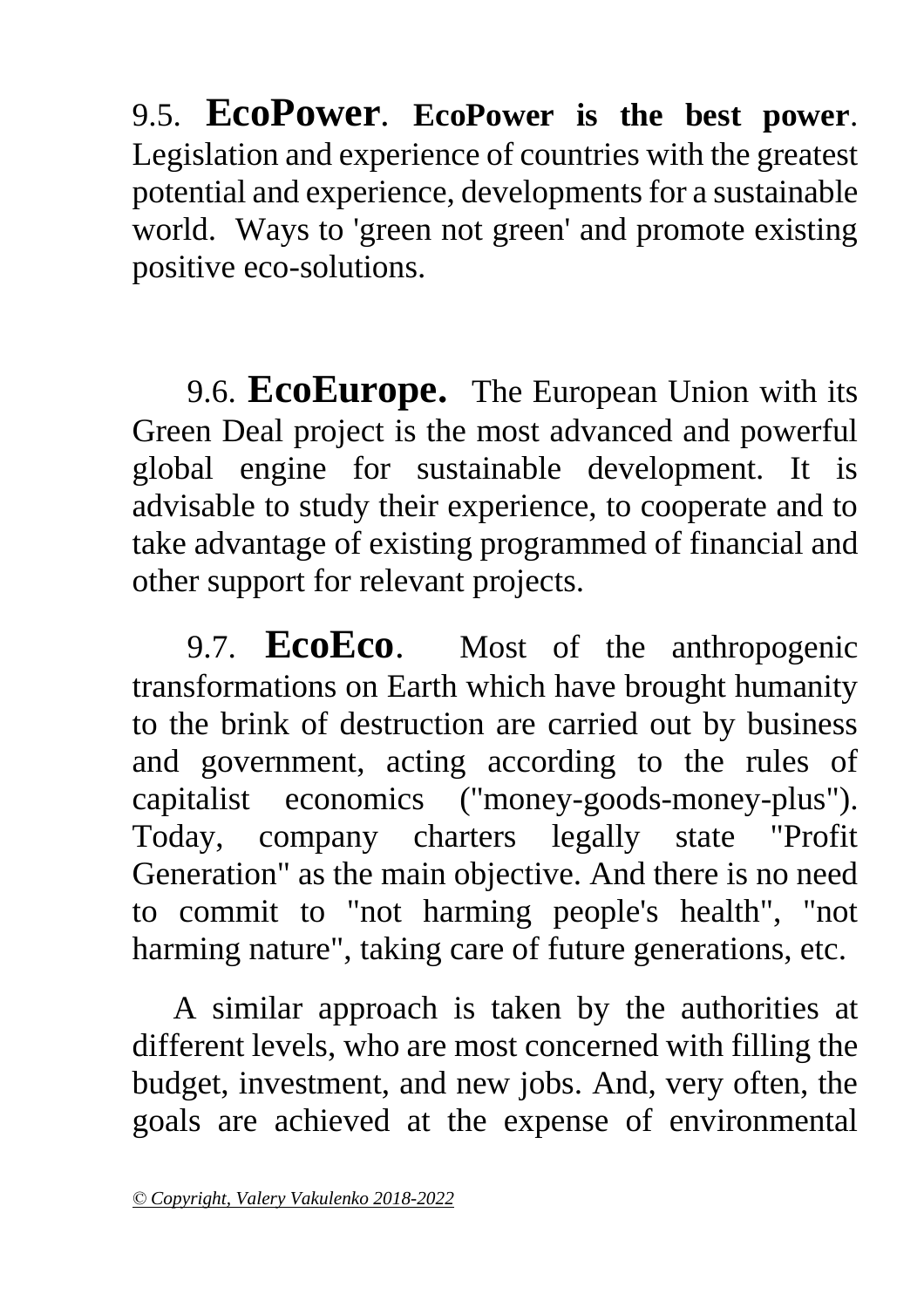9.5. **EcoPower**. **EcoPower is the best power**. Legislation and experience of countries with the greatest potential and experience, developments for a sustainable world. Ways to 'green not green' and promote existing positive eco-solutions.

9.6. **EcoEurope.** The European Union with its Green Deal project is the most advanced and powerful global engine for sustainable development. It is advisable to study their experience, to cooperate and to take advantage of existing programmed of financial and other support for relevant projects.

9.7. **EcoEco**. Most of the anthropogenic transformations on Earth which have brought humanity to the brink of destruction are carried out by business and government, acting according to the rules of capitalist economics ("money-goods-money-plus"). Today, company charters legally state "Profit Generation" as the main objective. And there is no need to commit to "not harming people's health", "not harming nature", taking care of future generations, etc.

 A similar approach is taken by the authorities at different levels, who are most concerned with filling the budget, investment, and new jobs. And, very often, the goals are achieved at the expense of environmental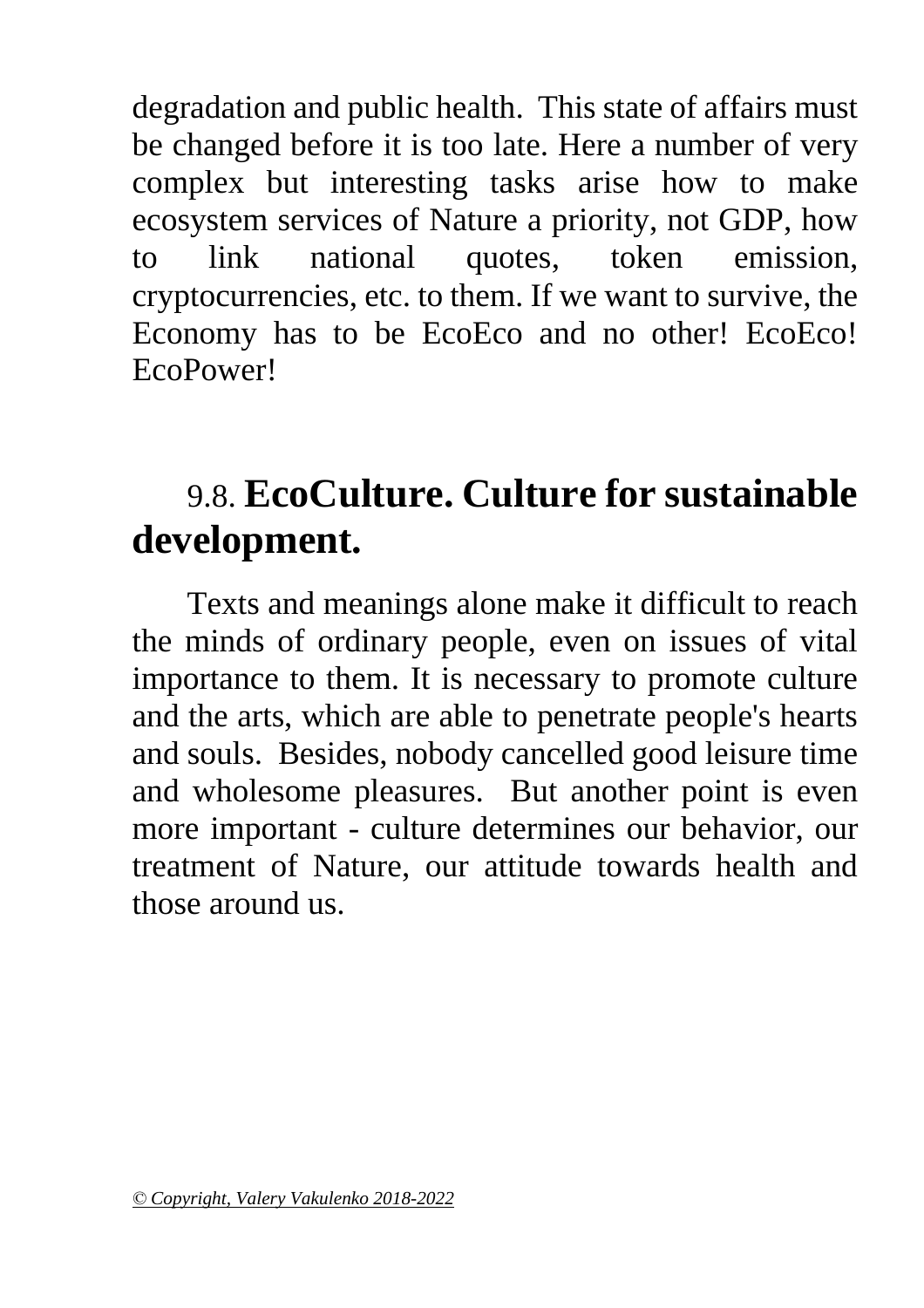degradation and public health. This state of affairs must be changed before it is too late. Here a number of very complex but interesting tasks arise how to make ecosystem services of Nature a priority, not GDP, how to link national quotes, token emission, cryptocurrencies, etc. to them. If we want to survive, the Economy has to be EcoEco and no other! EcoEco! EcoPower!

### 9.8. **EcoCulture. Culture for sustainable development.**

Texts and meanings alone make it difficult to reach the minds of ordinary people, even on issues of vital importance to them. It is necessary to promote culture and the arts, which are able to penetrate people's hearts and souls. Besides, nobody cancelled good leisure time and wholesome pleasures. But another point is even more important - culture determines our behavior, our treatment of Nature, our attitude towards health and those around us.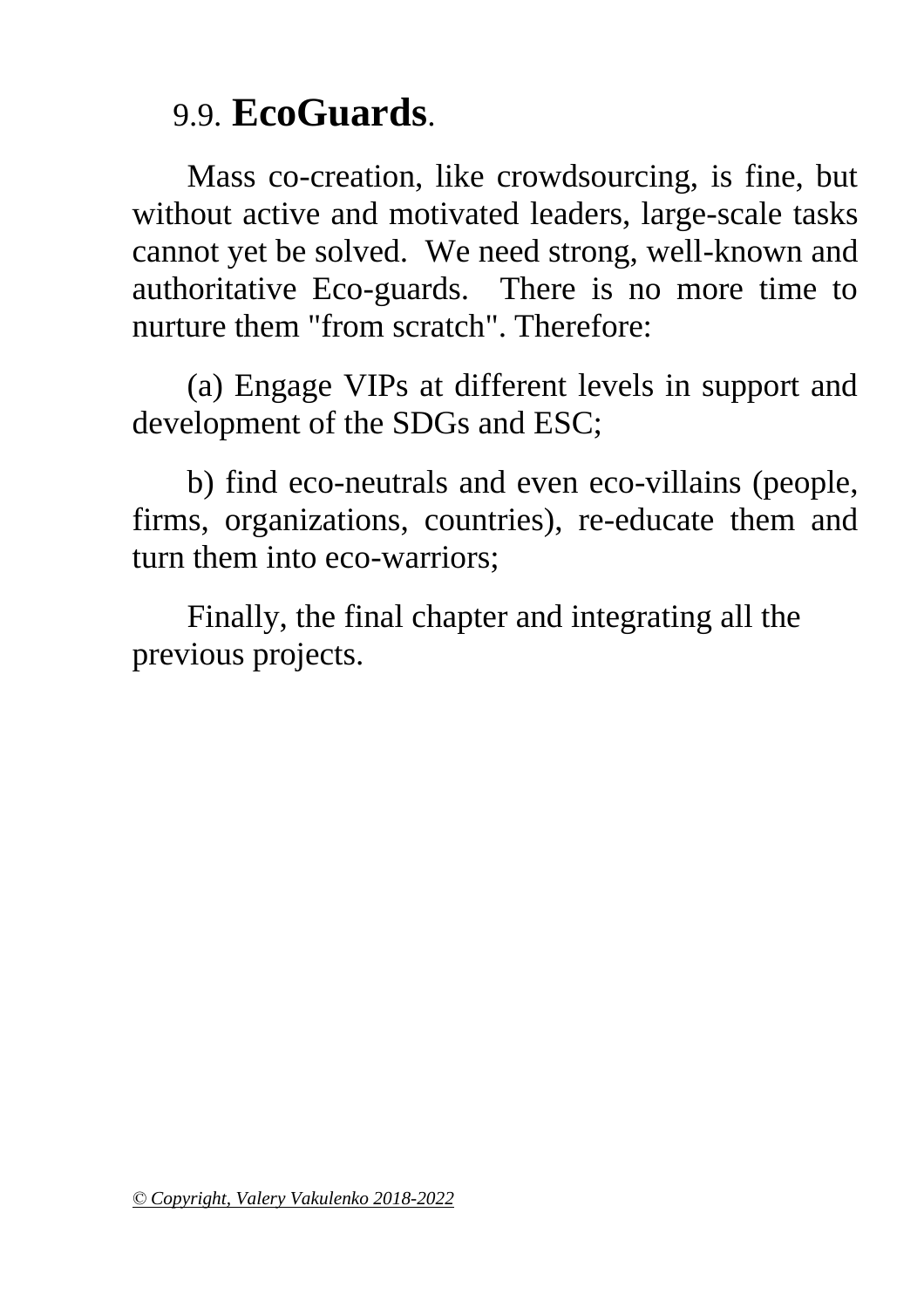### 9.9. **EcoGuards**.

Mass co-creation, like crowdsourcing, is fine, but without active and motivated leaders, large-scale tasks cannot yet be solved. We need strong, well-known and authoritative Eco-guards. There is no more time to nurture them "from scratch". Therefore:

(a) Engage VIPs at different levels in support and development of the SDGs and ESC;

b) find eco-neutrals and even eco-villains (people, firms, organizations, countries), re-educate them and turn them into eco-warriors;

Finally, the final chapter and integrating all the previous projects.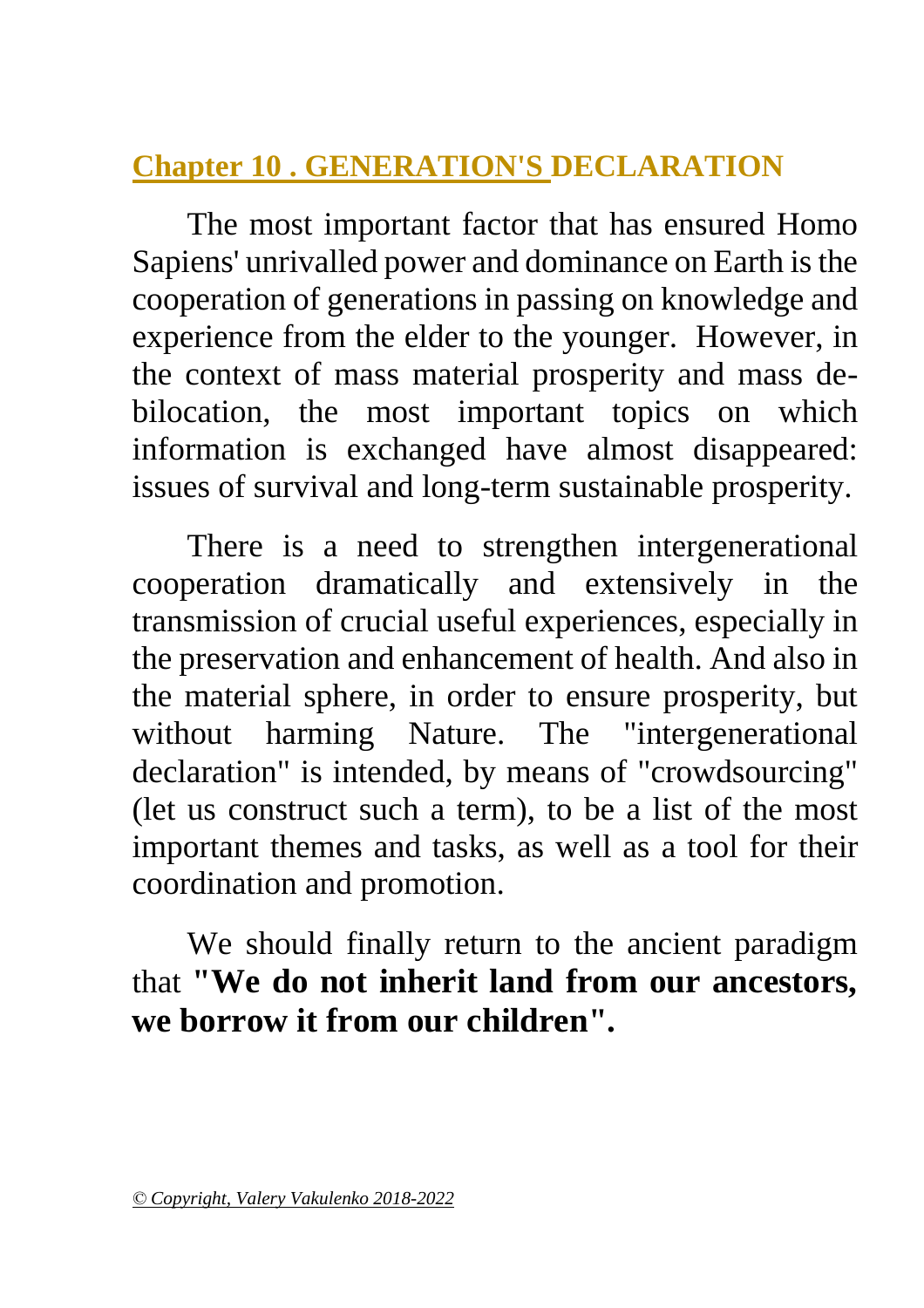#### <span id="page-56-0"></span>**Chapter 10 . GENERATION'S DECLARATION**

The most important factor that has ensured Homo Sapiens' unrivalled power and dominance on Earth is the cooperation of generations in passing on knowledge and experience from the elder to the younger. However, in the context of mass material prosperity and mass debilocation, the most important topics on which information is exchanged have almost disappeared: issues of survival and long-term sustainable prosperity.

There is a need to strengthen intergenerational cooperation dramatically and extensively in the transmission of crucial useful experiences, especially in the preservation and enhancement of health. And also in the material sphere, in order to ensure prosperity, but without harming Nature. The "intergenerational declaration" is intended, by means of "crowdsourcing" (let us construct such a term), to be a list of the most important themes and tasks, as well as a tool for their coordination and promotion.

We should finally return to the ancient paradigm that **"We do not inherit land from our ancestors, we borrow it from our children".**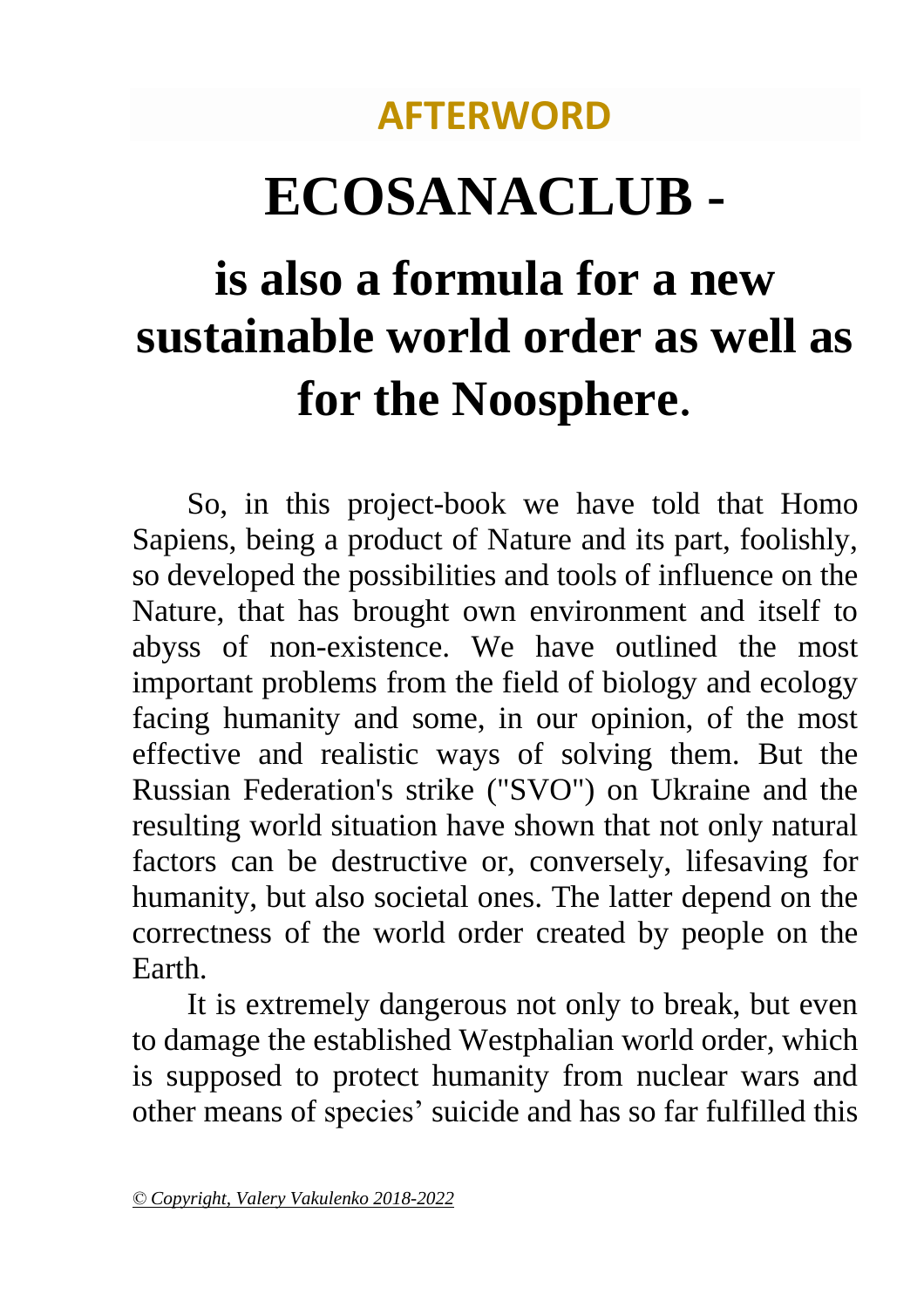### **AFTERWORD**

# **ECOSANACLUB -**

# **is also a formula for a new sustainable world order as well as for the Noosphere**.

So, in this project-book we have told that Homo Sapiens, being a product of Nature and its part, foolishly, so developed the possibilities and tools of influence on the Nature, that has brought own environment and itself to abyss of non-existence. We have outlined the most important problems from the field of biology and ecology facing humanity and some, in our opinion, of the most effective and realistic ways of solving them. But the Russian Federation's strike ("SVO") on Ukraine and the resulting world situation have shown that not only natural factors can be destructive or, conversely, lifesaving for humanity, but also societal ones. The latter depend on the correctness of the world order created by people on the Earth.

It is extremely dangerous not only to break, but even to damage the established Westphalian world order, which is supposed to protect humanity from nuclear wars and other means of species' suicide and has so far fulfilled this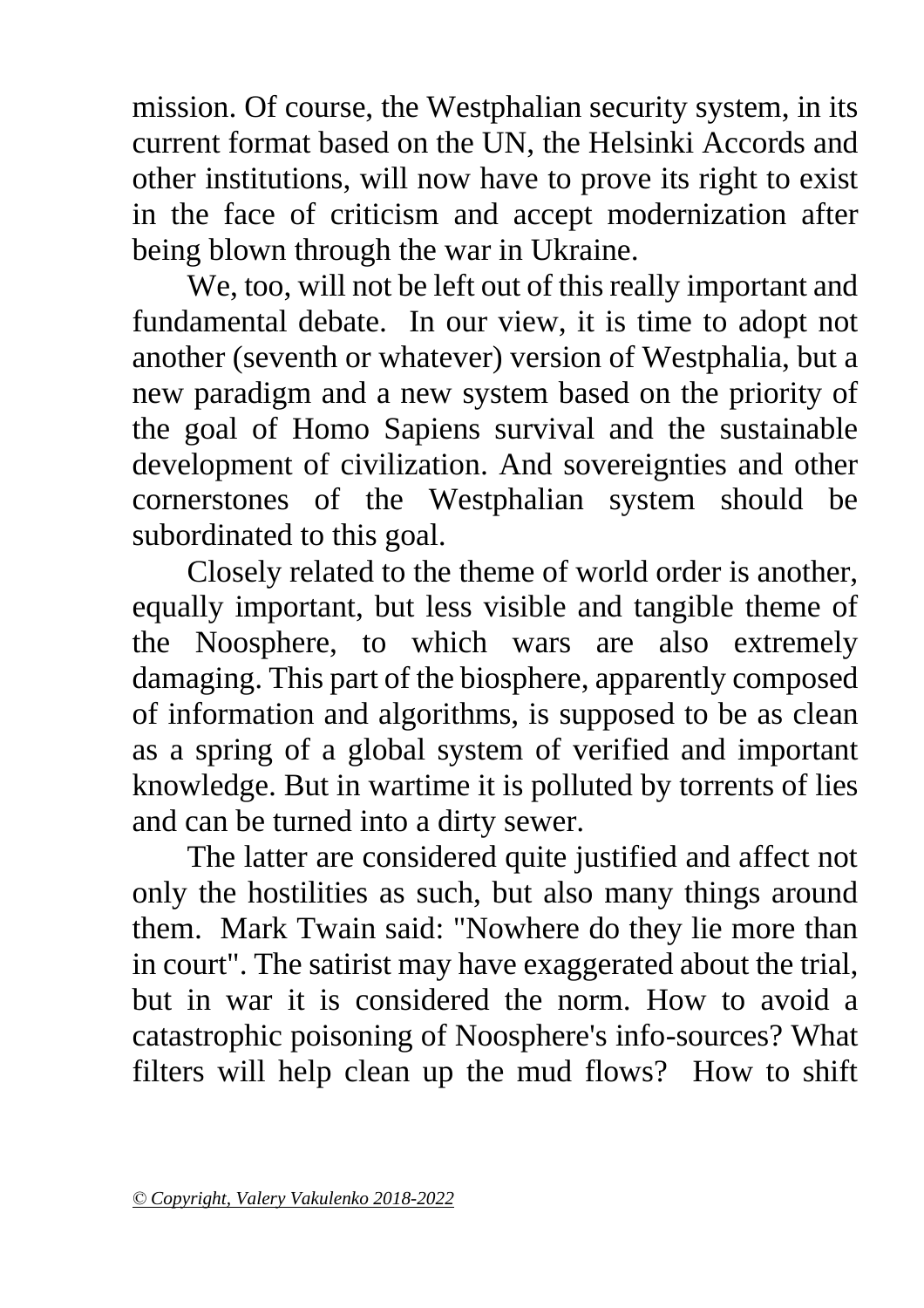mission. Of course, the Westphalian security system, in its current format based on the UN, the Helsinki Accords and other institutions, will now have to prove its right to exist in the face of criticism and accept modernization after being blown through the war in Ukraine.

We, too, will not be left out of this really important and fundamental debate. In our view, it is time to adopt not another (seventh or whatever) version of Westphalia, but a new paradigm and a new system based on the priority of the goal of Homo Sapiens survival and the sustainable development of civilization. And sovereignties and other cornerstones of the Westphalian system should be subordinated to this goal.

Closely related to the theme of world order is another, equally important, but less visible and tangible theme of the Noosphere, to which wars are also extremely damaging. This part of the biosphere, apparently composed of information and algorithms, is supposed to be as clean as a spring of a global system of verified and important knowledge. But in wartime it is polluted by torrents of lies and can be turned into a dirty sewer.

The latter are considered quite justified and affect not only the hostilities as such, but also many things around them. Mark Twain said: "Nowhere do they lie more than in court". The satirist may have exaggerated about the trial, but in war it is considered the norm. How to avoid a catastrophic poisoning of Noosphere's info-sources? What filters will help clean up the mud flows? How to shift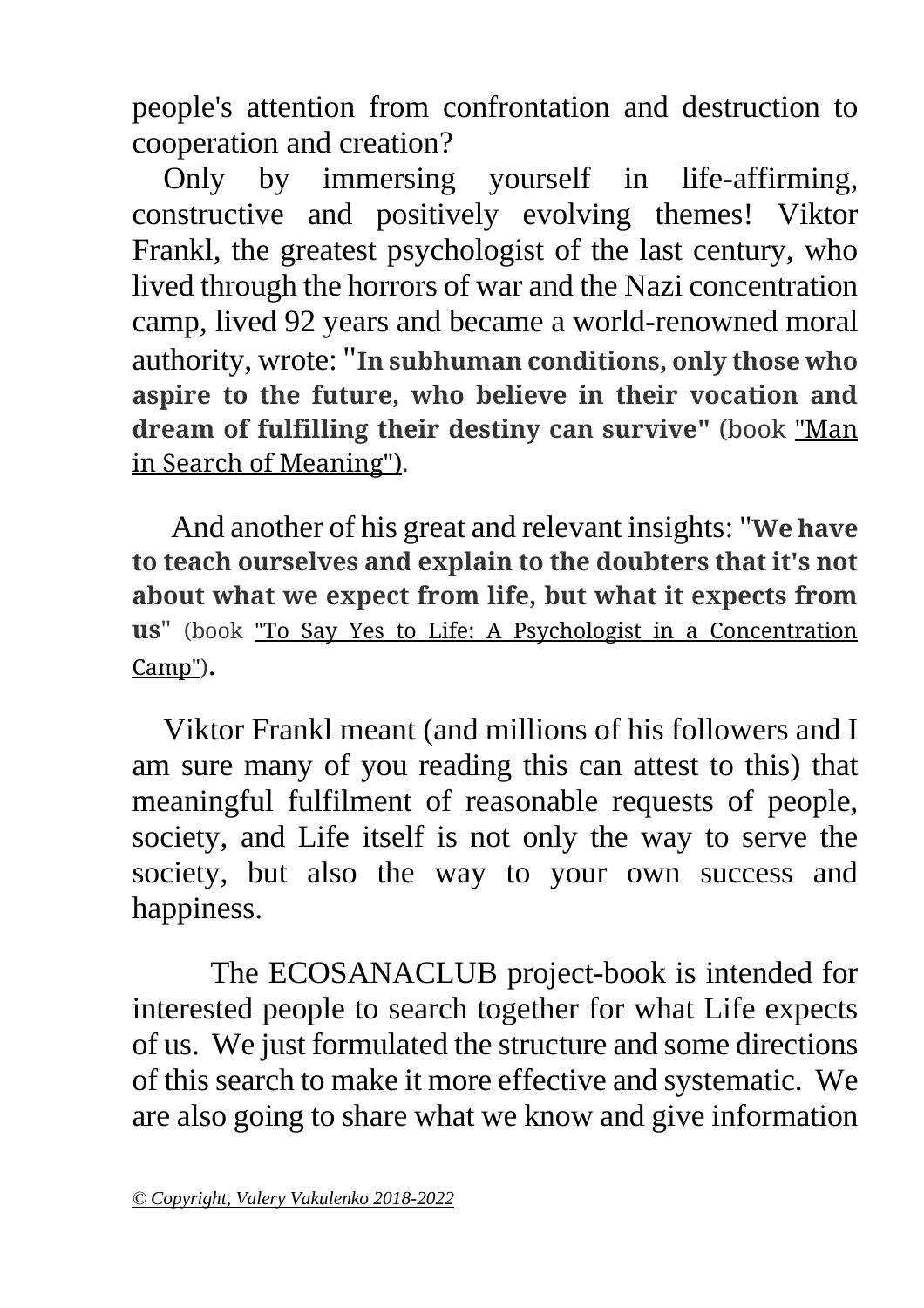people's attention from confrontation and destruction to cooperation and creation?

 Only by immersing yourself in life-affirming, constructive and positively evolving themes! Viktor Frankl, the greatest psychologist of the last century, who lived through the horrors of war and the Nazi concentration camp, lived 92 years and became a world-renowned moral authority, wrote: "**In subhuman conditions, only those who aspire to the future, who believe in their vocation and dream of fulfilling their destiny can survive"** (book "Man in Search of Meaning").

 And another of his great and relevant insights: "**We have to teach ourselves and explain to the doubters that it's not about what we expect from life, but what it expects from us**" (book "To Say Yes to Life: A Psychologist in a Concentration Camp").

 Viktor Frankl meant (and millions of his followers and I am sure many of you reading this can attest to this) that meaningful fulfilment of reasonable requests of people, society, and Life itself is not only the way to serve the society, but also the way to your own success and happiness.

 The ECOSANACLUB project-book is intended for interested people to search together for what Life expects of us. We just formulated the structure and some directions of this search to make it more effective and systematic. We are also going to share what we know and give information